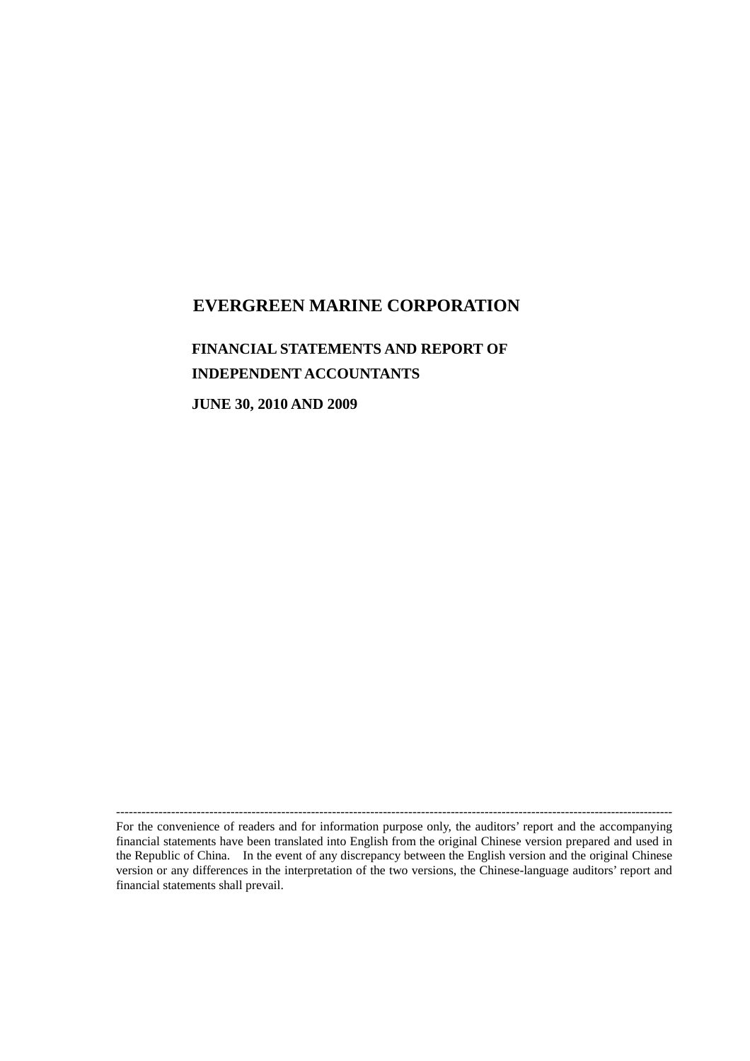## **EVERGREEN MARINE CORPORATION**

## **FINANCIAL STATEMENTS AND REPORT OF INDEPENDENT ACCOUNTANTS**

**JUNE 30, 2010 AND 2009**

For the convenience of readers and for information purpose only, the auditors' report and the accompanying financial statements have been translated into English from the original Chinese version prepared and used in the Republic of China. In the event of any discrepancy between the English version and the original Chinese version or any differences in the interpretation of the two versions, the Chinese-language auditors'report and financial statements shall prevail.

------------------------------------------------------------------------------------------------------------------------------------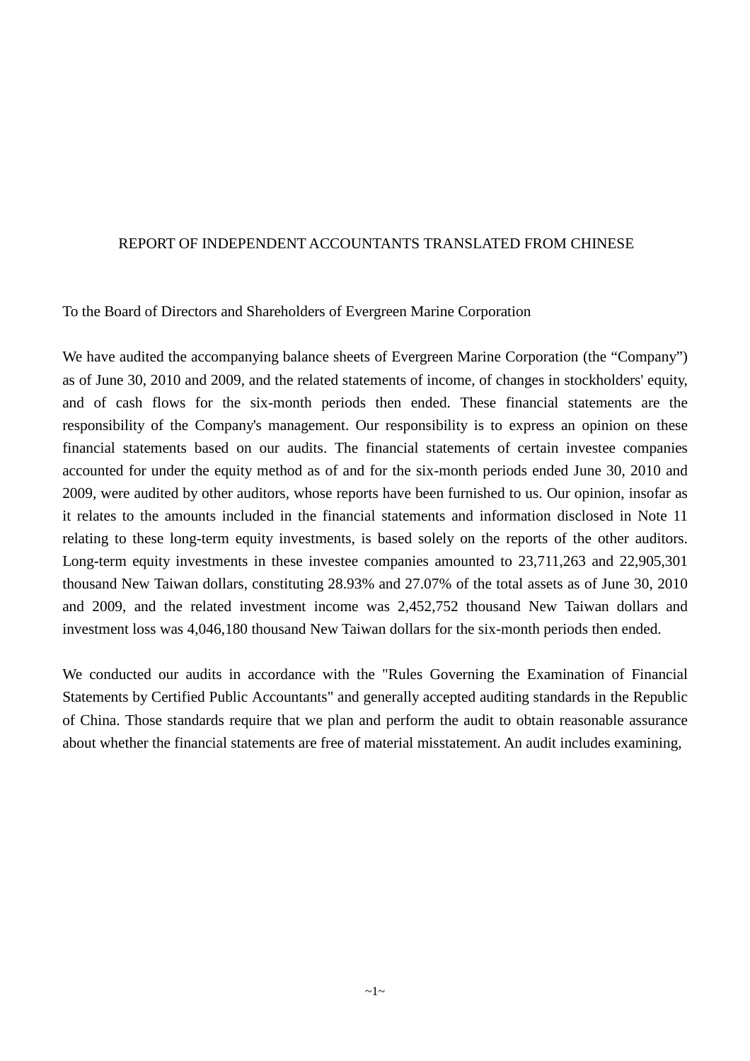### REPORT OF INDEPENDENT ACCOUNTANTS TRANSLATED FROM CHINESE

To the Board of Directors and Shareholders of Evergreen Marine Corporation

We have audited the accompanying balance sheets of Evergreen Marine Corporation (the "Company") as of June 30, 2010 and 2009, and the related statements of income, of changes in stockholders' equity, and of cash flows for the six-month periods then ended. These financial statements are the responsibility of the Company's management. Our responsibility is to express an opinion on these financial statements based on our audits. The financial statements of certain investee companies accounted for under the equity method as of and for the six-month periods ended June 30, 2010 and 2009, were audited by other auditors, whose reports have been furnished to us. Our opinion, insofar as it relates to the amounts included in the financial statements and information disclosed in Note 11 relating to these long-term equity investments, is based solely on the reports of the other auditors. Long-term equity investments in these investee companies amounted to 23,711,263 and 22,905,301 thousand New Taiwan dollars, constituting 28.93% and 27.07% of the total assets as of June 30, 2010 and 2009, and the related investment income was 2,452,752 thousand New Taiwan dollars and investment loss was 4,046,180 thousand New Taiwan dollars for the six-month periods then ended.

We conducted our audits in accordance with the "Rules Governing the Examination of Financial Statements by Certified Public Accountants" and generally accepted auditing standards in the Republic of China. Those standards require that we plan and perform the audit to obtain reasonable assurance about whether the financial statements are free of material misstatement. An audit includes examining,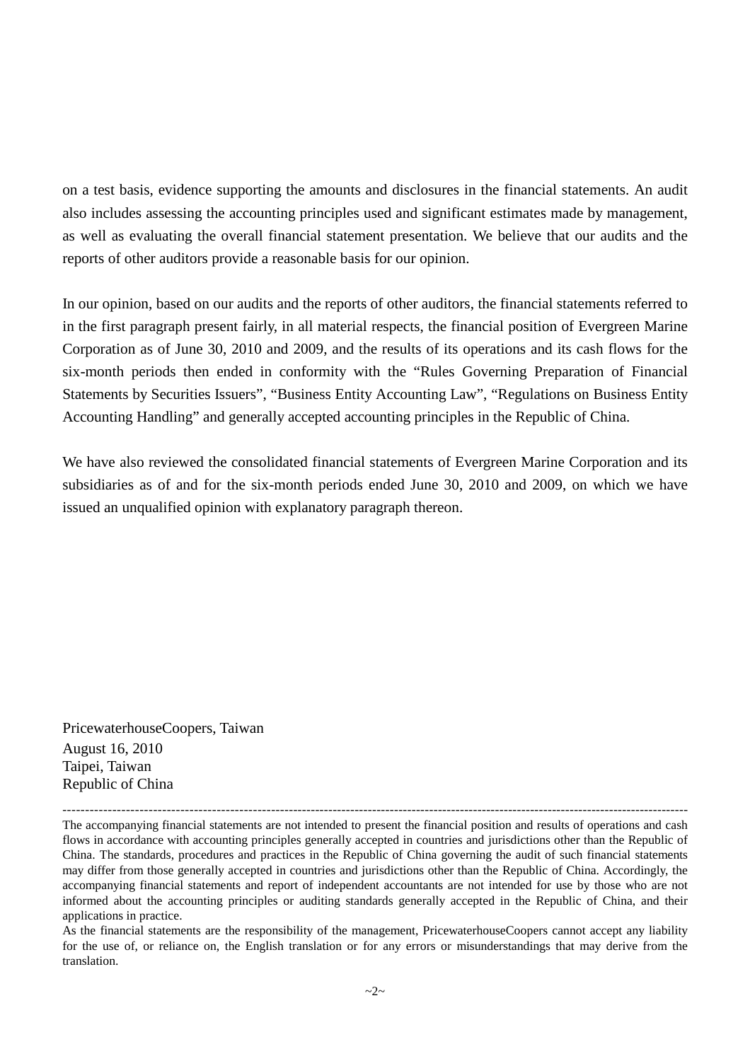on a test basis, evidence supporting the amounts and disclosures in the financial statements. An audit also includes assessing the accounting principles used and significant estimates made by management, as well as evaluating the overall financial statement presentation. We believe that our audits and the reports of other auditors provide a reasonable basis for our opinion.

In our opinion, based on our audits and the reports of other auditors, the financial statements referred to in the first paragraph present fairly, in all material respects, the financial position of Evergreen Marine Corporation as of June 30, 2010 and 2009, and the results of its operations and its cash flows for the six-month periods then ended in conformity with the "Rules Governing Preparation of Financial Statements by Securities Issuers", "Business Entity Accounting Law", "Regulations on Business Entity Accounting Handling" and generally accepted accounting principles in the Republic of China.

We have also reviewed the consolidated financial statements of Evergreen Marine Corporation and its subsidiaries as of and for the six-month periods ended June 30, 2010 and 2009, on which we have issued an unqualified opinion with explanatory paragraph thereon.

PricewaterhouseCoopers, Taiwan August 16, 2010 Taipei, Taiwan Republic of China

--------------------------------------------------------------------------------------------------------------------------------------------- The accompanying financial statements are not intended to present the financial position and results of operations and cash flows in accordance with accounting principles generally accepted in countries and jurisdictions other than the Republic of China. The standards, procedures and practices in the Republic of China governing the audit of such financial statements may differ from those generally accepted in countries and jurisdictions other than the Republic of China. Accordingly, the accompanying financial statements and report of independent accountants are not intended for use by those who are not informed about the accounting principles or auditing standards generally accepted in the Republic of China, and their applications in practice.

As the financial statements are the responsibility of the management, PricewaterhouseCoopers cannot accept any liability for the use of, or reliance on, the English translation or for any errors or misunderstandings that may derive from the translation.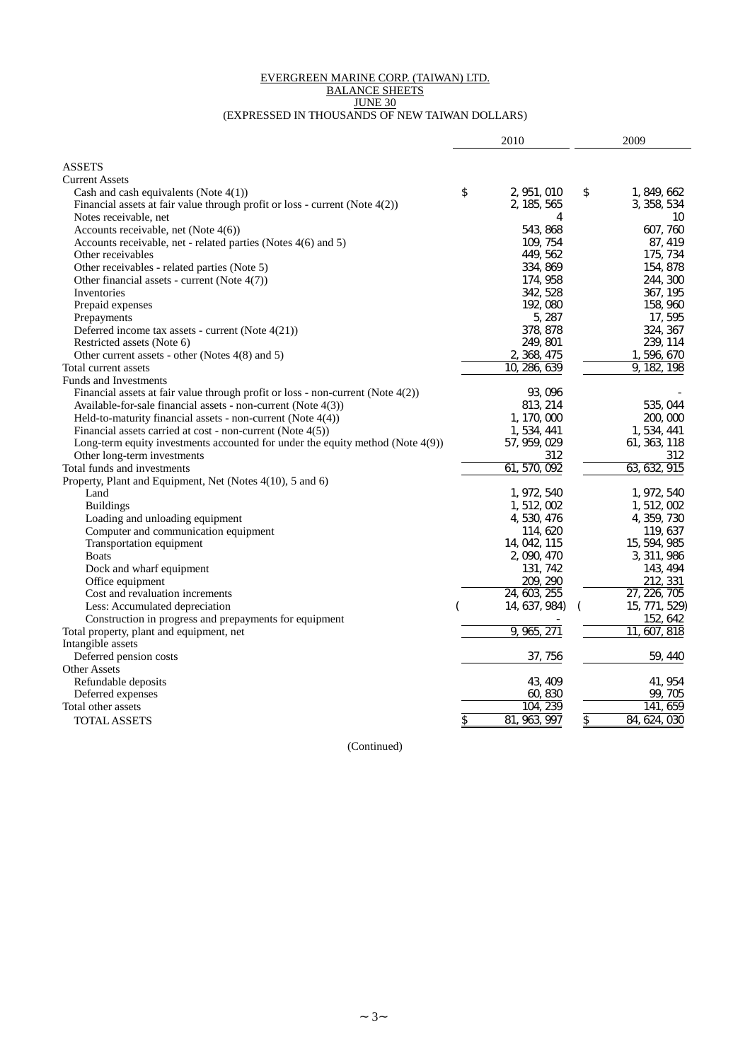#### EVERGREEN MARINE CORP. (TAIWAN) LTD. BALANCE SHEETS

JUNE 30

#### (EXPRESSED IN THOUSANDS OF NEW TAIWAN DOLLARS)

|                                                                                   | 2010                  | 2009               |
|-----------------------------------------------------------------------------------|-----------------------|--------------------|
| <b>ASSETS</b>                                                                     |                       |                    |
| <b>Current Assets</b>                                                             |                       |                    |
| Cash and cash equivalents (Note $4(1)$ )                                          | \$<br>2, 951, 010     | \$<br>1, 849, 662  |
| Financial assets at fair value through profit or loss - current (Note $4(2)$ )    | 2, 185, 565           | 3, 358, 534        |
| Notes receivable, net                                                             | 4                     | 10                 |
| Accounts receivable, net (Note $4(6)$ )                                           | 543, 868              | 607, 760           |
| Accounts receivable, net - related parties (Notes 4(6) and 5)                     | 109, 754              | 87, 419            |
| Other receivables                                                                 | 449, 562              | 175, 734           |
| Other receivables - related parties (Note 5)                                      | 334, 869              | 154, 878           |
| Other financial assets - current (Note $4(7)$ )                                   | 174, 958              | 244, 300           |
| Inventories                                                                       | 342, 528              | 367, 195           |
| Prepaid expenses                                                                  | 192,080               | 158, 960           |
| Prepayments                                                                       | 5, 287                | 17, 595            |
| Deferred income tax assets - current (Note 4(21))                                 | 378, 878              | 324, 367           |
| Restricted assets (Note 6)                                                        | 249, 801              | 239, 114           |
| Other current assets - other (Notes 4(8) and 5)                                   | 2, 368, 475           | 1,596,670          |
| Total current assets                                                              | 10, 286, 639          | 9, 182, 198        |
| Funds and Investments                                                             |                       |                    |
| Financial assets at fair value through profit or loss - non-current (Note 4(2))   | 93, 096               |                    |
| Available-for-sale financial assets - non-current (Note 4(3))                     | 813, 214              | 535, 044           |
| Held-to-maturity financial assets - non-current (Note 4(4))                       | 1, 170, 000           | 200, 000           |
| Financial assets carried at cost - non-current (Note 4(5))                        | 1, 534, 441           | 1, 534, 441        |
| Long-term equity investments accounted for under the equity method (Note $4(9)$ ) | 57, 959, 029          | 61, 363, 118       |
| Other long-term investments                                                       | 312                   | 312                |
| Total funds and investments                                                       | 61, 570, 092          | 63, 632, 915       |
| Property, Plant and Equipment, Net (Notes 4(10), 5 and 6)                         |                       |                    |
| Land                                                                              | 1, 972, 540           | 1, 972, 540        |
| <b>Buildings</b>                                                                  | 1, 512, 002           | 1, 512, 002        |
| Loading and unloading equipment                                                   | 4, 530, 476           | 4, 359, 730        |
| Computer and communication equipment                                              | 114, 620              | 119, 637           |
| Transportation equipment                                                          | 14, 042, 115          | 15, 594, 985       |
| <b>Boats</b>                                                                      | 2, 090, 470           | 3, 311, 986        |
| Dock and wharf equipment                                                          | 131, 742              | 143, 494           |
| Office equipment                                                                  | 209, 290              | 212, 331           |
| Cost and revaluation increments                                                   | 24, 603, 255          | 27, 226, 705       |
| Less: Accumulated depreciation                                                    | 14, 637, 984)         | 15, 771, 529)      |
| Construction in progress and prepayments for equipment                            |                       | 152, 642           |
| Total property, plant and equipment, net                                          | 9,965,<br>271         | 11<br>607, 818     |
| Intangible assets                                                                 |                       |                    |
| Deferred pension costs                                                            | 37, 756               | 59, 440            |
| <b>Other Assets</b>                                                               |                       |                    |
| Refundable deposits                                                               | 43, 409               | 41, 954            |
| Deferred expenses                                                                 | 60, 830               | 99, 705            |
| Total other assets                                                                | 239<br>104.           | 659<br>141.        |
| <b>TOTAL ASSETS</b>                                                               | \$<br>81,<br>963, 997 | \$<br>84, 624, 030 |

(Continued)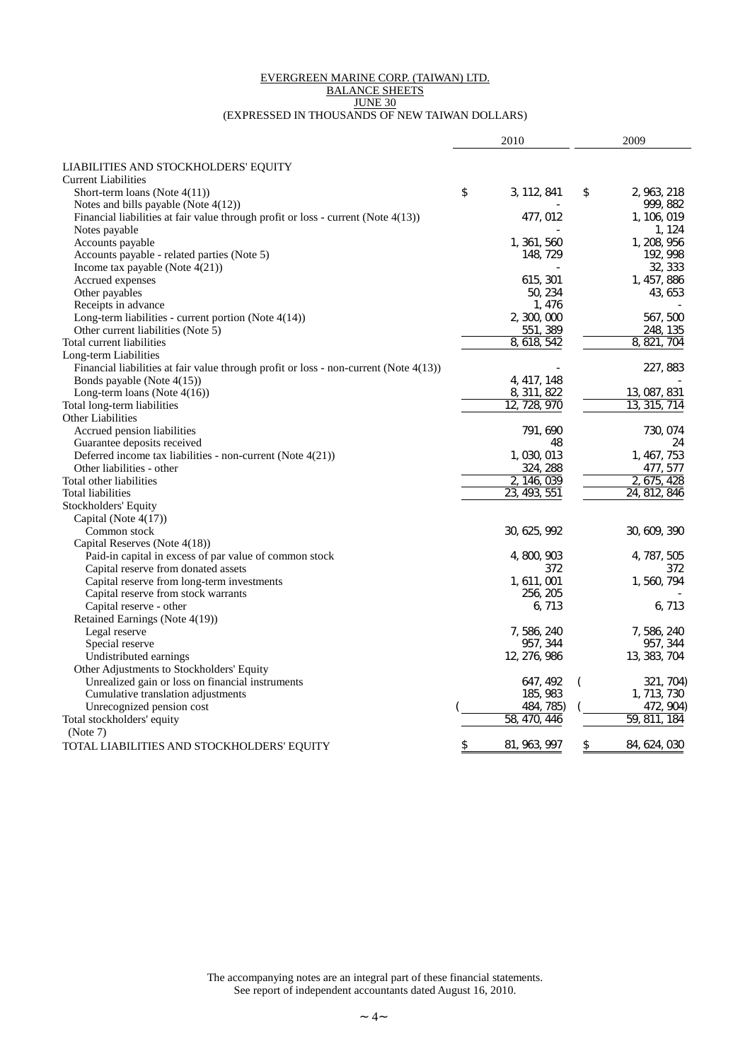#### EVERGREEN MARINE CORP. (TAIWAN) LTD. BALANCE SHEETS JUNE 30 (EXPRESSED IN THOUSANDS OF NEW TAIWAN DOLLARS)

|                                                                                          | 2010               |          | 2009            |
|------------------------------------------------------------------------------------------|--------------------|----------|-----------------|
| LIABILITIES AND STOCKHOLDERS' EQUITY                                                     |                    |          |                 |
| <b>Current Liabilities</b>                                                               |                    |          |                 |
| Short-term loans (Note $4(11)$ )                                                         | \$<br>3, 112, 841  | \$       | 2, 963, 218     |
| Notes and bills payable (Note 4(12))                                                     |                    |          | 999, 882        |
| Financial liabilities at fair value through profit or loss - current (Note 4(13))        | 477, 012           |          | 1, 106, 019     |
| Notes payable                                                                            |                    |          | 1.124           |
| Accounts payable                                                                         | 1, 361, 560        |          | 1, 208, 956     |
| Accounts payable - related parties (Note 5)                                              | 148, 729           |          | 192, 998        |
| Income tax payable (Note $4(21)$ )                                                       |                    |          | 32, 333         |
| Accrued expenses                                                                         | 615, 301           |          | 1, 457, 886     |
| Other payables                                                                           | 50, 234            |          | 43, 653         |
| Receipts in advance                                                                      | 1, 476             |          |                 |
| Long-term liabilities - current portion (Note $4(14)$ )                                  | 2, 300, 000        |          | 567, 500        |
| Other current liabilities (Note 5)                                                       | 551, 389           |          | 248, 135        |
| Total current liabilities                                                                | 8, 618, 542        |          | 8, 821<br>704   |
| Long-term Liabilities                                                                    |                    |          |                 |
| Financial liabilities at fair value through profit or loss - non-current (Note $4(13)$ ) |                    |          | 227, 883        |
| Bonds payable (Note 4(15))                                                               | 4, 417, 148        |          |                 |
| Long-term loans (Note $4(16)$ )                                                          | 8, 311, 822        |          | 13, 087, 831    |
| Total long-term liabilities                                                              | 12, 728, 970       |          | 13, 315,<br>714 |
| <b>Other Liabilities</b>                                                                 |                    |          |                 |
| Accrued pension liabilities                                                              | 791, 690           |          | 730, 074        |
| Guarantee deposits received                                                              | 48                 |          | 24              |
| Deferred income tax liabilities - non-current (Note 4(21))                               | 1,030,013          |          | 1, 467, 753     |
| Other liabilities - other                                                                | 324, 288           |          | 477, 577        |
| Total other liabilities                                                                  | 2, 146, 039        |          | 2.675.<br>428   |
| Total liabilities                                                                        | 23, 493, 551       |          | 24, 812, 846    |
| Stockholders' Equity                                                                     |                    |          |                 |
| Capital (Note 4(17))                                                                     |                    |          |                 |
| Common stock                                                                             | 30, 625, 992       |          | 30, 609, 390    |
| Capital Reserves (Note 4(18))                                                            |                    |          |                 |
| Paid-in capital in excess of par value of common stock                                   | 4, 800, 903        |          | 4, 787, 505     |
| Capital reserve from donated assets                                                      | 372                |          | 372             |
| Capital reserve from long-term investments                                               | 1, 611, 001        |          | 1, 560, 794     |
| Capital reserve from stock warrants                                                      | 256, 205           |          |                 |
| Capital reserve - other                                                                  | 6, 713             |          | 6, 713          |
| Retained Earnings (Note 4(19))                                                           |                    |          |                 |
| Legal reserve                                                                            | 7, 586, 240        |          | 7, 586, 240     |
| Special reserve                                                                          | 957, 344           |          | 957, 344        |
| Undistributed earnings                                                                   | 12, 276, 986       |          | 13, 383, 704    |
| Other Adjustments to Stockholders' Equity                                                |                    |          |                 |
| Unrealized gain or loss on financial instruments                                         | 647, 492           | $\left($ | 321, 704)       |
| Cumulative translation adjustments                                                       | 185, 983           |          | 1, 713, 730     |
| Unrecognized pension cost                                                                | 484, 785)          |          | 472, 904)       |
| Total stockholders' equity                                                               | 58,<br>470.<br>446 |          | 59, 811,<br>184 |
| (Note 7)                                                                                 |                    |          |                 |
| TOTAL LIABILITIES AND STOCKHOLDERS' EQUITY                                               | 81, 963, 997       | \$       | 84, 624, 030    |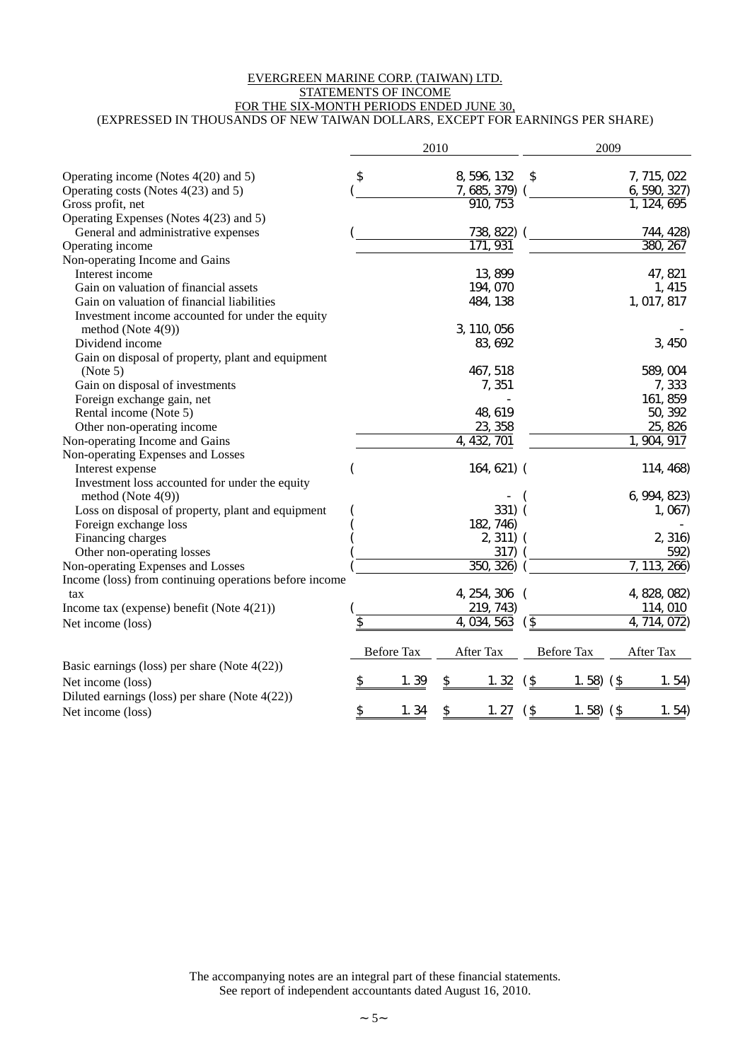#### EVERGREEN MARINE CORP. (TAIWAN) LTD. STATEMENTS OF INCOME FOR THE SIX-MONTH PERIODS ENDED JUNE 30, (EXPRESSED IN THOUSANDS OF NEW TAIWAN DOLLARS, EXCEPT FOR EARNINGS PER SHARE)

|                                                        |                   | 2010           |                   | 2009                   |
|--------------------------------------------------------|-------------------|----------------|-------------------|------------------------|
| Operating income (Notes $4(20)$ and 5)                 | \$                | 8, 596, 132    | \$                | 7, 715, 022            |
| Operating costs (Notes 4(23) and 5)                    |                   | 7, 685, 379)   |                   | 6, 590, 327)           |
| Gross profit, net                                      |                   | 910, 753       |                   | 1, 124, 695            |
| Operating Expenses (Notes 4(23) and 5)                 |                   |                |                   |                        |
| General and administrative expenses                    |                   | 738, 822)      |                   | 744, 428)              |
| Operating income                                       |                   | 171, 931       |                   | 380, 267               |
| Non-operating Income and Gains                         |                   |                |                   |                        |
| Interest income                                        |                   | 13, 899        |                   | 47, 821                |
| Gain on valuation of financial assets                  |                   | 194, 070       |                   | 1, 415                 |
| Gain on valuation of financial liabilities             |                   | 484, 138       |                   | 1, 017, 817            |
| Investment income accounted for under the equity       |                   |                |                   |                        |
| method (Note 4(9))                                     |                   | 3, 110, 056    |                   |                        |
| Dividend income                                        |                   | 83, 692        |                   | 3, 450                 |
| Gain on disposal of property, plant and equipment      |                   |                |                   |                        |
| (Note 5)                                               |                   | 467, 518       |                   | 589, 004               |
| Gain on disposal of investments                        |                   | 7,351          |                   | 7,333                  |
| Foreign exchange gain, net                             |                   |                |                   | 161, 859               |
| Rental income (Note 5)                                 |                   | 48, 619        |                   | 50, 392                |
| Other non-operating income                             |                   | 23, 358        |                   | 25, 826                |
| Non-operating Income and Gains                         |                   | 4, 432,<br>701 |                   | $\overline{904}$ , 917 |
| Non-operating Expenses and Losses                      |                   |                |                   |                        |
| Interest expense                                       |                   | 164, 621) (    |                   | 114, 468)              |
| Investment loss accounted for under the equity         |                   |                |                   |                        |
| method (Note $4(9)$ )                                  |                   |                |                   | 6, 994, 823)           |
| Loss on disposal of property, plant and equipment      |                   | 331)           |                   | 1,067                  |
| Foreign exchange loss                                  |                   | 182, 746)      |                   |                        |
| Financing charges                                      |                   | 2, 311)        |                   | 2, 316                 |
| Other non-operating losses                             |                   | 317)           |                   | 592)                   |
| Non-operating Expenses and Losses                      |                   | 350<br>326)    |                   | 7, 113,<br>266)        |
| Income (loss) from continuing operations before income |                   |                |                   |                        |
| tax                                                    |                   | 4, 254, 306    |                   | 4, 828, 082)           |
| Income tax (expense) benefit (Note $4(21)$ )           |                   | 219, 743)      |                   | 114, 010               |
| Net income (loss)                                      | \$                | 4, 034, 563    | $($ \$            | 4, 714, 072)           |
|                                                        |                   |                |                   |                        |
|                                                        | <b>Before Tax</b> | After Tax      | <b>Before Tax</b> | After Tax              |
| Basic earnings (loss) per share (Note $4(22)$ )        |                   |                |                   |                        |
| Net income (loss)                                      | 1.39<br>\$        | \$<br>1.32     | $\hat{t}$<br>1.58 | $($ \$<br>1.54)        |
| Diluted earnings (loss) per share (Note $4(22)$ )      |                   |                |                   |                        |
| Net income (loss)                                      | \$<br>1.34        | \$<br>1.27     | $($ \$<br>1.58    | $($ \$<br>1.54         |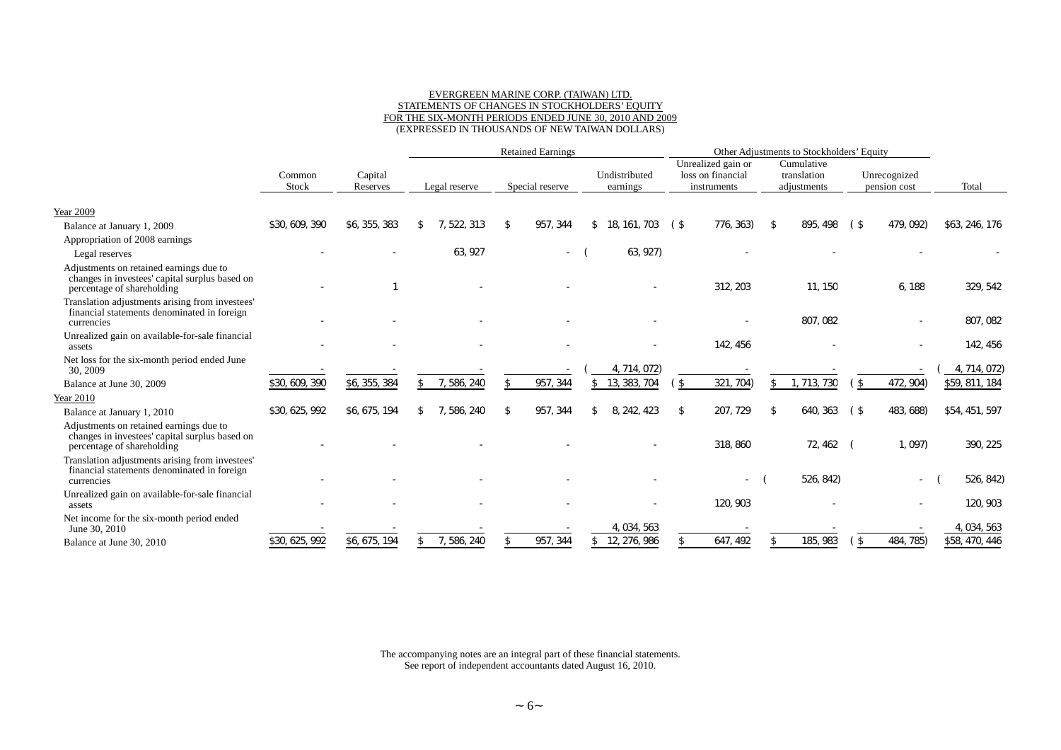#### EVERGREEN MARINE CORP. (TAIWAN) LTD. STATEMENTS OF CHANGES IN STOCKHOLDERS'EQUITY FOR THE SIX-MONTH PERIODS ENDED JUNE 30, 2010 AND 2009 (EXPRESSED IN THOUSANDS OF NEW TAIWAN DOLLARS)

|                                                                                                                         |                 |                     | <b>Retained Earnings</b> |               |    | Other Adjustments to Stockholders' Equity |                           |        |                                                        |    |                                          |                |                              |                |           |
|-------------------------------------------------------------------------------------------------------------------------|-----------------|---------------------|--------------------------|---------------|----|-------------------------------------------|---------------------------|--------|--------------------------------------------------------|----|------------------------------------------|----------------|------------------------------|----------------|-----------|
|                                                                                                                         | Common<br>Stock | Capital<br>Reserves |                          | Legal reserve |    | Special reserve                           | Undistributed<br>earnings |        | Unrealized gain or<br>loss on financial<br>instruments |    | Cumulative<br>translation<br>adiustments |                | Unrecognized<br>pension cost | Total          |           |
| <b>Year 2009</b>                                                                                                        |                 |                     |                          |               |    |                                           |                           |        |                                                        |    |                                          |                |                              |                |           |
| Balance at January 1, 2009                                                                                              | \$30, 609, 390  | \$6, 355, 383       |                          | 522 313       | £. | 957.<br>344                               | 18, 161,<br>703           | (\$    | 776, 363)                                              | \$ | 895, 498                                 | $($ \$         | 479, 092)                    | \$63, 246, 176 |           |
| Appropriation of 2008 earnings                                                                                          |                 |                     |                          |               |    |                                           |                           |        |                                                        |    |                                          |                |                              |                |           |
| Legal reserves                                                                                                          |                 |                     |                          | 63.927        |    |                                           | 63, 927)                  |        |                                                        |    |                                          |                |                              |                |           |
| Adjustments on retained earnings due to<br>changes in investees' capital surplus based on<br>percentage of shareholding |                 |                     |                          |               |    |                                           |                           |        | 312, 203                                               |    | 11, 150                                  |                | 6, 188                       |                | 329, 542  |
| Translation adjustments arising from investees'<br>financial statements denominated in foreign<br>currencies            |                 |                     |                          |               |    |                                           |                           |        |                                                        |    | 807, 082                                 |                |                              |                | 807, 082  |
| Unrealized gain on available-for-sale financial                                                                         |                 |                     |                          |               |    |                                           |                           |        |                                                        |    |                                          |                |                              |                |           |
| assets                                                                                                                  |                 |                     |                          |               |    |                                           |                           |        | 142, 456                                               |    |                                          |                |                              |                | 142, 456  |
| Net loss for the six-month period ended June<br>30, 2009                                                                |                 |                     |                          |               |    |                                           | 4, 714, 072)              |        |                                                        |    |                                          |                |                              | 4, 714, 072)   |           |
| Balance at June 30, 2009                                                                                                | \$30, 609, 390  | \$6, 355, 384       |                          | 7, 586, 240   | \$ | 957, 344                                  | 13, 383, 704              | $($ \$ | 321, 704)                                              | \$ | 1, 713, 730                              | ΄\$            | 472, 904)                    | \$59, 811, 184 |           |
| Year 2010                                                                                                               |                 |                     |                          |               |    |                                           |                           |        |                                                        |    |                                          |                |                              |                |           |
| Balance at January 1, 2010                                                                                              | \$30, 625, 992  | \$6, 675, 194       |                          | 7, 586, 240   | \$ | 957,<br>344                               | 8, 242, 423               | \$     | 207, 729                                               | \$ | 640, 363                                 | $($ \$         | 483, 688)                    | \$54, 451, 597 |           |
| Adjustments on retained earnings due to<br>changes in investees' capital surplus based on<br>percentage of shareholding |                 |                     |                          |               |    |                                           |                           |        | 318, 860                                               |    | 72, 462                                  |                | 1, 097)                      |                | 390, 225  |
| Translation adjustments arising from investees'<br>financial statements denominated in foreign<br>currencies            |                 |                     |                          |               |    |                                           |                           |        | $\overline{\phantom{a}}$                               |    | 526, 842)                                |                | $\overline{\phantom{a}}$     |                | 526, 842) |
| Unrealized gain on available-for-sale financial<br>assets                                                               |                 |                     |                          |               |    |                                           |                           |        | 120, 903                                               |    |                                          |                |                              |                | 120, 903  |
| Net income for the six-month period ended<br>June 30, 2010                                                              |                 |                     |                          |               |    |                                           | 4, 034, 563               |        |                                                        |    |                                          |                |                              | 4, 034, 563    |           |
| Balance at June 30, 2010                                                                                                | \$30, 625, 992  | \$6, 675, 194       |                          | 7, 586, 240   |    | 957, 344                                  | 12, 276, 986              |        | 647, 492                                               |    | 185, 983                                 | $\mathfrak{S}$ | 484, 785)                    | \$58, 470, 446 |           |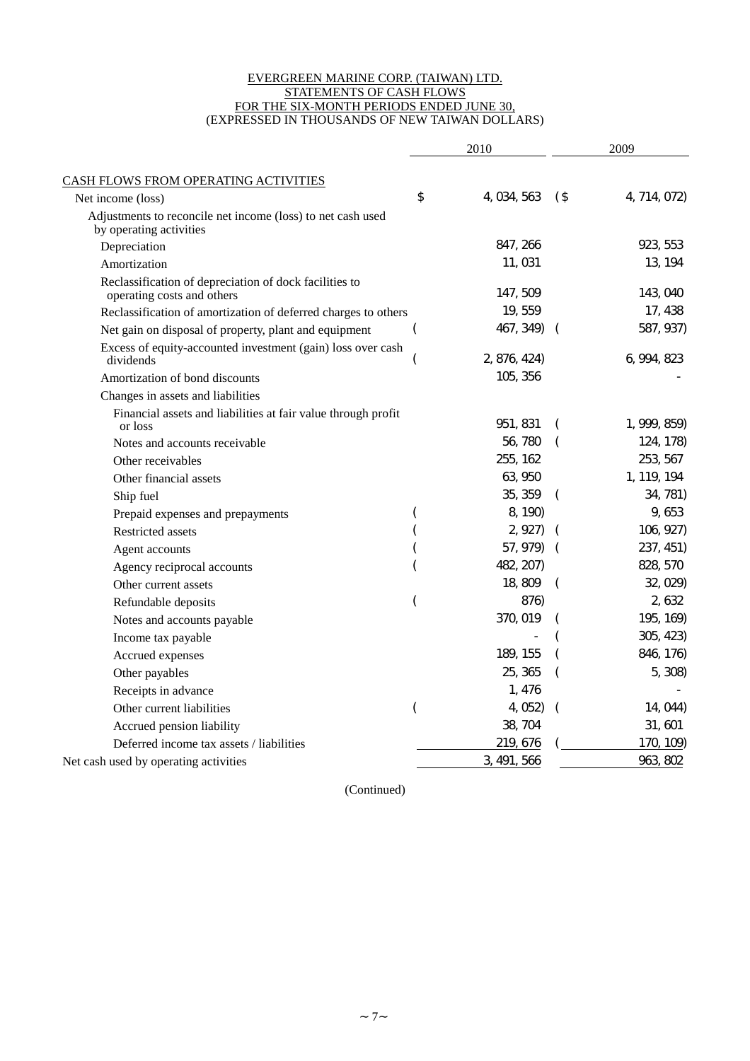#### EVERGREEN MARINE CORP. (TAIWAN) LTD. STATEMENTS OF CASH FLOWS FOR THE SIX-MONTH PERIODS ENDED JUNE 30, (EXPRESSED IN THOUSANDS OF NEW TAIWAN DOLLARS)

|                                                                                        | 2010 |              | 2009     |              |
|----------------------------------------------------------------------------------------|------|--------------|----------|--------------|
|                                                                                        |      |              |          |              |
| <b>CASH FLOWS FROM OPERATING ACTIVITIES</b><br>Net income (loss)                       | \$   | 4, 034, 563  | $($ \$   | 4, 714, 072) |
| Adjustments to reconcile net income (loss) to net cash used<br>by operating activities |      |              |          |              |
| Depreciation                                                                           |      | 847, 266     |          | 923, 553     |
| Amortization                                                                           |      | 11,031       |          | 13, 194      |
| Reclassification of depreciation of dock facilities to<br>operating costs and others   |      | 147, 509     |          | 143, 040     |
| Reclassification of amortization of deferred charges to others                         |      | 19, 559      |          | 17, 438      |
| Net gain on disposal of property, plant and equipment                                  |      | 467, 349)    |          | 587, 937)    |
| Excess of equity-accounted investment (gain) loss over cash<br>dividends               |      | 2, 876, 424) |          | 6, 994, 823  |
| Amortization of bond discounts                                                         |      | 105, 356     |          |              |
| Changes in assets and liabilities                                                      |      |              |          |              |
| Financial assets and liabilities at fair value through profit<br>or loss               |      | 951, 831     |          | 1, 999, 859) |
| Notes and accounts receivable                                                          |      | 56, 780      |          | 124, 178)    |
| Other receivables                                                                      |      | 255, 162     |          | 253, 567     |
| Other financial assets                                                                 |      | 63, 950      |          | 1, 119, 194  |
| Ship fuel                                                                              |      | 35, 359      |          | 34, 781)     |
| Prepaid expenses and prepayments                                                       |      | 8, 190)      |          | 9,653        |
| Restricted assets                                                                      |      | 2, 927       |          | 106, 927)    |
| Agent accounts                                                                         |      | 57, 979)     |          | 237, 451)    |
| Agency reciprocal accounts                                                             |      | 482, 207)    |          | 828, 570     |
| Other current assets                                                                   |      | 18,809       | $\left($ | 32, 029)     |
| Refundable deposits                                                                    |      | 876)         |          | 2, 632       |
| Notes and accounts payable                                                             |      | 370, 019     |          | 195, 169)    |
| Income tax payable                                                                     |      |              |          | 305, 423)    |
| Accrued expenses                                                                       |      | 189, 155     |          | 846, 176)    |
| Other payables                                                                         |      | 25, 365      |          | 5, 308)      |
| Receipts in advance                                                                    |      | 1, 476       |          |              |
| Other current liabilities                                                              |      | 4, 052)      |          | 14, 044)     |
| Accrued pension liability                                                              |      | 38, 704      |          | 31,601       |
| Deferred income tax assets / liabilities                                               |      | 219, 676     |          | 170, 109)    |
| Net cash used by operating activities                                                  |      | 3, 491, 566  |          | 963, 802     |

(Continued)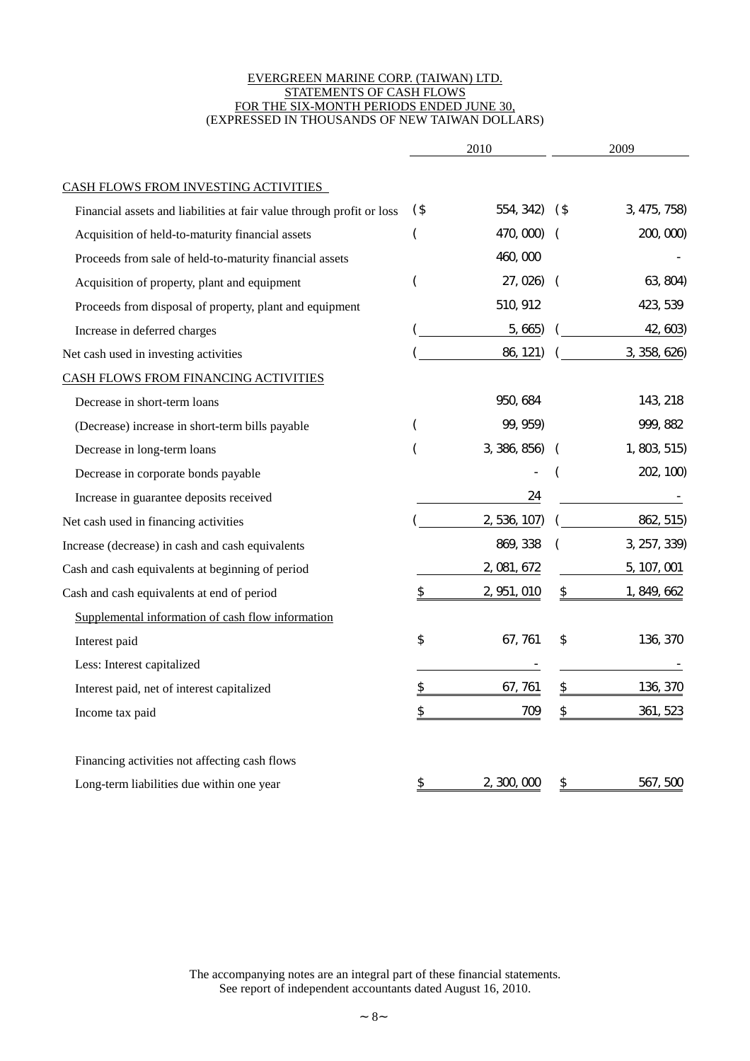#### EVERGREEN MARINE CORP. (TAIWAN) LTD. STATEMENTS OF CASH FLOWS FOR THE SIX-MONTH PERIODS ENDED JUNE 30, (EXPRESSED IN THOUSANDS OF NEW TAIWAN DOLLARS)

|                                                                       | 2010   |              | 2009       |              |
|-----------------------------------------------------------------------|--------|--------------|------------|--------------|
| <b>CASH FLOWS FROM INVESTING ACTIVITIES</b>                           |        |              |            |              |
| Financial assets and liabilities at fair value through profit or loss | $($ \$ | 554, 342)    | (\$        | 3, 475, 758) |
| Acquisition of held-to-maturity financial assets                      | (      | 470, 000)    |            | 200, 000     |
| Proceeds from sale of held-to-maturity financial assets               |        | 460,000      |            |              |
| Acquisition of property, plant and equipment                          |        | 27, 026)     | $\sqrt{2}$ | 63, 804)     |
| Proceeds from disposal of property, plant and equipment               |        | 510, 912     |            | 423, 539     |
| Increase in deferred charges                                          |        | 5, 665)      |            | 42, 603)     |
| Net cash used in investing activities                                 |        | 86, 121)     |            | 3, 358, 626) |
| <b>CASH FLOWS FROM FINANCING ACTIVITIES</b>                           |        |              |            |              |
| Decrease in short-term loans                                          |        | 950, 684     |            | 143, 218     |
| (Decrease) increase in short-term bills payable                       |        | 99, 959)     |            | 999, 882     |
| Decrease in long-term loans                                           |        | 3, 386, 856) |            | 1, 803, 515) |
| Decrease in corporate bonds payable                                   |        |              |            | 202, 100)    |
| Increase in guarantee deposits received                               |        | 24           |            |              |
| Net cash used in financing activities                                 |        | 2, 536, 107) |            | 862, 515)    |
| Increase (decrease) in cash and cash equivalents                      |        | 869, 338     |            | 3, 257, 339) |
| Cash and cash equivalents at beginning of period                      |        | 2, 081, 672  |            | 5, 107, 001  |
| Cash and cash equivalents at end of period                            | \$     | 2, 951, 010  | \$         | 1, 849, 662  |
| Supplemental information of cash flow information                     |        |              |            |              |
| Interest paid                                                         | \$     | 67, 761      | \$         | 136, 370     |
| Less: Interest capitalized                                            |        |              |            |              |
| Interest paid, net of interest capitalized                            | \$     | 67, 761      | \$         | 136, 370     |
| Income tax paid                                                       | \$     | 709          | \$         | 361, 523     |
| Financing activities not affecting cash flows                         |        |              |            |              |
| Long-term liabilities due within one year                             | \$     | 2,300,000    | \$         | 567,500      |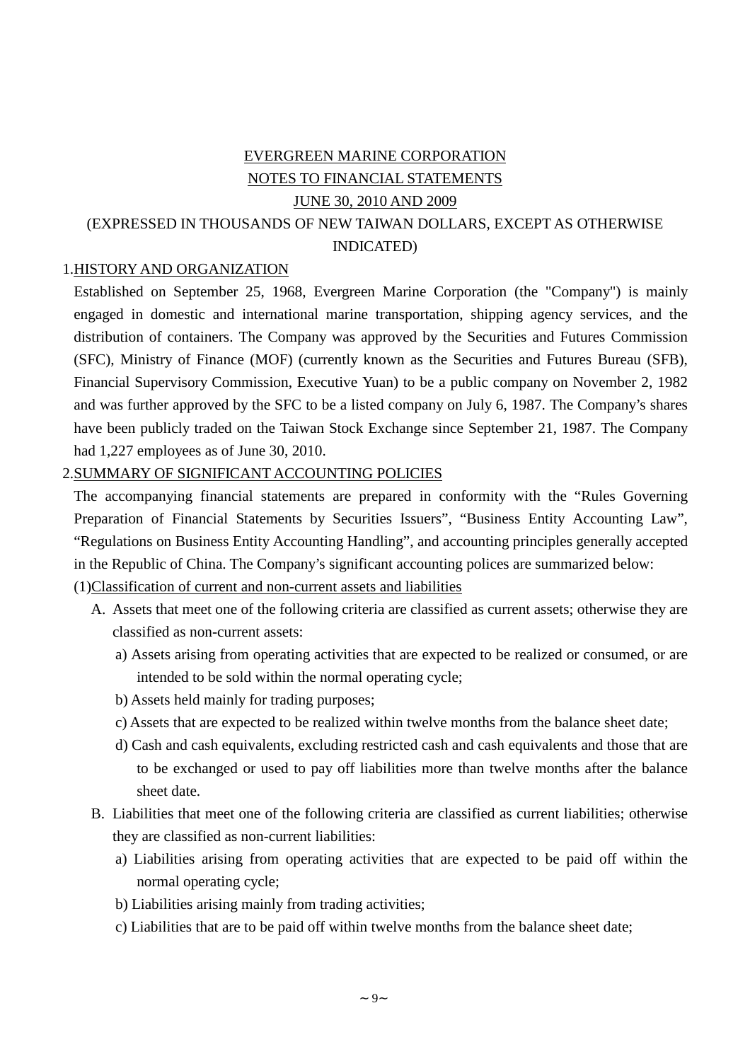# EVERGREEN MARINE CORPORATION NOTES TO FINANCIAL STATEMENTS JUNE 30, 2010 AND 2009 (EXPRESSED IN THOUSANDS OF NEW TAIWAN DOLLARS, EXCEPT AS OTHERWISE INDICATED)

## 1.HISTORY AND ORGANIZATION

Established on September 25, 1968, Evergreen Marine Corporation (the "Company") is mainly engaged in domestic and international marine transportation, shipping agency services, and the distribution of containers. The Company was approved by the Securities and Futures Commission (SFC), Ministry of Finance (MOF) (currently known as the Securities and Futures Bureau (SFB), Financial Supervisory Commission, Executive Yuan) to be a public company on November 2, 1982 and was further approved by the SFC to be a listed company on July 6, 1987. The Company's shares have been publicly traded on the Taiwan Stock Exchange since September 21, 1987. The Company had 1,227 employees as of June 30, 2010.

#### 2.SUMMARY OF SIGNIFICANT ACCOUNTING POLICIES

The accompanying financial statements are prepared in conformity with the "Rules Governing Preparation of Financial Statements by Securities Issuers", "Business Entity Accounting Law", "Regulations on Business Entity Accounting Handling", and accounting principles generally accepted in the Republic of China. The Company's significant accounting polices are summarized below:

# (1)Classification of current and non-current assets and liabilities

- A. Assets that meet one of the following criteria are classified as current assets; otherwise they are classified as non-current assets:
	- a) Assets arising from operating activities that are expected to be realized or consumed, or are intended to be sold within the normal operating cycle;
	- b) Assets held mainly for trading purposes;
	- c) Assets that are expected to be realized within twelve months from the balance sheet date;
	- d) Cash and cash equivalents, excluding restricted cash and cash equivalents and those that are to be exchanged or used to pay off liabilities more than twelve months after the balance sheet date.
- B. Liabilities that meet one of the following criteria are classified as current liabilities; otherwise they are classified as non-current liabilities:
	- a) Liabilities arising from operating activities that are expected to be paid off within the normal operating cycle;
	- b) Liabilities arising mainly from trading activities;
	- c) Liabilities that are to be paid off within twelve months from the balance sheet date;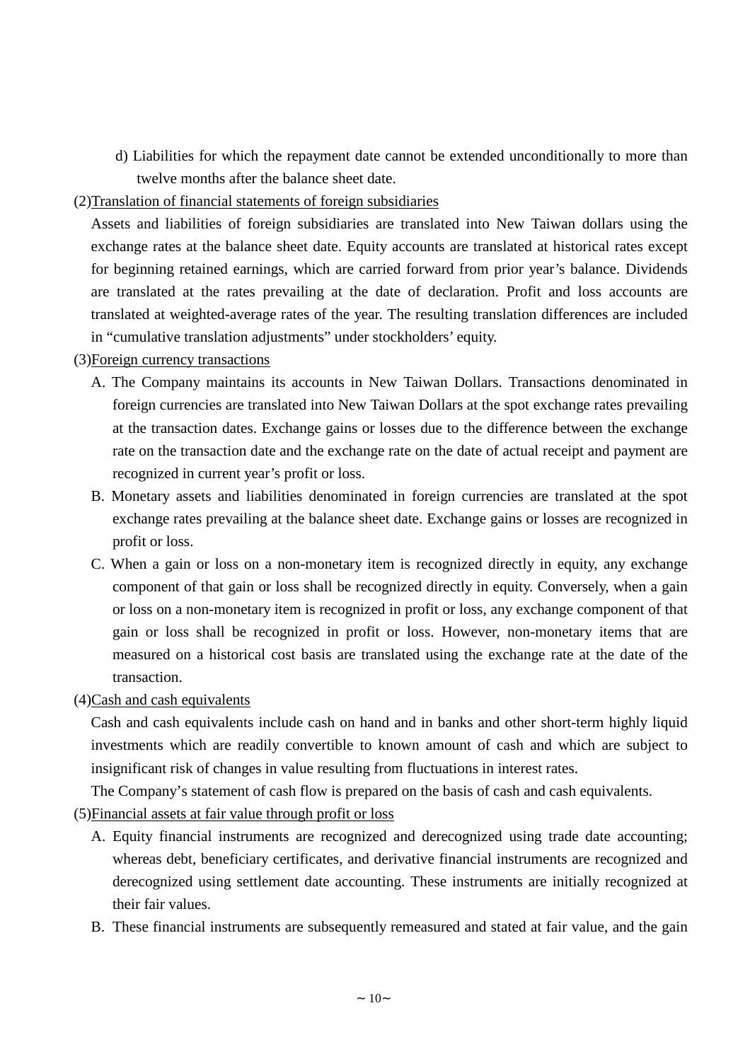d) Liabilities for which the repayment date cannot be extended unconditionally to more than twelve months after the balance sheet date.

## (2)Translation of financial statements of foreign subsidiaries

Assets and liabilities of foreign subsidiaries are translated into New Taiwan dollars using the exchange rates at the balance sheet date. Equity accounts are translated at historical rates except for beginning retained earnings, which are carried forward from prior year's balance. Dividends are translated at the rates prevailing at the date of declaration. Profit and loss accounts are translated at weighted-average rates of the year. The resulting translation differences are included in "cumulative translation adjustments" under stockholders'equity.

### (3)Foreign currency transactions

- A. The Company maintains its accounts in New Taiwan Dollars. Transactions denominated in foreign currencies are translated into New Taiwan Dollars at the spot exchange rates prevailing at the transaction dates. Exchange gains or losses due to the difference between the exchange rate on the transaction date and the exchange rate on the date of actual receipt and payment are recognized in current year's profit or loss.
- B. Monetary assets and liabilities denominated in foreign currencies are translated at the spot exchange rates prevailing at the balance sheet date. Exchange gains or losses are recognized in profit or loss.
- C. When a gain or loss on a non-monetary item is recognized directly in equity, any exchange component of that gain or loss shall be recognized directly in equity. Conversely, when a gain or loss on a non-monetary item is recognized in profit or loss, any exchange component of that gain or loss shall be recognized in profit or loss. However, non-monetary items that are measured on a historical cost basis are translated using the exchange rate at the date of the transaction.
- (4)Cash and cash equivalents

Cash and cash equivalents include cash on hand and in banks and other short-term highly liquid investments which are readily convertible to known amount of cash and which are subject to insignificant risk of changes in value resulting from fluctuations in interest rates.

The Company's statement of cash flow is prepared on the basis of cash and cash equivalents.

- (5)Financial assets at fair value through profit or loss
	- A. Equity financial instruments are recognized and derecognized using trade date accounting; whereas debt, beneficiary certificates, and derivative financial instruments are recognized and derecognized using settlement date accounting. These instruments are initially recognized at their fair values.
	- B. These financial instruments are subsequently remeasured and stated at fair value, and the gain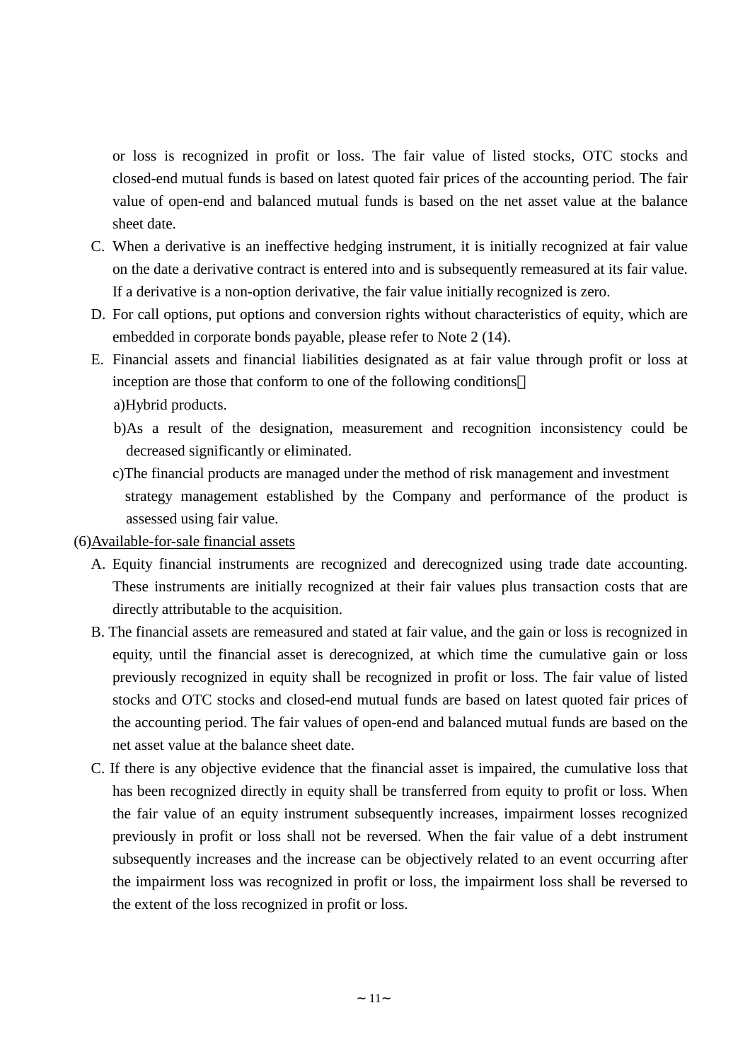or loss is recognized in profit or loss. The fair value of listed stocks, OTC stocks and closed-end mutual funds is based on latest quoted fair prices of the accounting period. The fair value of open-end and balanced mutual funds is based on the net asset value at the balance sheet date.

- C. When a derivative is an ineffective hedging instrument, it is initially recognized at fair value on the date a derivative contract is entered into and is subsequently remeasured at its fair value. If a derivative is a non-option derivative, the fair value initially recognized is zero.
- D. For call options, put options and conversion rights without characteristics of equity, which are embedded in corporate bonds payable, please refer to Note 2 (14).
- E. Financial assets and financial liabilities designated as at fair value through profit or loss at inception are those that conform to one of the following conditions a)Hybrid products.
	- b)As a result of the designation, measurement and recognition inconsistency could be decreased significantly or eliminated.
	- c)The financial products are managed under the method of risk management and investment strategy management established by the Company and performance of the product is assessed using fair value.
- (6)Available-for-sale financial assets
	- A. Equity financial instruments are recognized and derecognized using trade date accounting. These instruments are initially recognized at their fair values plus transaction costs that are directly attributable to the acquisition.
	- B. The financial assets are remeasured and stated at fair value, and the gain or loss is recognized in equity, until the financial asset is derecognized, at which time the cumulative gain or loss previously recognized in equity shall be recognized in profit or loss. The fair value of listed stocks and OTC stocks and closed-end mutual funds are based on latest quoted fair prices of the accounting period. The fair values of open-end and balanced mutual funds are based on the net asset value at the balance sheet date.
	- C. If there is any objective evidence that the financial asset is impaired, the cumulative loss that has been recognized directly in equity shall be transferred from equity to profit or loss. When the fair value of an equity instrument subsequently increases, impairment losses recognized previously in profit or loss shall not be reversed. When the fair value of a debt instrument subsequently increases and the increase can be objectively related to an event occurring after the impairment loss was recognized in profit or loss, the impairment loss shall be reversed to the extent of the loss recognized in profit or loss.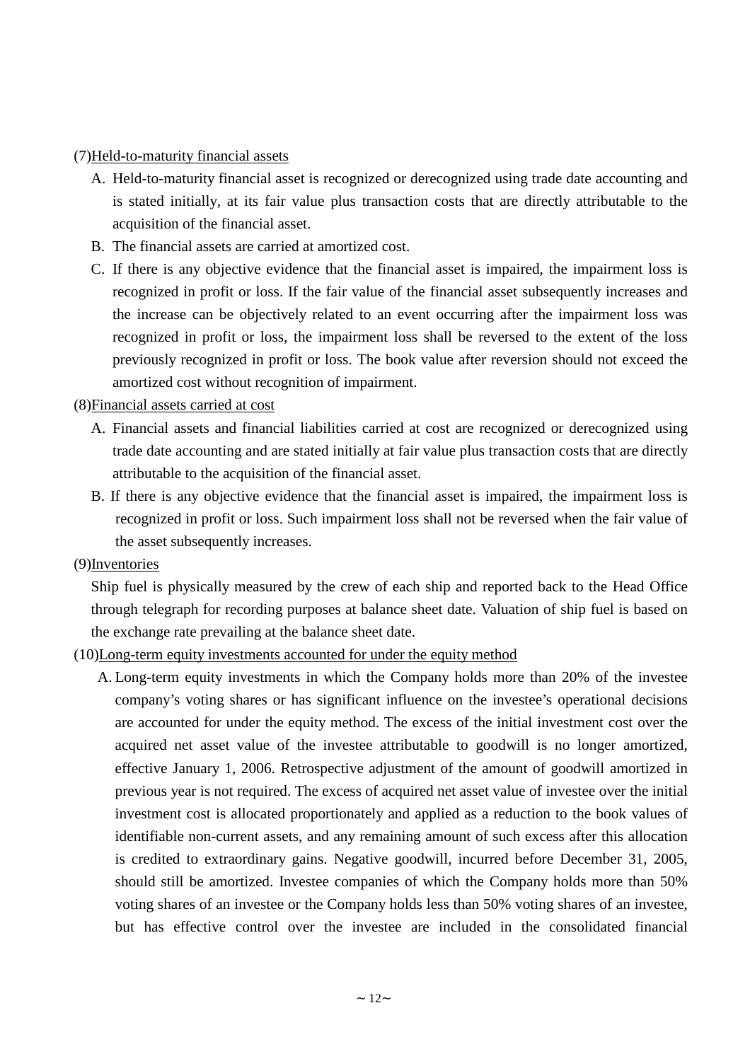#### (7)Held-to-maturity financial assets

- A. Held-to-maturity financial asset is recognized or derecognized using trade date accounting and is stated initially, at its fair value plus transaction costs that are directly attributable to the acquisition of the financial asset.
- B. The financial assets are carried at amortized cost.
- C. If there is any objective evidence that the financial asset is impaired, the impairment loss is recognized in profit or loss. If the fair value of the financial asset subsequently increases and the increase can be objectively related to an event occurring after the impairment loss was recognized in profit or loss, the impairment loss shall be reversed to the extent of the loss previously recognized in profit or loss. The book value after reversion should not exceed the amortized cost without recognition of impairment.

### (8)Financial assets carried at cost

- A. Financial assets and financial liabilities carried at cost are recognized or derecognized using trade date accounting and are stated initially at fair value plus transaction costs that are directly attributable to the acquisition of the financial asset.
- B. If there is any objective evidence that the financial asset is impaired, the impairment loss is recognized in profit or loss. Such impairment loss shall not be reversed when the fair value of the asset subsequently increases.

#### (9)Inventories

Ship fuel is physically measured by the crew of each ship and reported back to the Head Office through telegraph for recording purposes at balance sheet date. Valuation of ship fuel is based on the exchange rate prevailing at the balance sheet date.

### (10)Long-term equity investments accounted for under the equity method

A. Long-term equity investments in which the Company holds more than 20% of the investee company's voting shares or has significant influence on the investee's operational decisions are accounted for under the equity method. The excess of the initial investment cost over the acquired net asset value of the investee attributable to goodwill is no longer amortized, effective January 1, 2006. Retrospective adjustment of the amount of goodwill amortized in previous year is not required. The excess of acquired net asset value of investee over the initial investment cost is allocated proportionately and applied as a reduction to the book values of identifiable non-current assets, and any remaining amount of such excess after this allocation is credited to extraordinary gains. Negative goodwill, incurred before December 31, 2005, should still be amortized. Investee companies of which the Company holds more than 50% voting shares of an investee or the Company holds less than 50% voting shares of an investee, but has effective control over the investee are included in the consolidated financial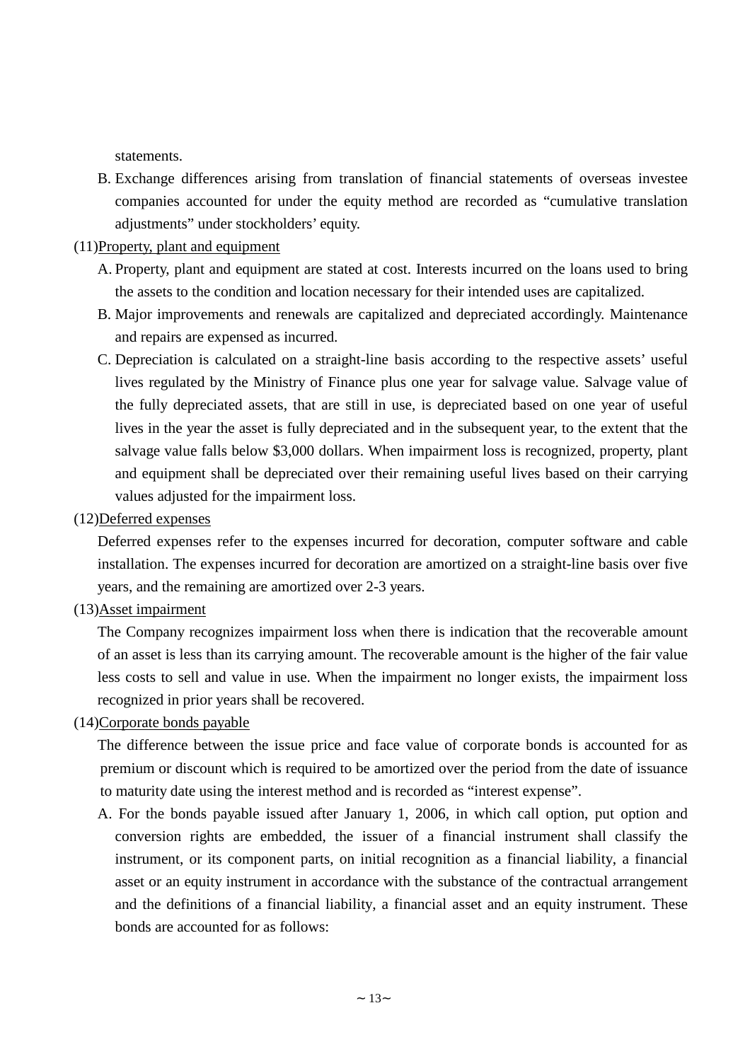statements.

- B. Exchange differences arising from translation of financial statements of overseas investee companies accounted for under the equity method are recorded as "cumulative translation adjustments" under stockholders'equity.
- (11)Property, plant and equipment
	- A. Property, plant and equipment are stated at cost. Interests incurred on the loans used to bring the assets to the condition and location necessary for their intended uses are capitalized.
	- B. Major improvements and renewals are capitalized and depreciated accordingly. Maintenance and repairs are expensed as incurred.
	- C. Depreciation is calculated on a straight-line basis according to the respective assets' useful lives regulated by the Ministry of Finance plus one year for salvage value. Salvage value of the fully depreciated assets, that are still in use, is depreciated based on one year of useful lives in the year the asset is fully depreciated and in the subsequent year, to the extent that the salvage value falls below \$3,000 dollars. When impairment loss is recognized, property, plant and equipment shall be depreciated over their remaining useful lives based on their carrying values adjusted for the impairment loss.
- (12)Deferred expenses

Deferred expenses refer to the expenses incurred for decoration, computer software and cable installation. The expenses incurred for decoration are amortized on a straight-line basis over five years, and the remaining are amortized over 2-3 years.

(13)Asset impairment

The Company recognizes impairment loss when there is indication that the recoverable amount of an asset is less than its carrying amount. The recoverable amount is the higher of the fair value less costs to sell and value in use. When the impairment no longer exists, the impairment loss recognized in prior years shall be recovered.

(14)Corporate bonds payable

The difference between the issue price and face value of corporate bonds is accounted for as premium or discount which is required to be amortized over the period from the date of issuance to maturity date using the interest method and is recorded as "interest expense".

A. For the bonds payable issued after January 1, 2006, in which call option, put option and conversion rights are embedded, the issuer of a financial instrument shall classify the instrument, or its component parts, on initial recognition as a financial liability, a financial asset or an equity instrument in accordance with the substance of the contractual arrangement and the definitions of a financial liability, a financial asset and an equity instrument. These bonds are accounted for as follows: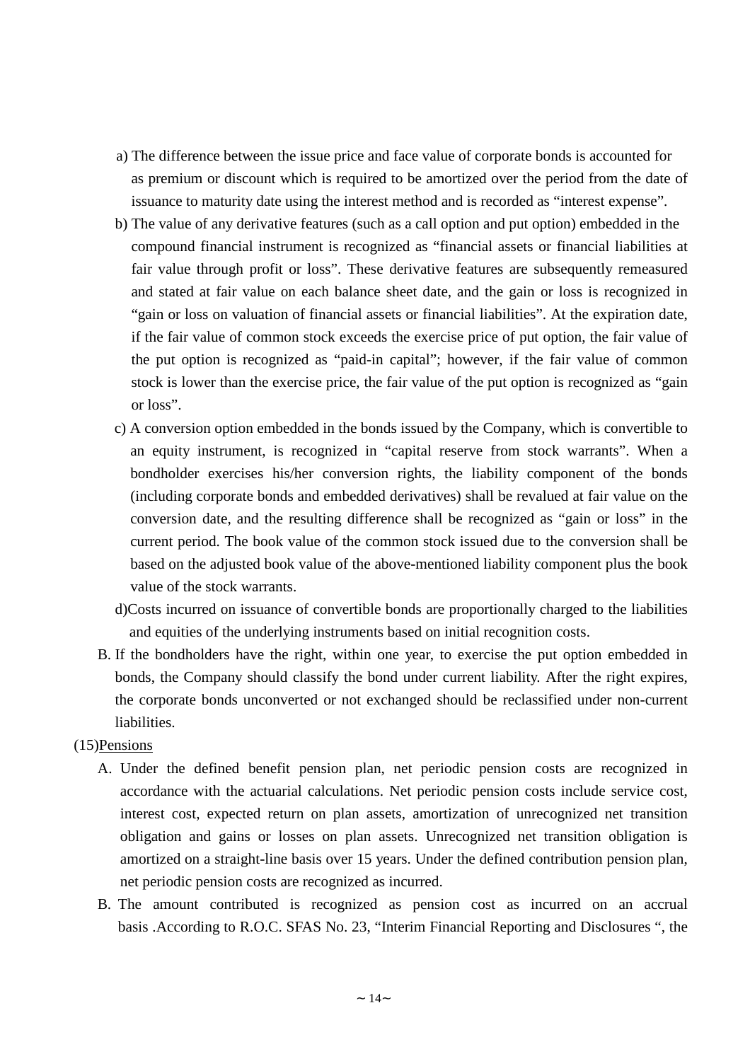- a) The difference between the issue price and face value of corporate bonds is accounted for as premium or discount which is required to be amortized over the period from the date of issuance to maturity date using the interest method and is recorded as "interest expense".
- b) The value of any derivative features (such as a call option and put option) embedded in the compound financial instrument is recognized as "financial assets or financial liabilities at fair value through profit or loss". These derivative features are subsequently remeasured and stated at fair value on each balance sheet date, and the gain or loss is recognized in "gain or loss on valuation of financial assets or financial liabilities". At the expiration date, if the fair value of common stock exceeds the exercise price of put option, the fair value of the put option is recognized as "paid-in capital"; however, if the fair value of common stock is lower than the exercise price, the fair value of the put option is recognized as "gain or loss".
- c) A conversion option embedded in the bonds issued by the Company, which is convertible to an equity instrument, is recognized in "capital reserve from stock warrants". When a bondholder exercises his/her conversion rights, the liability component of the bonds (including corporate bonds and embedded derivatives) shall be revalued at fair value on the conversion date, and the resulting difference shall be recognized as "gain or loss" in the current period. The book value of the common stock issued due to the conversion shall be based on the adjusted book value of the above-mentioned liability component plus the book value of the stock warrants.
- d)Costs incurred on issuance of convertible bonds are proportionally charged to the liabilities and equities of the underlying instruments based on initial recognition costs.
- B. If the bondholders have the right, within one year, to exercise the put option embedded in bonds, the Company should classify the bond under current liability. After the right expires, the corporate bonds unconverted or not exchanged should be reclassified under non-current liabilities.

### (15)Pensions

- A. Under the defined benefit pension plan, net periodic pension costs are recognized in accordance with the actuarial calculations. Net periodic pension costs include service cost, interest cost, expected return on plan assets, amortization of unrecognized net transition obligation and gains or losses on plan assets. Unrecognized net transition obligation is amortized on a straight-line basis over 15 years. Under the defined contribution pension plan, net periodic pension costs are recognized as incurred.
- B. The amount contributed is recognized as pension cost as incurred on an accrual basis .According to R.O.C. SFAS No. 23, "Interim Financial Reporting and Disclosures ", the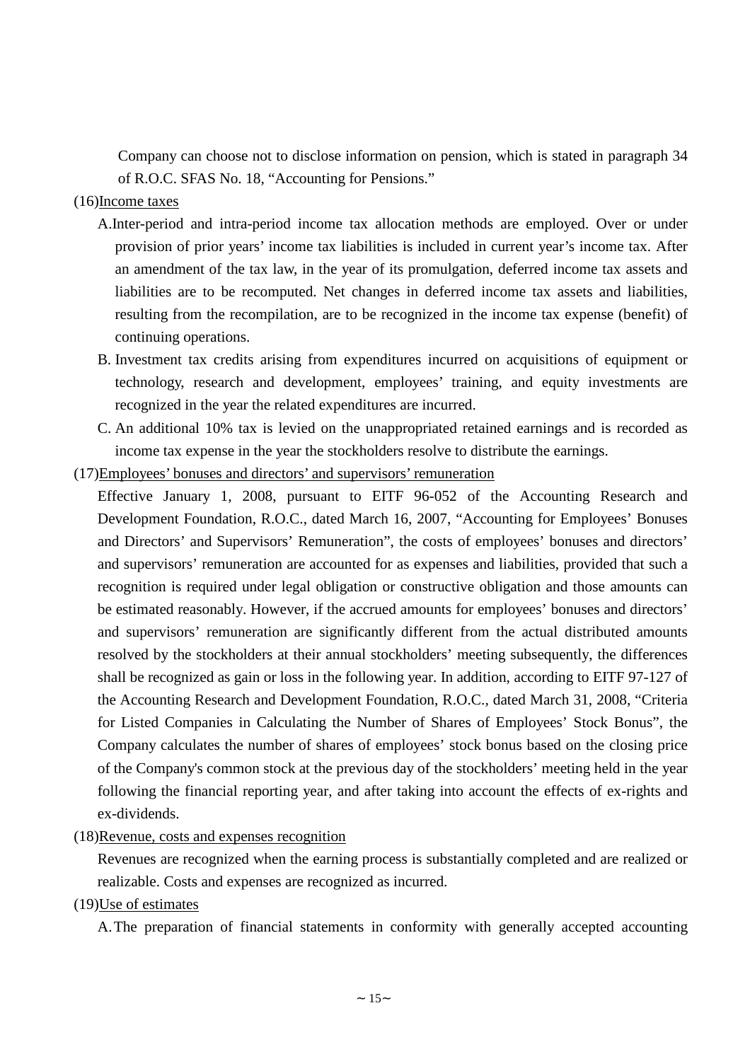Company can choose not to disclose information on pension, which is stated in paragraph 34 of R.O.C. SFAS No. 18, "Accounting for Pensions."

#### (16)Income taxes

- A.Inter-period and intra-period income tax allocation methods are employed. Over or under provision of prior years'income tax liabilities is included in current year's income tax. After an amendment of the tax law, in the year of its promulgation, deferred income tax assets and liabilities are to be recomputed. Net changes in deferred income tax assets and liabilities, resulting from the recompilation, are to be recognized in the income tax expense (benefit) of continuing operations.
- B. Investment tax credits arising from expenditures incurred on acquisitions of equipment or technology, research and development, employees' training, and equity investments are recognized in the year the related expenditures are incurred.
- C. An additional 10% tax is levied on the unappropriated retained earnings and is recorded as income tax expense in the year the stockholders resolve to distribute the earnings.
- (17)Employees'bonuses and directors'and supervisors'remuneration
	- Effective January 1, 2008, pursuant to EITF 96-052 of the Accounting Research and Development Foundation, R.O.C., dated March 16, 2007, "Accounting for Employees' Bonuses and Directors' and Supervisors' Remuneration", the costs of employees' bonuses and directors' and supervisors'remuneration are accounted for as expenses and liabilities, provided that such a recognition is required under legal obligation or constructive obligation and those amounts can be estimated reasonably. However, if the accrued amounts for employees' bonuses and directors' and supervisors' remuneration are significantly different from the actual distributed amounts resolved by the stockholders at their annual stockholders' meeting subsequently, the differences shall be recognized as gain or loss in the following year. In addition, according to EITF 97-127 of the Accounting Research and Development Foundation, R.O.C., dated March 31, 2008, "Criteria for Listed Companies in Calculating the Number of Shares of Employees' Stock Bonus", the Company calculates the number of shares of employees' stock bonus based on the closing price of the Company's common stock at the previous day of the stockholders'meeting held in the year following the financial reporting year, and after taking into account the effects of ex-rights and ex-dividends.
- (18)Revenue, costs and expenses recognition

Revenues are recognized when the earning process is substantially completed and are realized or realizable. Costs and expenses are recognized as incurred.

(19)Use of estimates

A.The preparation of financial statements in conformity with generally accepted accounting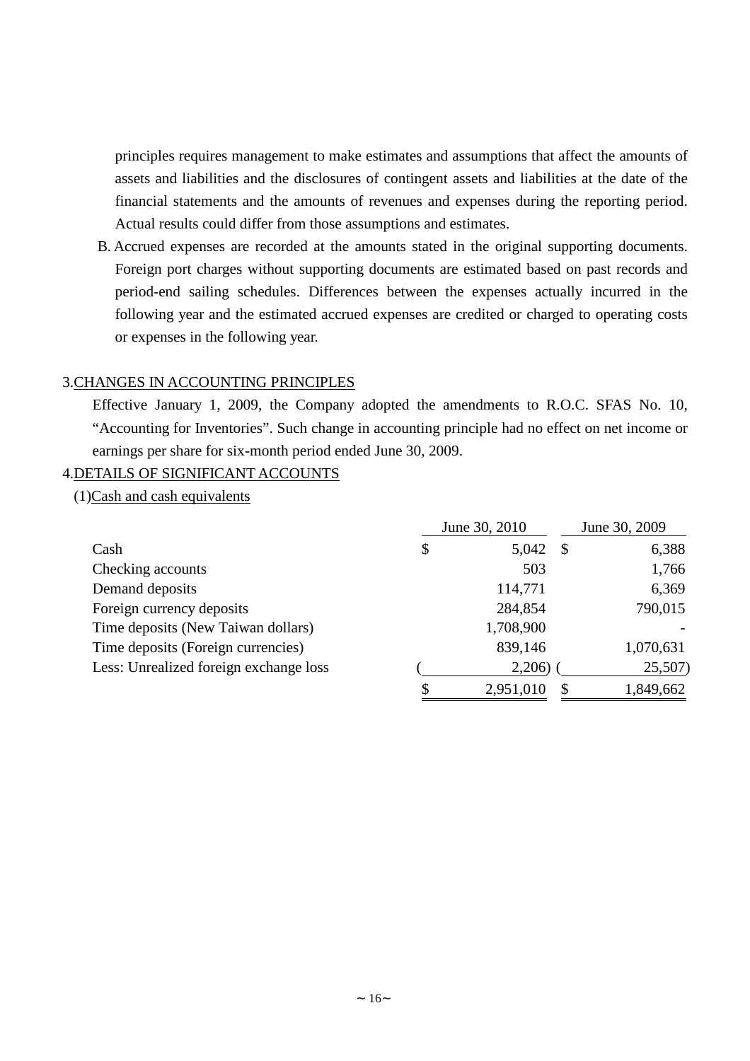principles requires management to make estimates and assumptions that affect the amounts of assets and liabilities and the disclosures of contingent assets and liabilities at the date of the financial statements and the amounts of revenues and expenses during the reporting period. Actual results could differ from those assumptions and estimates.

B. Accrued expenses are recorded at the amounts stated in the original supporting documents. Foreign port charges without supporting documents are estimated based on past records and period-end sailing schedules. Differences between the expenses actually incurred in the following year and the estimated accrued expenses are credited or charged to operating costs or expenses in the following year.

### 3.CHANGES IN ACCOUNTING PRINCIPLES

Effective January 1, 2009, the Company adopted the amendments to R.O.C. SFAS No. 10, "Accounting for Inventories". Such change in accounting principle had no effect on net income or earnings per share for six-month period ended June 30, 2009.

## 4.DETAILS OF SIGNIFICANT ACCOUNTS

(1)Cash and cash equivalents

|                                        | June 30, 2010   |      | June 30, 2009 |  |
|----------------------------------------|-----------------|------|---------------|--|
| Cash                                   | \$<br>5,042     | - \$ | 6,388         |  |
| Checking accounts                      | 503             |      | 1,766         |  |
| Demand deposits                        | 114,771         |      | 6,369         |  |
| Foreign currency deposits              | 284,854         |      | 790,015       |  |
| Time deposits (New Taiwan dollars)     | 1,708,900       |      |               |  |
| Time deposits (Foreign currencies)     | 839,146         |      | 1,070,631     |  |
| Less: Unrealized foreign exchange loss | 2,206)          |      | 25,507        |  |
|                                        | \$<br>2,951,010 |      | 1,849,662     |  |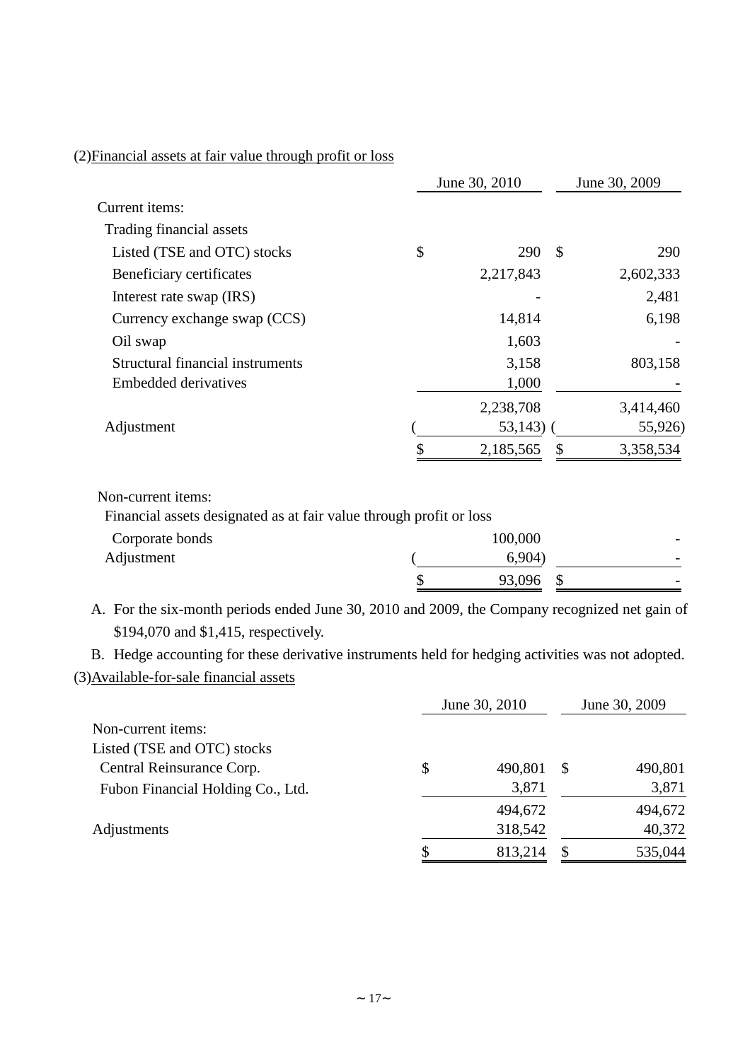## (2)Financial assets at fair value through profit or loss

|                                  | June 30, 2010 |            |               | June 30, 2009 |
|----------------------------------|---------------|------------|---------------|---------------|
| Current items:                   |               |            |               |               |
| Trading financial assets         |               |            |               |               |
| Listed (TSE and OTC) stocks      | \$            | 290        | $\mathcal{S}$ | 290           |
| Beneficiary certificates         |               | 2,217,843  |               | 2,602,333     |
| Interest rate swap (IRS)         |               |            |               | 2,481         |
| Currency exchange swap (CCS)     |               | 14,814     |               | 6,198         |
| Oil swap                         |               | 1,603      |               |               |
| Structural financial instruments |               | 3,158      |               | 803,158       |
| Embedded derivatives             |               | 1,000      |               |               |
|                                  |               | 2,238,708  |               | 3,414,460     |
| Adjustment                       |               | $53,143$ ) |               | 55,926)       |
|                                  |               | 2,185,565  |               | 3,358,534     |
|                                  |               |            |               |               |

Non-current items:

Financial assets designated as at fair value through profit or loss

| Corporate bonds | 100,000 | $\overline{\phantom{0}}$ |
|-----------------|---------|--------------------------|
| Adjustment      | 6,904   | $\overline{\phantom{0}}$ |
|                 | 93,096  | $\overline{\phantom{0}}$ |

A. For the six-month periods ended June 30, 2010 and 2009, the Company recognized net gain of \$194,070 and \$1,415, respectively.

B. Hedge accounting for these derivative instruments held for hedging activities was not adopted. (3)Available-for-sale financial assets

|                                   | June 30, 2010 | June 30, 2009 |    |         |
|-----------------------------------|---------------|---------------|----|---------|
| Non-current items:                |               |               |    |         |
| Listed (TSE and OTC) stocks       |               |               |    |         |
| Central Reinsurance Corp.         | \$            | 490,801       | \$ | 490,801 |
| Fubon Financial Holding Co., Ltd. |               | 3,871         |    | 3,871   |
|                                   |               | 494,672       |    | 494,672 |
| Adjustments                       |               | 318,542       |    | 40,372  |
|                                   | Я             | 813,214       |    | 535,044 |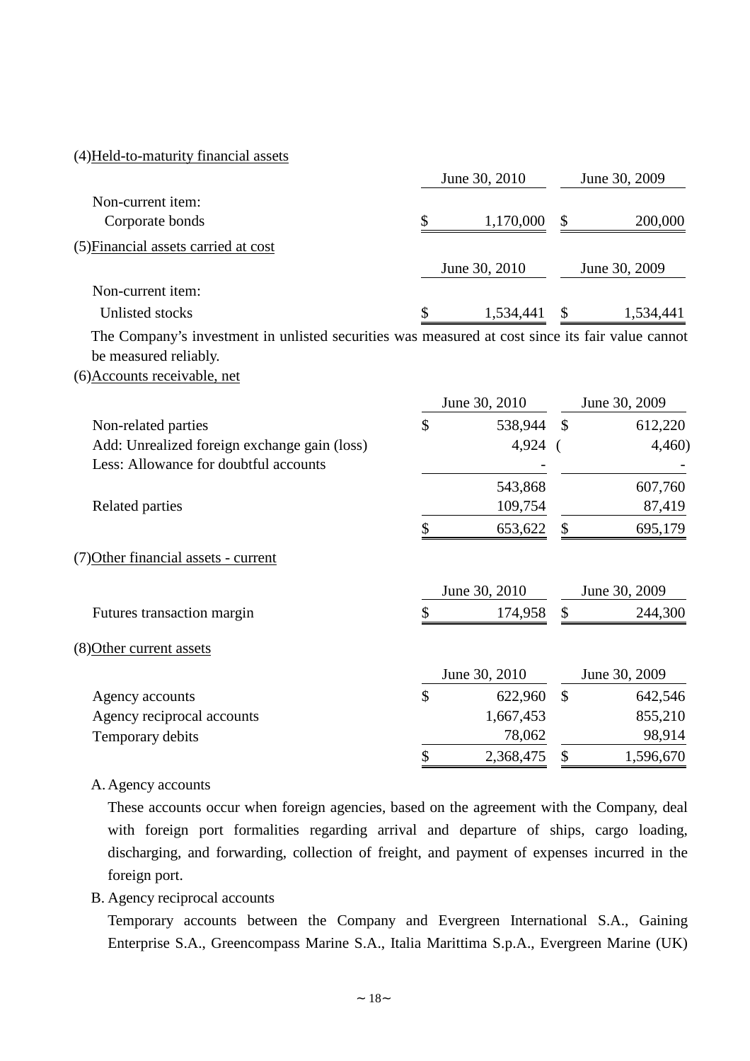#### (4)Held-to-maturity financial assets

|                                                                                                  |                     | June 30, 2010 |               | June 30, 2009 |
|--------------------------------------------------------------------------------------------------|---------------------|---------------|---------------|---------------|
| Non-current item:                                                                                |                     |               |               |               |
| Corporate bonds                                                                                  | \$                  | 1,170,000     | \$            | 200,000       |
| (5) Financial assets carried at cost                                                             |                     |               |               |               |
|                                                                                                  |                     | June 30, 2010 |               | June 30, 2009 |
| Non-current item:                                                                                |                     |               |               |               |
| Unlisted stocks                                                                                  |                     | 1,534,441     | \$            | 1,534,441     |
| The Company's investment in unlisted securities was measured at cost since its fair value cannot |                     |               |               |               |
| be measured reliably.                                                                            |                     |               |               |               |
| (6) Accounts receivable, net                                                                     |                     |               |               |               |
|                                                                                                  |                     | June 30, 2010 |               | June 30, 2009 |
| Non-related parties                                                                              | \$                  | 538,944       | $\mathcal{S}$ | 612,220       |
| Add: Unrealized foreign exchange gain (loss)                                                     |                     | 4,924 (       |               | 4,460         |
| Less: Allowance for doubtful accounts                                                            |                     |               |               |               |
|                                                                                                  |                     | 543,868       |               | 607,760       |
| Related parties                                                                                  |                     | 109,754       |               | 87,419        |
|                                                                                                  | \$                  | 653,622       | \$            | 695,179       |
| (7) Other financial assets - current                                                             |                     |               |               |               |
|                                                                                                  |                     | June 30, 2010 |               | June 30, 2009 |
| Futures transaction margin                                                                       | \$                  | 174,958       | \$            | 244,300       |
| (8) Other current assets                                                                         |                     |               |               |               |
|                                                                                                  |                     | June 30, 2010 |               | June 30, 2009 |
| Agency accounts                                                                                  | $\hat{\mathcal{L}}$ | 622,960       | $\mathbb{S}$  | 642,546       |
| Agency reciprocal accounts                                                                       |                     | 1,667,453     |               | 855,210       |
| Temporary debits                                                                                 |                     | 78,062        |               | 98,914        |
|                                                                                                  | \$                  | 2,368,475     | \$            | 1,596,670     |

#### A.Agency accounts

These accounts occur when foreign agencies, based on the agreement with the Company, deal with foreign port formalities regarding arrival and departure of ships, cargo loading, discharging, and forwarding, collection of freight, and payment of expenses incurred in the foreign port.

B. Agency reciprocal accounts

Temporary accounts between the Company and Evergreen International S.A., Gaining Enterprise S.A., Greencompass Marine S.A., Italia Marittima S.p.A., Evergreen Marine (UK)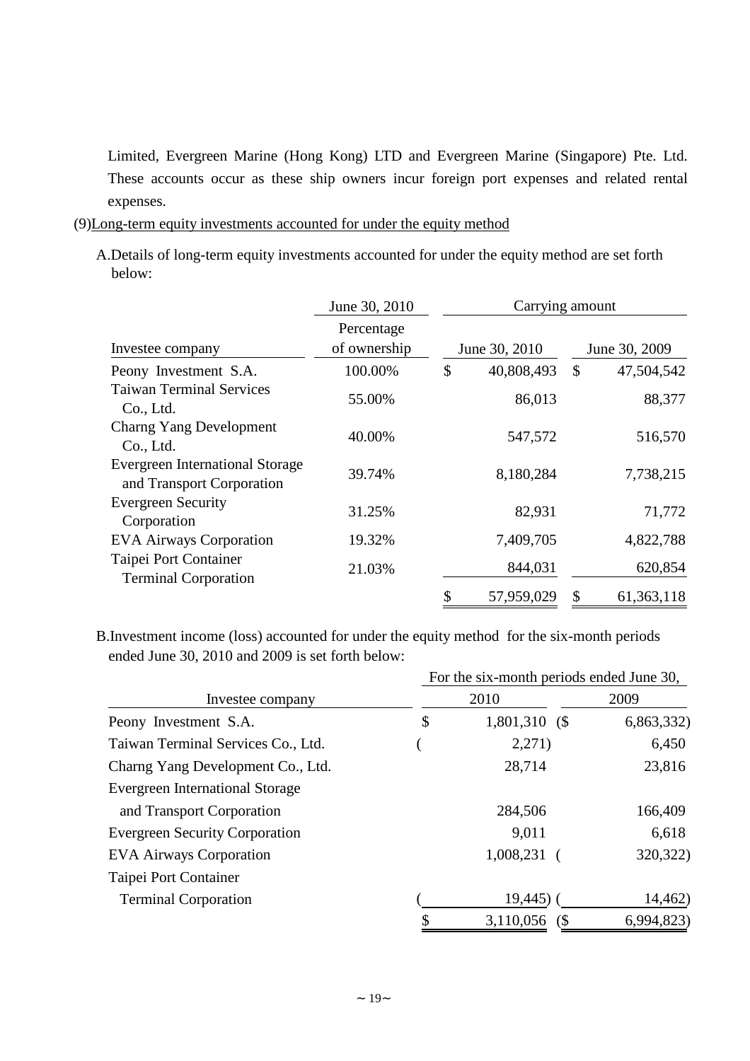Limited, Evergreen Marine (Hong Kong) LTD and Evergreen Marine (Singapore) Pte. Ltd. These accounts occur as these ship owners incur foreign port expenses and related rental expenses.

- (9)Long-term equity investments accounted for under the equity method
	- A.Details of long-term equity investments accounted for under the equity method are set forth below:

|                                                                     | June 30, 2010              |    | Carrying amount |    |               |
|---------------------------------------------------------------------|----------------------------|----|-----------------|----|---------------|
| Investee company                                                    | Percentage<br>of ownership |    | June 30, 2010   |    | June 30, 2009 |
| Peony Investment S.A.                                               | 100.00%                    | \$ | 40,808,493      | \$ | 47,504,542    |
| <b>Taiwan Terminal Services</b><br>Co., Ltd.                        | 55.00%                     |    | 86,013          |    | 88,377        |
| Charng Yang Development<br>Co., Ltd.                                | 40.00%                     |    | 547,572         |    | 516,570       |
| <b>Evergreen International Storage</b><br>and Transport Corporation | 39.74%                     |    | 8,180,284       |    | 7,738,215     |
| <b>Evergreen Security</b><br>Corporation                            | 31.25%                     |    | 82,931          |    | 71,772        |
| <b>EVA Airways Corporation</b>                                      | 19.32%                     |    | 7,409,705       |    | 4,822,788     |
| Taipei Port Container<br><b>Terminal Corporation</b>                | 21.03%                     |    | 844,031         |    | 620,854       |
|                                                                     |                            | \$ | 57,959,029      | \$ | 61,363,118    |

ended June 30, 2010 and 2009 is set forth below: B.Investment income (loss) accounted for under the equity method for the six-month periods

|                                        | For the six-month periods ended June 30, |                 |            |  |  |  |  |
|----------------------------------------|------------------------------------------|-----------------|------------|--|--|--|--|
| Investee company                       |                                          | 2010            | 2009       |  |  |  |  |
| Peony Investment S.A.                  | \$                                       | 1,801,310<br>(S | 6,863,332) |  |  |  |  |
| Taiwan Terminal Services Co., Ltd.     |                                          | 2,271)          | 6,450      |  |  |  |  |
| Charng Yang Development Co., Ltd.      |                                          | 28,714          | 23,816     |  |  |  |  |
| <b>Evergreen International Storage</b> |                                          |                 |            |  |  |  |  |
| and Transport Corporation              |                                          | 284,506         | 166,409    |  |  |  |  |
| <b>Evergreen Security Corporation</b>  |                                          | 9,011           | 6,618      |  |  |  |  |
| <b>EVA Airways Corporation</b>         |                                          | 1,008,231       | 320,322)   |  |  |  |  |
| Taipei Port Container                  |                                          |                 |            |  |  |  |  |
| <b>Terminal Corporation</b>            |                                          | $19,445$ ) (    | 14,462)    |  |  |  |  |
|                                        | \$                                       | 3,110,056 (\$   | 6,994,823  |  |  |  |  |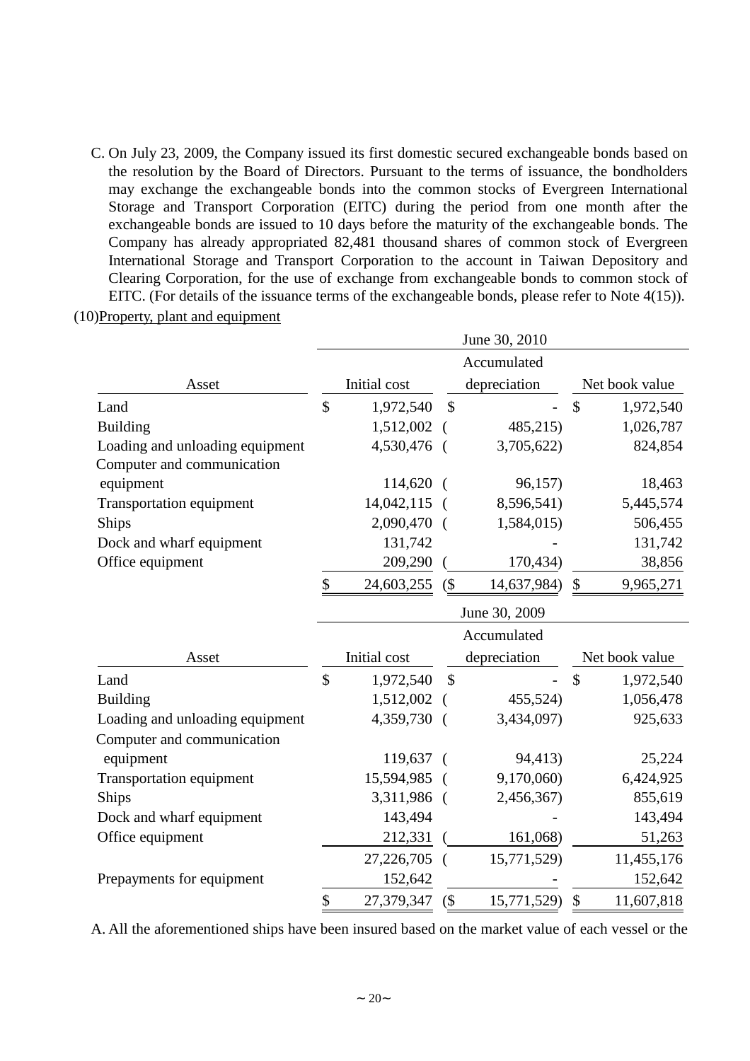C. On July 23, 2009, the Company issued its first domestic secured exchangeable bonds based on the resolution by the Board of Directors. Pursuant to the terms of issuance, the bondholders may exchange the exchangeable bonds into the common stocks of Evergreen International Storage and Transport Corporation (EITC) during the period from one month after the exchangeable bonds are issued to 10 days before the maturity of the exchangeable bonds. The Company has already appropriated 82,481 thousand shares of common stock of Evergreen International Storage and Transport Corporation to the account in Taiwan Depository and Clearing Corporation, for the use of exchange from exchangeable bonds to common stock of EITC. (For details of the issuance terms of the exchangeable bonds, please refer to Note 4(15)).

|                                         | June 30, 2010 |              |               |               |                |                |  |
|-----------------------------------------|---------------|--------------|---------------|---------------|----------------|----------------|--|
|                                         |               |              |               | Accumulated   |                |                |  |
| Asset                                   | Initial cost  |              |               | depreciation  | Net book value |                |  |
| Land                                    | \$            | 1,972,540    | $\mathcal{S}$ |               | \$             | 1,972,540      |  |
| <b>Building</b>                         |               | 1,512,002    |               | 485,215)      |                | 1,026,787      |  |
| Loading and unloading equipment         |               | 4,530,476    |               | 3,705,622)    |                | 824,854        |  |
| Computer and communication              |               |              |               |               |                |                |  |
| equipment                               |               | 114,620      |               | 96,157)       |                | 18,463         |  |
| <b>Transportation equipment</b>         |               | 14,042,115   |               | 8,596,541)    |                | 5,445,574      |  |
| Ships                                   |               | 2,090,470    |               | 1,584,015)    |                | 506,455        |  |
| Dock and wharf equipment                |               | 131,742      |               |               |                | 131,742        |  |
| Office equipment                        |               | 209,290      |               | 170,434)      |                | 38,856         |  |
|                                         | \$            | 24,603,255   | $($ \$        | 14,637,984)   | \$             | 9,965,271      |  |
|                                         |               |              |               | June 30, 2009 |                |                |  |
|                                         |               |              |               | Accumulated   |                |                |  |
|                                         |               |              |               |               |                |                |  |
| Asset                                   |               | Initial cost |               | depreciation  |                | Net book value |  |
| Land                                    | \$            | 1,972,540    | $\mathcal{S}$ |               | $\mathcal{S}$  | 1,972,540      |  |
| <b>Building</b>                         |               | 1,512,002    |               | 455,524)      |                | 1,056,478      |  |
| Loading and unloading equipment         |               | 4,359,730    |               | 3,434,097)    |                | 925,633        |  |
|                                         |               |              |               |               |                |                |  |
| Computer and communication<br>equipment |               | 119,637      |               | 94,413)       |                | 25,224         |  |
| <b>Transportation equipment</b>         |               | 15,594,985   |               | 9,170,060)    |                | 6,424,925      |  |
| Ships                                   |               | 3,311,986    | $\sqrt{ }$    | 2,456,367)    |                | 855,619        |  |
| Dock and wharf equipment                |               | 143,494      |               |               |                | 143,494        |  |
| Office equipment                        |               | 212,331      |               | 161,068)      |                | 51,263         |  |
|                                         |               | 27,226,705   |               | 15,771,529)   |                | 11,455,176     |  |
| Prepayments for equipment               |               | 152,642      |               |               |                | 152,642        |  |

(10)Property, plant and equipment

A. All the aforementioned ships have been insured based on the market value of each vessel or the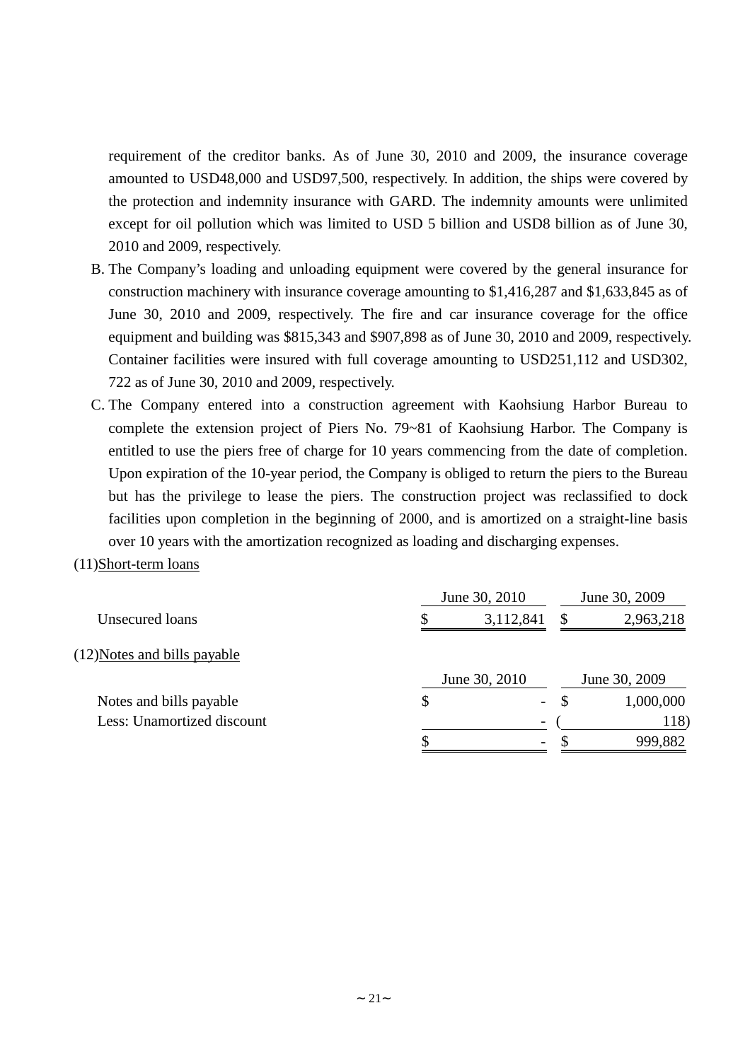requirement of the creditor banks. As of June 30, 2010 and 2009, the insurance coverage amounted to USD48,000 and USD97,500, respectively. In addition, the ships were covered by the protection and indemnity insurance with GARD. The indemnity amounts were unlimited except for oil pollution which was limited to USD 5 billion and USD8 billion as of June 30, 2010 and 2009, respectively.

- B. The Company's loading and unloading equipment were covered by the general insurance for construction machinery with insurance coverage amounting to \$1,416,287 and \$1,633,845 as of June 30, 2010 and 2009, respectively. The fire and car insurance coverage for the office equipment and building was \$815,343 and \$907,898 as of June 30, 2010 and 2009, respectively. Container facilities were insured with full coverage amounting to USD251,112 and USD302, 722 as of June 30, 2010 and 2009, respectively.
- C. The Company entered into a construction agreement with Kaohsiung Harbor Bureau to complete the extension project of Piers No. 79~81 of Kaohsiung Harbor. The Company is entitled to use the piers free of charge for 10 years commencing from the date of completion. Upon expiration of the 10-year period, the Company is obliged to return the piers to the Bureau but has the privilege to lease the piers. The construction project was reclassified to dock facilities upon completion in the beginning of 2000, and is amortized on a straight-line basis over 10 years with the amortization recognized as loading and discharging expenses.
- (11)Short-term loans

|                              | June 30, 2010 | June 30, 2009            |          |               |
|------------------------------|---------------|--------------------------|----------|---------------|
| Unsecured loans              | Ъ.            | 3,112,841                | <b>S</b> | 2,963,218     |
| (12) Notes and bills payable |               |                          |          |               |
|                              |               | June 30, 2010            |          | June 30, 2009 |
| Notes and bills payable      | \$            | $\sim$                   | -S       | 1,000,000     |
| Less: Unamortized discount   |               |                          |          | 118)          |
|                              |               | $\overline{\phantom{a}}$ |          | 999,882       |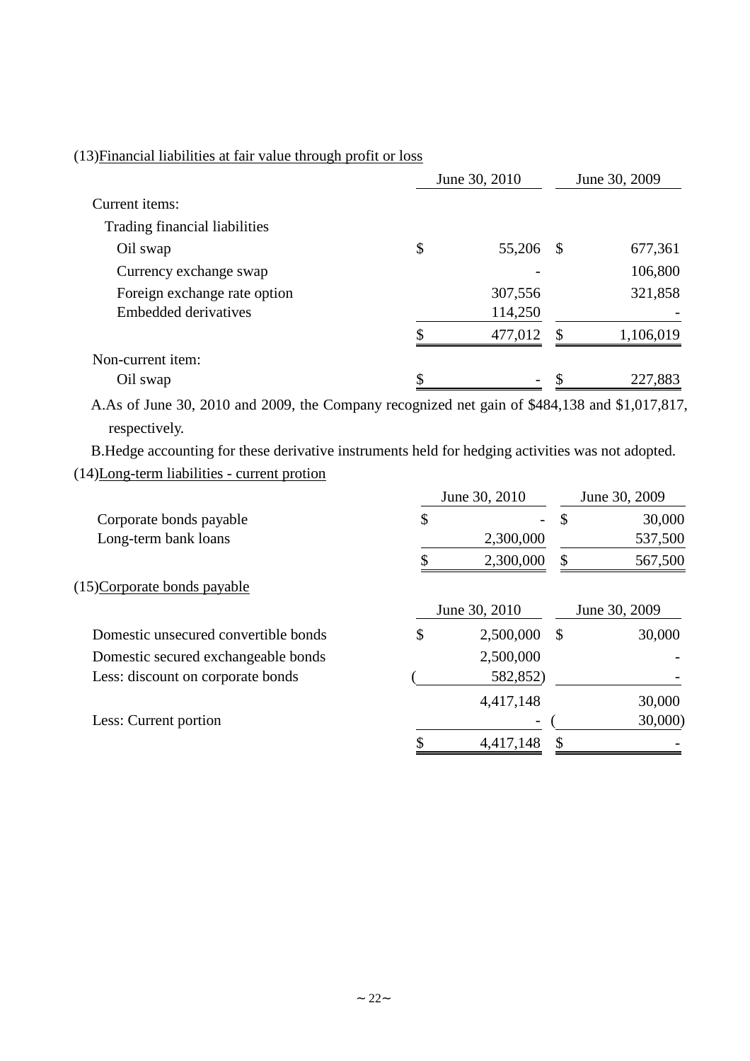## (13)Financial liabilities at fair value through profit or loss

|                               | June 30, 2010 | June 30, 2009 |      |           |
|-------------------------------|---------------|---------------|------|-----------|
| Current items:                |               |               |      |           |
| Trading financial liabilities |               |               |      |           |
| Oil swap                      | \$            | 55,206        | - \$ | 677,361   |
| Currency exchange swap        |               |               |      | 106,800   |
| Foreign exchange rate option  |               | 307,556       |      | 321,858   |
| <b>Embedded derivatives</b>   |               | 114,250       |      |           |
|                               |               | 477,012       |      | 1,106,019 |
| Non-current item:             |               |               |      |           |
| Oil swap                      |               | -             |      | 227,883   |

A.As of June 30, 2010 and 2009, the Company recognized net gain of \$484,138 and \$1,017,817, respectively.

B.Hedge accounting for these derivative instruments held for hedging activities was not adopted. (14)Long-term liabilities - current protion

| June 30, 2010   | June 30, 2009 |               |  |
|-----------------|---------------|---------------|--|
| \$              | S             | 30,000        |  |
| 2,300,000       |               | 537,500       |  |
| 2,300,000       | \$            | 567,500       |  |
|                 |               |               |  |
|                 |               | June 30, 2009 |  |
| \$<br>2,500,000 | \$            | 30,000        |  |
| 2,500,000       |               |               |  |
| 582,852)        |               |               |  |
| 4,417,148       |               | 30,000        |  |
|                 |               | 30,000        |  |
| 4,417,148       |               |               |  |
|                 | June 30, 2010 |               |  |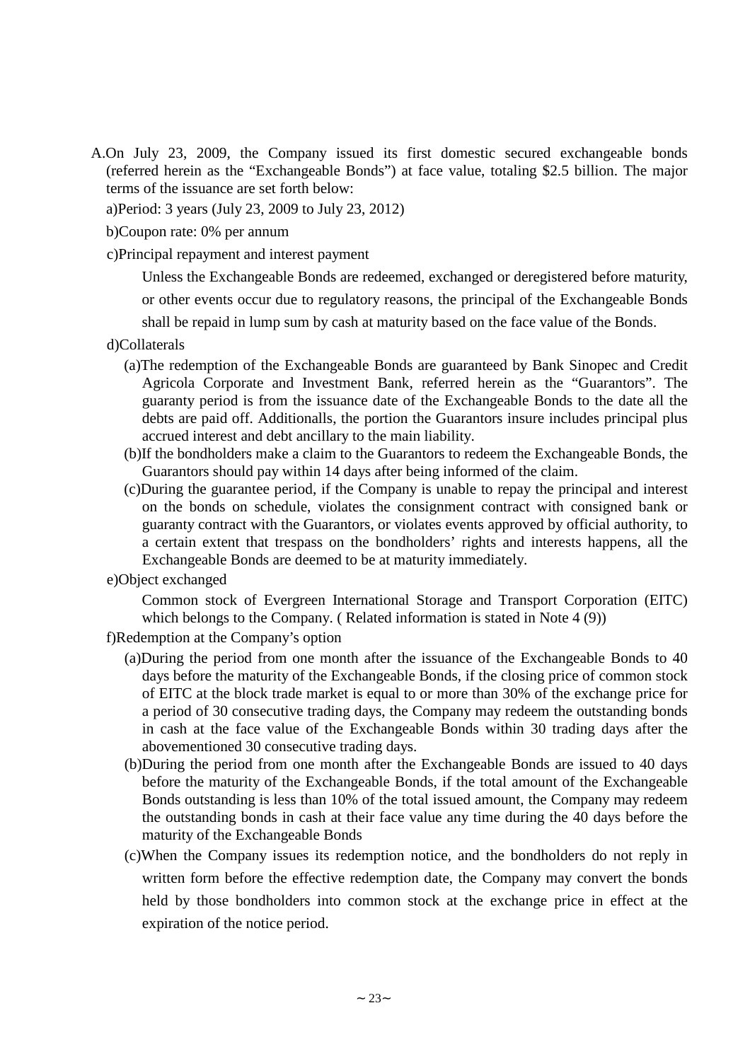- A.On July 23, 2009, the Company issued its first domestic secured exchangeable bonds (referred herein as the "Exchangeable Bonds") at face value, totaling \$2.5 billion. The major terms of the issuance are set forth below:
	- a)Period: 3 years (July 23, 2009 to July 23, 2012)
	- b)Coupon rate: 0% per annum
	- c)Principal repayment and interest payment
		- Unless the Exchangeable Bonds are redeemed, exchanged or deregistered before maturity,

or other events occur due to regulatory reasons, the principal of the Exchangeable Bonds

shall be repaid in lump sum by cash at maturity based on the face value of the Bonds.

- d)Collaterals
	- (a)The redemption of the Exchangeable Bonds are guaranteed by Bank Sinopec and Credit Agricola Corporate and Investment Bank, referred herein as the "Guarantors". The guaranty period is from the issuance date of the Exchangeable Bonds to the date all the debts are paid off. Additionalls, the portion the Guarantors insure includes principal plus accrued interest and debt ancillary to the main liability.
	- (b)If the bondholders make a claim to the Guarantors to redeem the Exchangeable Bonds, the Guarantors should pay within 14 days after being informed of the claim.
	- (c)During the guarantee period, if the Company is unable to repay the principal and interest on the bonds on schedule, violates the consignment contract with consigned bank or guaranty contract with the Guarantors, or violates events approved by official authority, to a certain extent that trespass on the bondholders' rights and interests happens, all the Exchangeable Bonds are deemed to be at maturity immediately.
- e)Object exchanged

Common stock of Evergreen International Storage and Transport Corporation (EITC) which belongs to the Company. (Related information is stated in Note 4 (9))

- f)Redemption at the Company's option
	- (a)During the period from one month after the issuance of the Exchangeable Bonds to 40 days before the maturity of the Exchangeable Bonds, if the closing price of common stock of EITC at the block trade market is equal to or more than 30% of the exchange price for a period of 30 consecutive trading days, the Company may redeem the outstanding bonds in cash at the face value of the Exchangeable Bonds within 30 trading days after the abovementioned 30 consecutive trading days.
	- (b)During the period from one month after the Exchangeable Bonds are issued to 40 days before the maturity of the Exchangeable Bonds, if the total amount of the Exchangeable Bonds outstanding is less than 10% of the total issued amount, the Company may redeem the outstanding bonds in cash at their face value any time during the 40 days before the maturity of the Exchangeable Bonds
	- (c)When the Company issues its redemption notice, and the bondholders do not reply in written form before the effective redemption date, the Company may convert the bonds held by those bondholders into common stock at the exchange price in effect at the expiration of the notice period.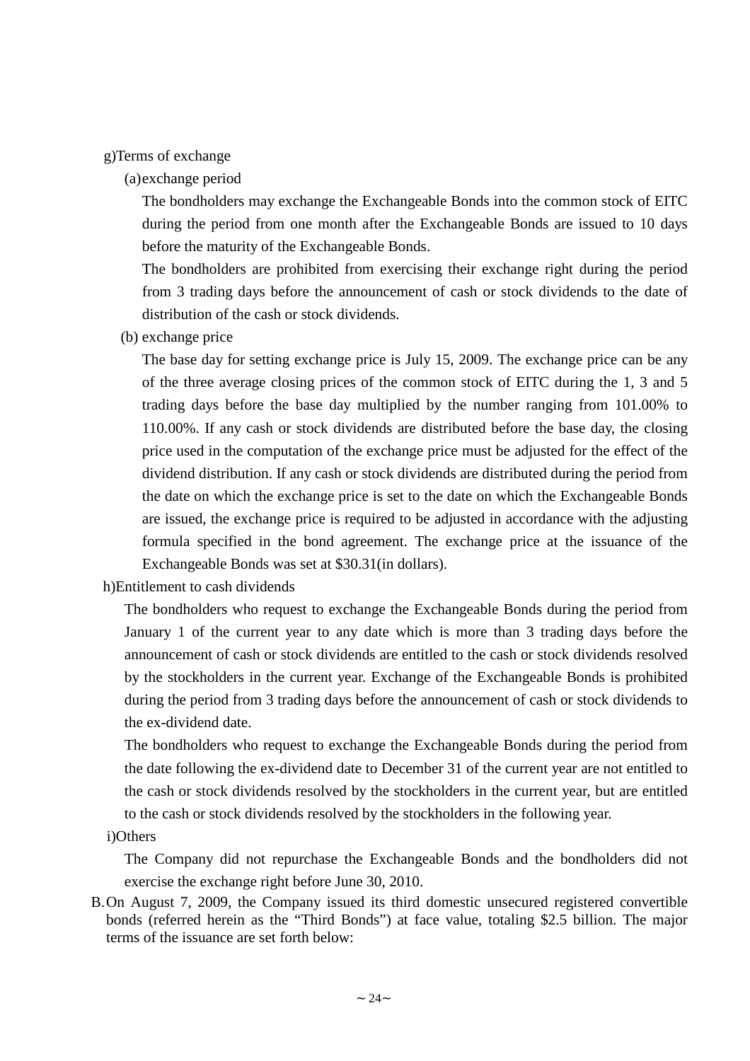#### g)Terms of exchange

### (a)exchange period

The bondholders may exchange the Exchangeable Bonds into the common stock of EITC during the period from one month after the Exchangeable Bonds are issued to 10 days before the maturity of the Exchangeable Bonds.

The bondholders are prohibited from exercising their exchange right during the period from 3 trading days before the announcement of cash or stock dividends to the date of distribution of the cash or stock dividends.

(b) exchange price

The base day for setting exchange price is July 15, 2009. The exchange price can be any of the three average closing prices of the common stock of EITC during the 1, 3 and 5 trading days before the base day multiplied by the number ranging from 101.00% to 110.00%. If any cash or stock dividends are distributed before the base day, the closing price used in the computation of the exchange price must be adjusted for the effect of the dividend distribution. If any cash or stock dividends are distributed during the period from the date on which the exchange price is set to the date on which the Exchangeable Bonds are issued, the exchange price is required to be adjusted in accordance with the adjusting formula specified in the bond agreement. The exchange price at the issuance of the Exchangeable Bonds was set at \$30.31(in dollars).

h)Entitlement to cash dividends

The bondholders who request to exchange the Exchangeable Bonds during the period from January 1 of the current year to any date which is more than 3 trading days before the announcement of cash or stock dividends are entitled to the cash or stock dividends resolved by the stockholders in the current year. Exchange of the Exchangeable Bonds is prohibited during the period from 3 trading days before the announcement of cash or stock dividends to the ex-dividend date.

The bondholders who request to exchange the Exchangeable Bonds during the period from the date following the ex-dividend date to December 31 of the current year are not entitled to the cash or stock dividends resolved by the stockholders in the current year, but are entitled to the cash or stock dividends resolved by the stockholders in the following year.

i)Others

The Company did not repurchase the Exchangeable Bonds and the bondholders did not exercise the exchange right before June 30, 2010.

B.On August 7, 2009, the Company issued its third domestic unsecured registered convertible bonds (referred herein as the "Third Bonds") at face value, totaling \$2.5 billion. The major terms of the issuance are set forth below: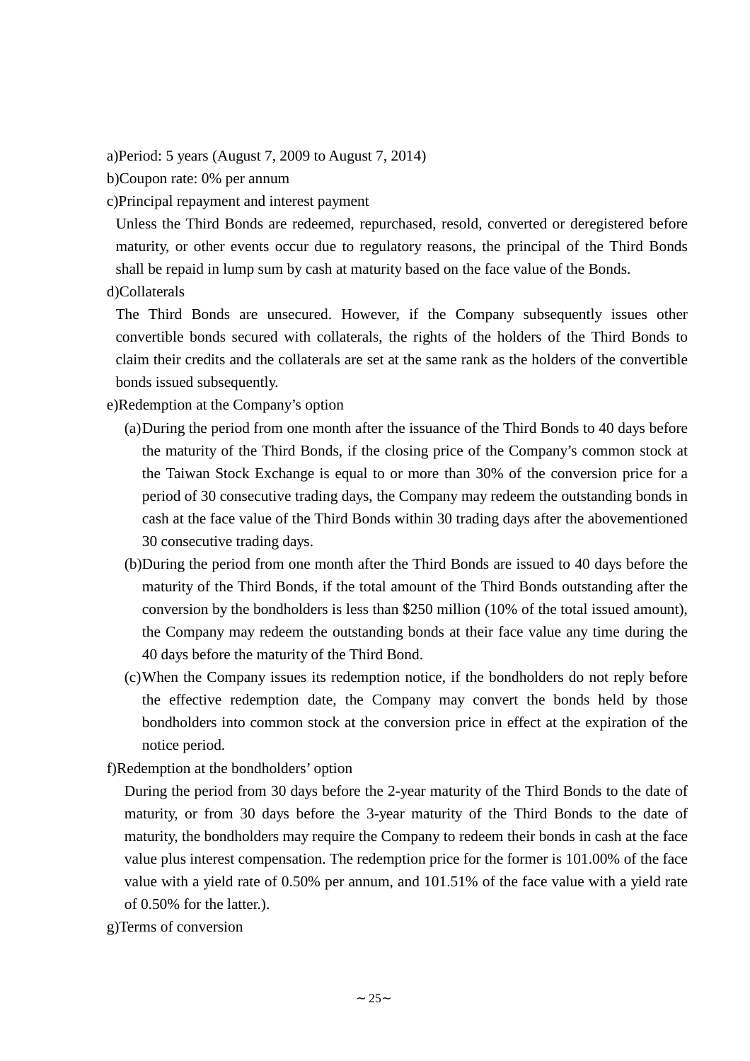a)Period: 5 years (August 7, 2009 to August 7, 2014)

b)Coupon rate: 0% per annum

c)Principal repayment and interest payment

Unless the Third Bonds are redeemed, repurchased, resold, converted or deregistered before maturity, or other events occur due to regulatory reasons, the principal of the Third Bonds shall be repaid in lump sum by cash at maturity based on the face value of the Bonds.

d)Collaterals

The Third Bonds are unsecured. However, if the Company subsequently issues other convertible bonds secured with collaterals, the rights of the holders of the Third Bonds to claim their credits and the collaterals are set at the same rank as the holders of the convertible bonds issued subsequently.

e)Redemption at the Company's option

- (a)During the period from one month after the issuance of the Third Bonds to 40 days before the maturity of the Third Bonds, if the closing price of the Company's common stock at the Taiwan Stock Exchange is equal to or more than 30% of the conversion price for a period of 30 consecutive trading days, the Company may redeem the outstanding bonds in cash at the face value of the Third Bonds within 30 trading days after the abovementioned 30 consecutive trading days.
- (b)During the period from one month after the Third Bonds are issued to 40 days before the maturity of the Third Bonds, if the total amount of the Third Bonds outstanding after the conversion by the bondholders is less than \$250 million (10% of the total issued amount), the Company may redeem the outstanding bonds at their face value any time during the 40 days before the maturity of the Third Bond.
- (c)When the Company issues its redemption notice, if the bondholders do not reply before the effective redemption date, the Company may convert the bonds held by those bondholders into common stock at the conversion price in effect at the expiration of the notice period.

f)Redemption at the bondholders'option

During the period from 30 days before the 2-year maturity of the Third Bonds to the date of maturity, or from 30 days before the 3-year maturity of the Third Bonds to the date of maturity, the bondholders may require the Company to redeem their bonds in cash at the face value plus interest compensation. The redemption price for the former is 101.00% of the face value with a yield rate of 0.50% per annum, and 101.51% of the face value with a yield rate of 0.50% for the latter.).

g)Terms of conversion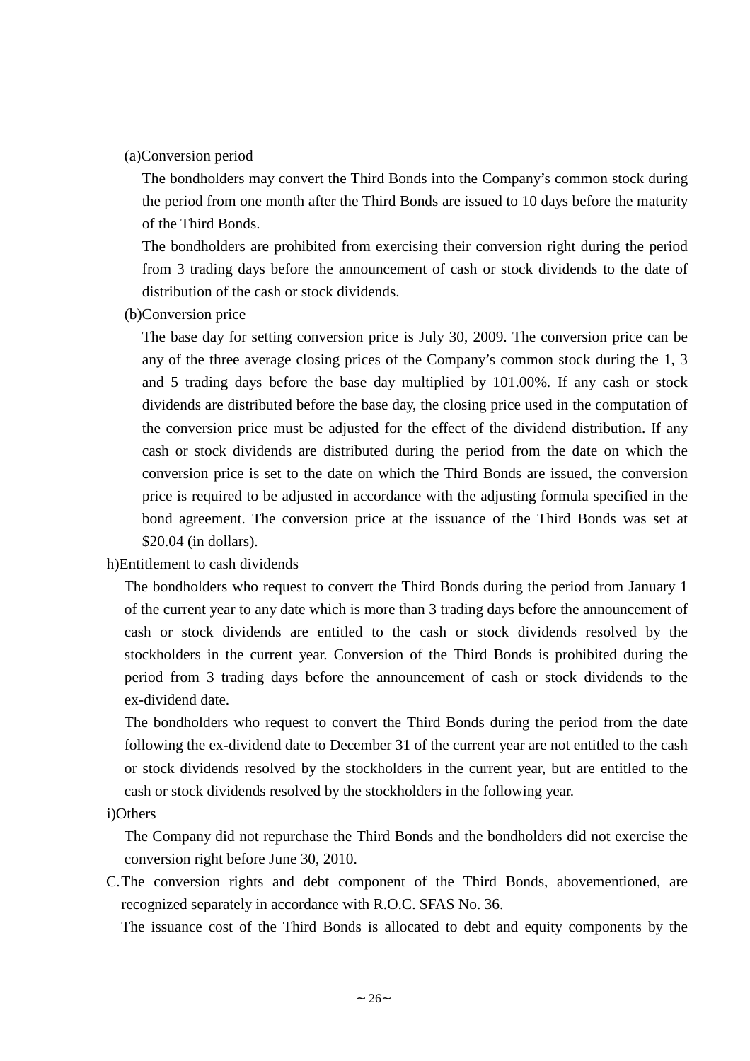#### (a)Conversion period

The bondholders may convert the Third Bonds into the Company's common stock during the period from one month after the Third Bonds are issued to 10 days before the maturity of the Third Bonds.

The bondholders are prohibited from exercising their conversion right during the period from 3 trading days before the announcement of cash or stock dividends to the date of distribution of the cash or stock dividends.

(b)Conversion price

The base day for setting conversion price is July 30, 2009. The conversion price can be any of the three average closing prices of the Company's common stock during the 1, 3 and 5 trading days before the base day multiplied by 101.00%. If any cash or stock dividends are distributed before the base day, the closing price used in the computation of the conversion price must be adjusted for the effect of the dividend distribution. If any cash or stock dividends are distributed during the period from the date on which the conversion price is set to the date on which the Third Bonds are issued, the conversion price is required to be adjusted in accordance with the adjusting formula specified in the bond agreement. The conversion price at the issuance of the Third Bonds was set at \$20.04 (in dollars).

h)Entitlement to cash dividends

The bondholders who request to convert the Third Bonds during the period from January 1 of the current year to any date which is more than 3 trading days before the announcement of cash or stock dividends are entitled to the cash or stock dividends resolved by the stockholders in the current year. Conversion of the Third Bonds is prohibited during the period from 3 trading days before the announcement of cash or stock dividends to the ex-dividend date.

The bondholders who request to convert the Third Bonds during the period from the date following the ex-dividend date to December 31 of the current year are not entitled to the cash or stock dividends resolved by the stockholders in the current year, but are entitled to the cash or stock dividends resolved by the stockholders in the following year.

#### i)Others

The Company did not repurchase the Third Bonds and the bondholders did not exercise the conversion right before June 30, 2010.

C.The conversion rights and debt component of the Third Bonds, abovementioned, are recognized separately in accordance with R.O.C. SFAS No. 36.

The issuance cost of the Third Bonds is allocated to debt and equity components by the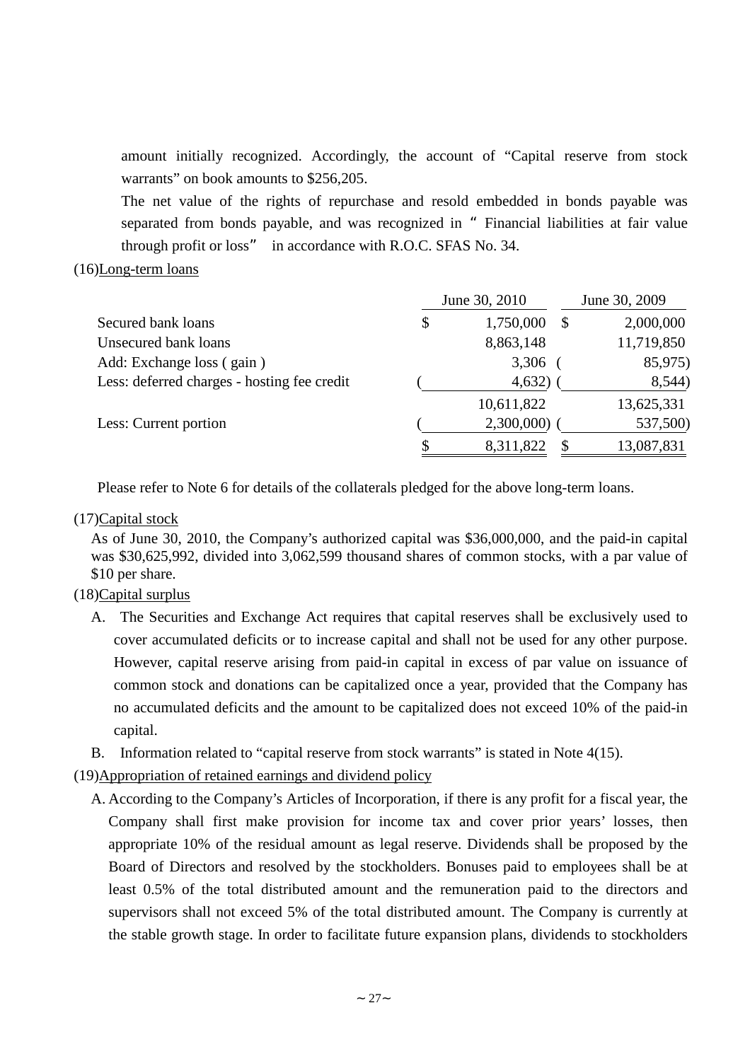amount initially recognized. Accordingly, the account of "Capital reserve from stock warrants" on book amounts to \$256,205.

The net value of the rights of repurchase and resold embedded in bonds payable was separated from bonds payable, and was recognized in "Financial liabilities at fair value through profit or loss" in accordance with R.O.C. SFAS No. 34.

### (16)Long-term loans

|                                             | June 30, 2010   | June 30, 2009 |
|---------------------------------------------|-----------------|---------------|
| Secured bank loans                          | \$<br>1,750,000 | 2,000,000     |
| Unsecured bank loans                        | 8,863,148       | 11,719,850    |
| Add: Exchange loss (gain)                   | 3,306           | 85,975)       |
| Less: deferred charges - hosting fee credit | 4,632)          | 8,544)        |
|                                             | 10,611,822      | 13,625,331    |
| Less: Current portion                       | 2,300,000)      | 537,500)      |
|                                             | 8,311,822       | 13,087,831    |

Please refer to Note 6 for details of the collaterals pledged for the above long-term loans.

## (17)Capital stock

As of June 30, 2010, the Company's authorized capital was \$36,000,000, and the paid-in capital was \$30,625,992, divided into 3,062,599 thousand shares of common stocks, with a par value of \$10 per share.

## (18)Capital surplus

- A. The Securities and Exchange Act requires that capital reserves shall be exclusively used to cover accumulated deficits or to increase capital and shall not be used for any other purpose. However, capital reserve arising from paid-in capital in excess of par value on issuance of common stock and donations can be capitalized once a year, provided that the Company has no accumulated deficits and the amount to be capitalized does not exceed 10% of the paid-in capital.
- B. Information related to "capital reserve from stock warrants" is stated in Note 4(15).
- (19)Appropriation of retained earnings and dividend policy
	- A. According to the Company's Articles of Incorporation, if there is any profit for a fiscal year, the Company shall first make provision for income tax and cover prior years' losses, then appropriate 10% of the residual amount as legal reserve. Dividends shall be proposed by the Board of Directors and resolved by the stockholders. Bonuses paid to employees shall be at least 0.5% of the total distributed amount and the remuneration paid to the directors and supervisors shall not exceed 5% of the total distributed amount. The Company is currently at the stable growth stage. In order to facilitate future expansion plans, dividends to stockholders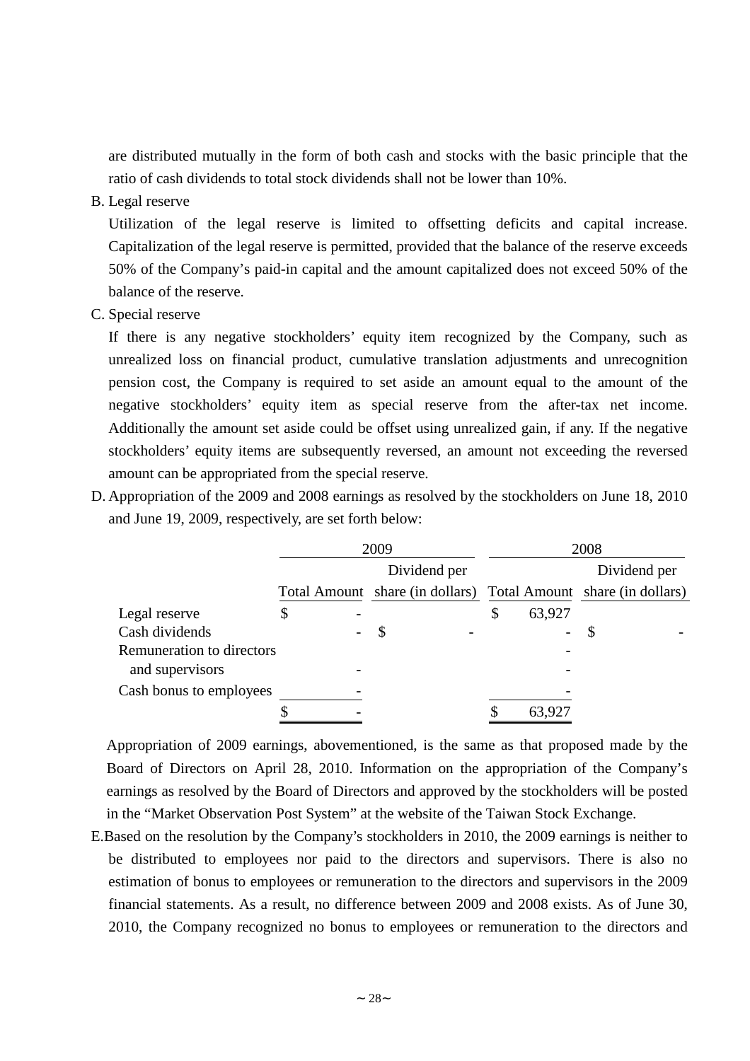are distributed mutually in the form of both cash and stocks with the basic principle that the ratio of cash dividends to total stock dividends shall not be lower than 10%.

B. Legal reserve

Utilization of the legal reserve is limited to offsetting deficits and capital increase. Capitalization of the legal reserve is permitted, provided that the balance of the reserve exceeds 50% of the Company's paid-in capital and the amount capitalized does not exceed 50% of the balance of the reserve.

C. Special reserve

If there is any negative stockholders' equity item recognized by the Company, such as unrealized loss on financial product, cumulative translation adjustments and unrecognition pension cost, the Company is required to set aside an amount equal to the amount of the negative stockholders' equity item as special reserve from the after-tax net income. Additionally the amount set aside could be offset using unrealized gain, if any. If the negative stockholders' equity items are subsequently reversed, an amount not exceeding the reversed amount can be appropriated from the special reserve.

D. Appropriation of the 2009 and 2008 earnings as resolved by the stockholders on June 18, 2010 and June 19, 2009, respectively, are set forth below:

|                           | 2009 |  |                                                                 |              | 2008         |  |
|---------------------------|------|--|-----------------------------------------------------------------|--------------|--------------|--|
|                           |      |  | Dividend per                                                    |              | Dividend per |  |
|                           |      |  | Total Amount share (in dollars) Total Amount share (in dollars) |              |              |  |
| Legal reserve             |      |  |                                                                 | \$<br>63,927 |              |  |
| Cash dividends            |      |  | S                                                               |              |              |  |
| Remuneration to directors |      |  |                                                                 |              |              |  |
| and supervisors           |      |  |                                                                 |              |              |  |
| Cash bonus to employees   |      |  |                                                                 |              |              |  |
|                           |      |  |                                                                 | 63,927       |              |  |

Appropriation of 2009 earnings, abovementioned, is the same as that proposed made by the Board of Directors on April 28, 2010. Information on the appropriation of the Company's earnings as resolved by the Board of Directors and approved by the stockholders will be posted in the "Market Observation Post System" at the website of the Taiwan Stock Exchange.

E.Based on the resolution by the Company's stockholders in 2010, the 2009 earnings is neither to be distributed to employees nor paid to the directors and supervisors. There is also no estimation of bonus to employees or remuneration to the directors and supervisors in the 2009 financial statements. As a result, no difference between 2009 and 2008 exists. As of June 30, 2010, the Company recognized no bonus to employees or remuneration to the directors and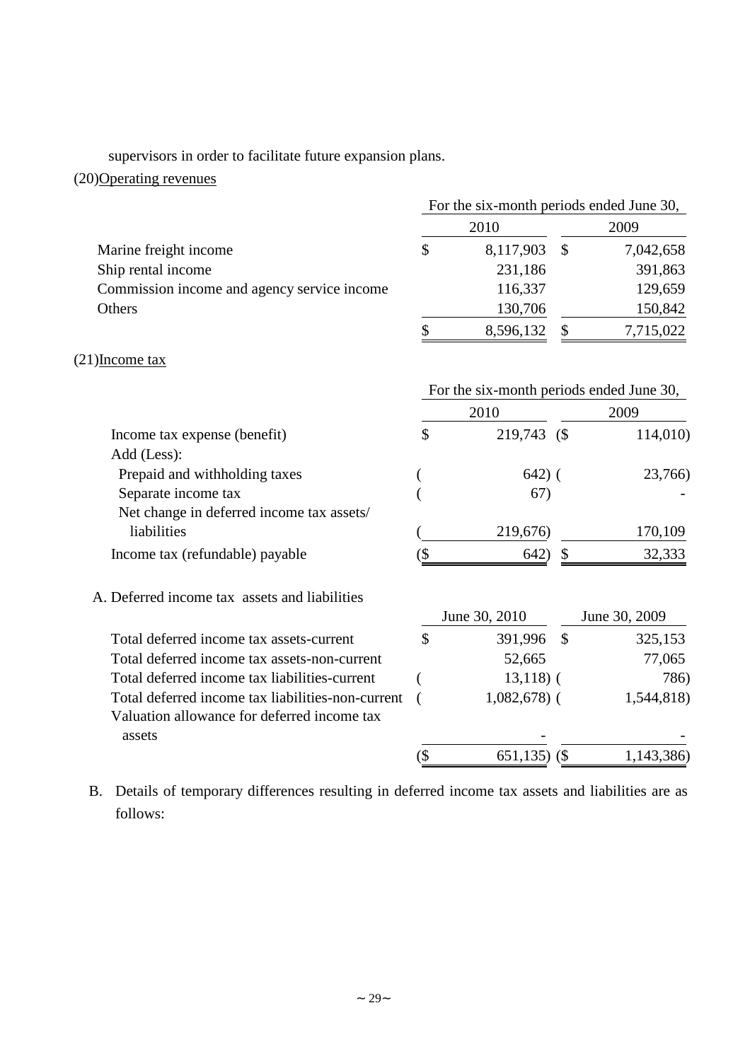supervisors in order to facilitate future expansion plans.

# (20)Operating revenues

|                                                   |     | For the six-month periods ended June 30, |               |               |
|---------------------------------------------------|-----|------------------------------------------|---------------|---------------|
|                                                   |     | 2010                                     |               | 2009          |
| Marine freight income                             | \$  | 8,117,903                                | $\mathcal{S}$ | 7,042,658     |
| Ship rental income                                |     | 231,186                                  |               | 391,863       |
| Commission income and agency service income       |     | 116,337                                  |               | 129,659       |
| Others                                            |     | 130,706                                  |               | 150,842       |
|                                                   | \$  | 8,596,132                                | \$            | 7,715,022     |
| $(21)$ Income tax                                 |     |                                          |               |               |
|                                                   |     | For the six-month periods ended June 30, |               |               |
|                                                   |     | 2010                                     |               | 2009          |
| Income tax expense (benefit)                      | \$  | 219,743 (\$                              |               | 114,010)      |
| Add (Less):                                       |     |                                          |               |               |
| Prepaid and withholding taxes                     |     | $642)$ (                                 |               | 23,766)       |
| Separate income tax                               |     | 67)                                      |               |               |
| Net change in deferred income tax assets/         |     |                                          |               |               |
| liabilities                                       |     | 219,676)                                 |               | 170,109       |
| Income tax (refundable) payable                   | (\$ | 642)                                     | \$            | 32,333        |
| A. Deferred income tax assets and liabilities     |     |                                          |               |               |
|                                                   |     | June 30, 2010                            |               | June 30, 2009 |
| Total deferred income tax assets-current          | \$  | 391,996                                  | $\mathcal{S}$ | 325,153       |
| Total deferred income tax assets-non-current      |     | 52,665                                   |               | 77,065        |
| Total deferred income tax liabilities-current     |     | $13,118$ (                               |               | 786)          |
| Total deferred income tax liabilities-non-current |     | $1,082,678$ (                            |               | 1,544,818)    |
| Valuation allowance for deferred income tax       |     |                                          |               |               |
| assets                                            |     |                                          |               |               |
|                                                   | (\$ | 651,135)                                 | (             | 1,143,386)    |

B. Details of temporary differences resulting in deferred income tax assets and liabilities are as follows: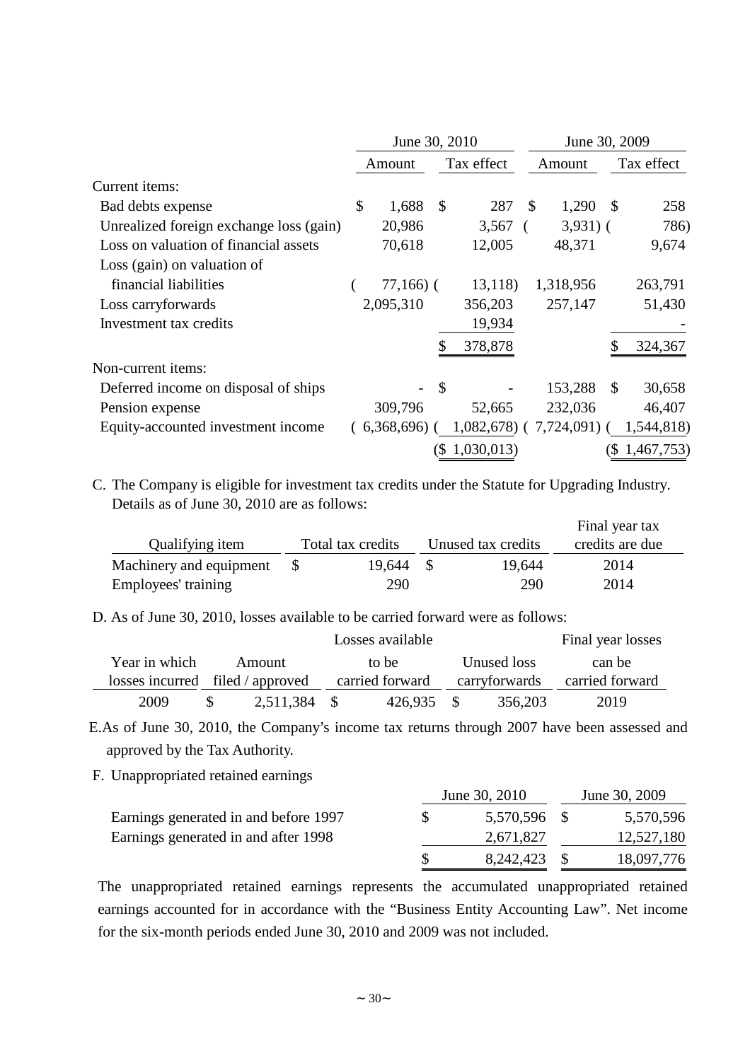|                                         | June 30, 2010 |               |            | June 30, 2009 |            |    |               |
|-----------------------------------------|---------------|---------------|------------|---------------|------------|----|---------------|
|                                         | Amount        |               | Tax effect |               | Amount     |    | Tax effect    |
| Current <i>items</i> :                  |               |               |            |               |            |    |               |
| Bad debts expense                       | \$<br>1,688   | $\mathcal{S}$ | 287        | S             | 1,290      | S  | 258           |
| Unrealized foreign exchange loss (gain) | 20,986        |               | 3,567      |               | $3,931)$ ( |    | 786)          |
| Loss on valuation of financial assets   | 70,618        |               | 12,005     |               | 48,371     |    | 9,674         |
| Loss (gain) on valuation of             |               |               |            |               |            |    |               |
| financial liabilities                   | $77,166$ ) (  |               | 13,118)    |               | 1,318,956  |    | 263,791       |
| Loss carryforwards                      | 2,095,310     |               | 356,203    |               | 257,147    |    | 51,430        |
| Investment tax credits                  |               |               | 19,934     |               |            |    |               |
|                                         |               |               | 378,878    |               |            |    | 324,367       |
| Non-current items:                      |               |               |            |               |            |    |               |
| Deferred income on disposal of ships    |               | \$            |            |               | 153,288    | \$ | 30,658        |
| Pension expense                         | 309,796       |               | 52,665     |               | 232,036    |    | 46,407        |
| Equity-accounted investment income      | (6,368,696)   |               | 1,082,678) |               | 7,724,091) |    | 1,544,818)    |
|                                         |               | (\$           | 1,030,013  |               |            |    | (\$1,467,753) |

C. The Company is eligible for investment tax credits under the Statute for Upgrading Industry. Details as of June 30, 2010 are as follows:

|                         |                   |           |                    |        | Final year tax  |  |
|-------------------------|-------------------|-----------|--------------------|--------|-----------------|--|
| Qualifying item         | Total tax credits |           | Unused tax credits |        | credits are due |  |
| Machinery and equipment |                   | 19.644 \$ |                    | 19,644 | 2014            |  |
| Employees' training     |                   | 290       |                    | 290    | 2014            |  |

Final year tax

D. As of June 30, 2010, losses available to be carried forward were as follows:

|               |                                  |           | Final year losses |                 |     |               |                 |
|---------------|----------------------------------|-----------|-------------------|-----------------|-----|---------------|-----------------|
| Year in which |                                  | Amount    |                   | to be           |     | Unused loss   | can be          |
|               | losses incurred filed / approved |           |                   | carried forward |     | carryforwards | carried forward |
| 2009          |                                  | 2,511,384 | $\mathcal{S}$     | 426.935         | - 8 | 356,203       | 2019            |

E.As of June 30, 2010, the Company's income tax returns through 2007 have been assessed and approved by the Tax Authority.

F. Unappropriated retained earnings

|                                       | June 30, 2010 | June 30, 2009 |            |  |
|---------------------------------------|---------------|---------------|------------|--|
| Earnings generated in and before 1997 | 5,570,596 \$  |               | 5,570,596  |  |
| Earnings generated in and after 1998  | 2,671,827     |               | 12,527,180 |  |
|                                       | 8,242,423     |               | 18,097,776 |  |

The unappropriated retained earnings represents the accumulated unappropriated retained earnings accounted for in accordance with the "Business Entity Accounting Law". Net income for the six-month periods ended June 30, 2010 and 2009 was not included.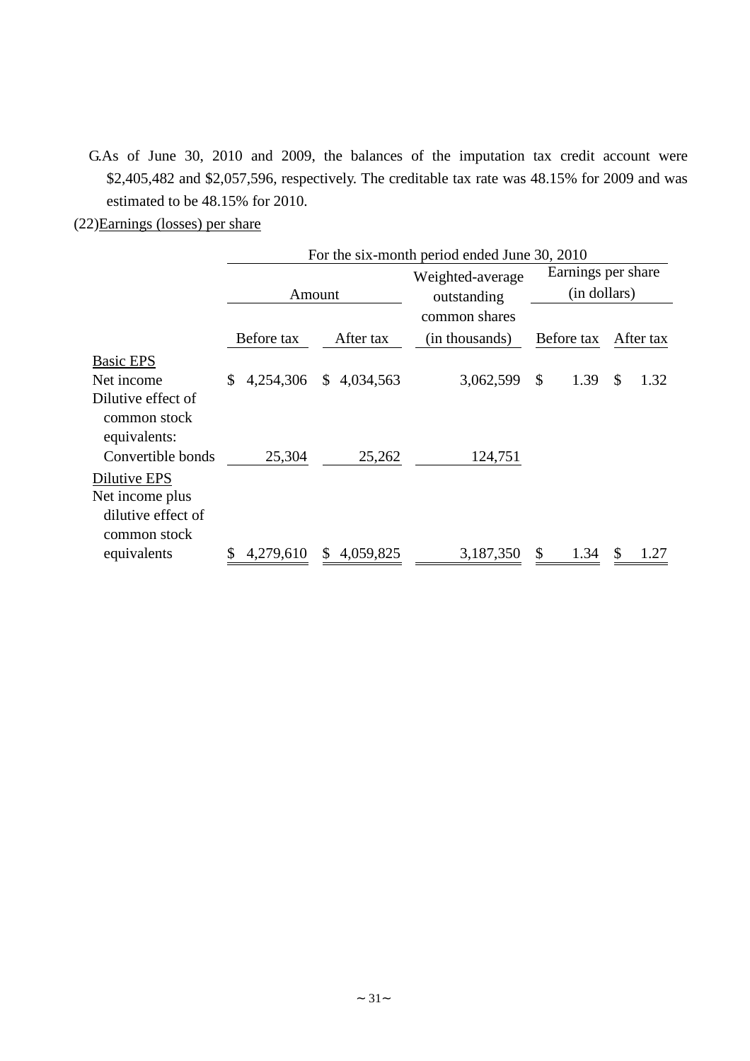- G.As of June 30, 2010 and 2009, the balances of the imputation tax credit account were \$2,405,482 and \$2,057,596, respectively. The creditable tax rate was 48.15% for 2009 and was estimated to be 48.15% for 2010.
- (22)Earnings (losses) per share

|                                                                       | For the six-month period ended June 30, 2010 |                 |                  |                    |            |  |  |
|-----------------------------------------------------------------------|----------------------------------------------|-----------------|------------------|--------------------|------------|--|--|
|                                                                       |                                              |                 | Weighted-average | Earnings per share |            |  |  |
|                                                                       |                                              | Amount          | outstanding      | (in dollars)       |            |  |  |
|                                                                       |                                              |                 | common shares    |                    |            |  |  |
|                                                                       | Before tax                                   | After tax       | (in thousands)   | Before tax         | After tax  |  |  |
| <b>Basic EPS</b>                                                      |                                              |                 |                  |                    |            |  |  |
| Net income                                                            | 4,254,306<br>\$                              | \$4,034,563     | 3,062,599        | 1.39<br>\$         | \$<br>1.32 |  |  |
| Dilutive effect of<br>common stock<br>equivalents:                    |                                              |                 |                  |                    |            |  |  |
| Convertible bonds                                                     | 25,304                                       | 25,262          | 124,751          |                    |            |  |  |
| Dilutive EPS<br>Net income plus<br>dilutive effect of<br>common stock |                                              |                 |                  |                    |            |  |  |
| equivalents                                                           | 4,279,610                                    | 4,059,825<br>\$ | 3,187,350        | \$<br>1.34         | \$<br>1.27 |  |  |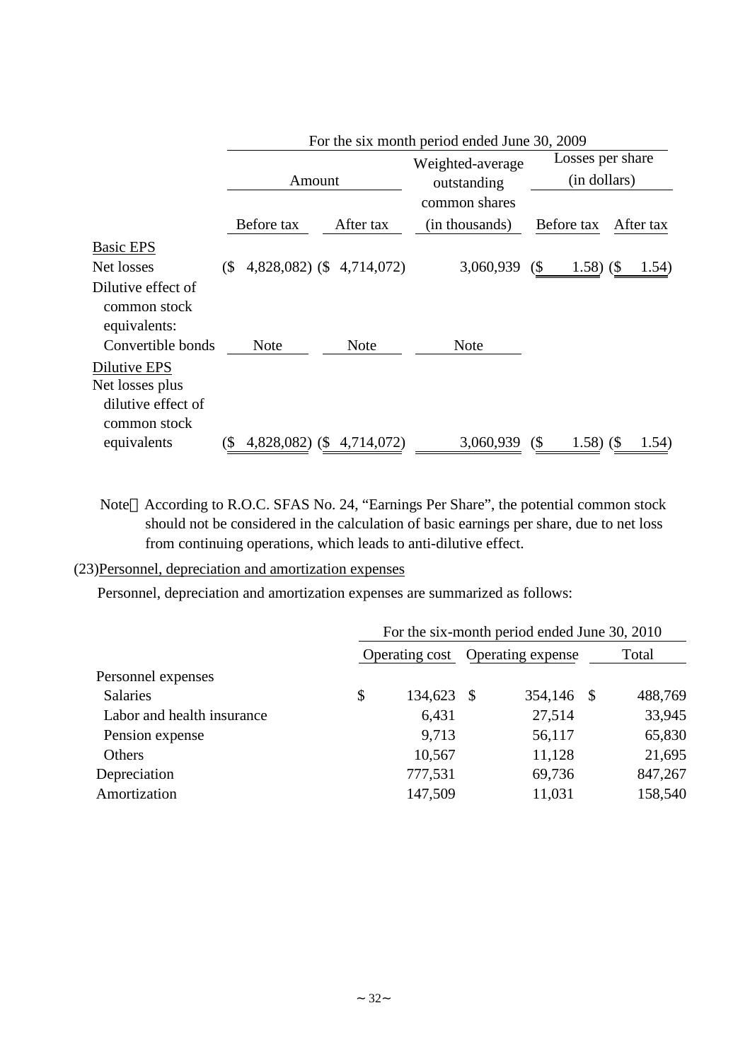|                                                                       |                   | For the six month period ended June 30, 2009 |  |                                                  |                |                                  |              |  |           |
|-----------------------------------------------------------------------|-------------------|----------------------------------------------|--|--------------------------------------------------|----------------|----------------------------------|--------------|--|-----------|
|                                                                       |                   | Amount                                       |  | Weighted-average<br>outstanding<br>common shares |                | Losses per share<br>(in dollars) |              |  |           |
|                                                                       |                   | Before tax                                   |  | After tax                                        | (in thousands) |                                  | Before tax   |  | After tax |
| <b>Basic EPS</b>                                                      |                   |                                              |  |                                                  |                |                                  |              |  |           |
| Net losses                                                            | (S <sup>2</sup> ) |                                              |  | 4,828,082) (\$4,714,072)                         | 3,060,939      | $($ \$                           | $1.58)$ (\$) |  | 1.54)     |
| Dilutive effect of<br>common stock<br>equivalents:                    |                   |                                              |  |                                                  |                |                                  |              |  |           |
| Convertible bonds                                                     |                   | <b>Note</b>                                  |  | <b>Note</b>                                      | <b>Note</b>    |                                  |              |  |           |
| Dilutive EPS<br>Net losses plus<br>dilutive effect of<br>common stock |                   |                                              |  |                                                  |                |                                  |              |  |           |
| equivalents                                                           | (\$               |                                              |  | 4,828,082) (\$4,714,072)                         | 3,060,939      | $($ \$                           | $1.58)$ (\$) |  | 1.54)     |

Note According to R.O.C. SFAS No. 24, "Earnings Per Share", the potential common stock should not be considered in the calculation of basic earnings per share, due to net loss from continuing operations, which leads to anti-dilutive effect.

## (23)Personnel, depreciation and amortization expenses

Personnel, depreciation and amortization expenses are summarized as follows:

|                            | For the six-month period ended June 30, 2010 |         |     |                   |    |         |
|----------------------------|----------------------------------------------|---------|-----|-------------------|----|---------|
|                            | Operating cost                               |         |     | Operating expense |    | Total   |
| Personnel expenses         |                                              |         |     |                   |    |         |
| <b>Salaries</b>            | \$                                           | 134,623 | - S | 354,146           | -S | 488,769 |
| Labor and health insurance |                                              | 6,431   |     | 27,514            |    | 33,945  |
| Pension expense            |                                              | 9,713   |     | 56,117            |    | 65,830  |
| Others                     |                                              | 10,567  |     | 11,128            |    | 21,695  |
| Depreciation               |                                              | 777,531 |     | 69,736            |    | 847,267 |
| Amortization               |                                              | 147,509 |     | 11,031            |    | 158,540 |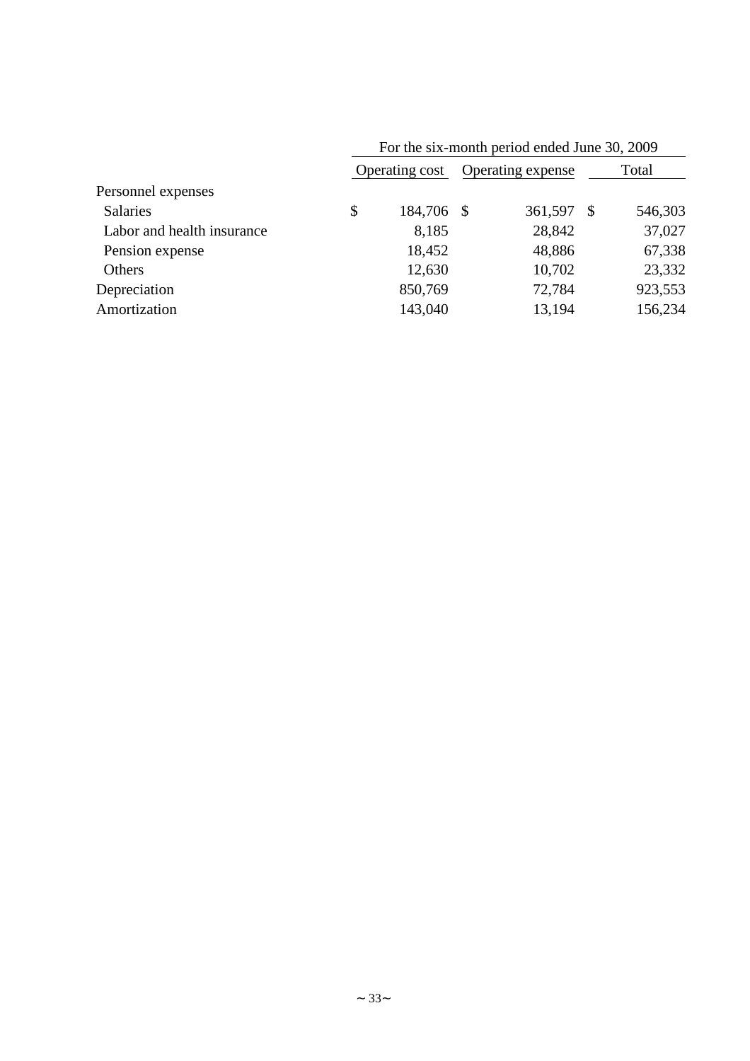|                            | T OF the six-month period ended June 50, 2007 |            |  |                   |       |         |
|----------------------------|-----------------------------------------------|------------|--|-------------------|-------|---------|
|                            | Operating cost                                |            |  | Operating expense | Total |         |
| Personnel expenses         |                                               |            |  |                   |       |         |
| <b>Salaries</b>            | \$                                            | 184,706 \$ |  | 361,597           |       | 546,303 |
| Labor and health insurance |                                               | 8,185      |  | 28,842            |       | 37,027  |
| Pension expense            |                                               | 18,452     |  | 48,886            |       | 67,338  |
| Others                     |                                               | 12,630     |  | 10,702            |       | 23,332  |
| Depreciation               |                                               | 850,769    |  | 72,784            |       | 923,553 |
| Amortization               |                                               | 143,040    |  | 13,194            |       | 156,234 |
|                            |                                               |            |  |                   |       |         |

For the six-month period ended June 30, 2009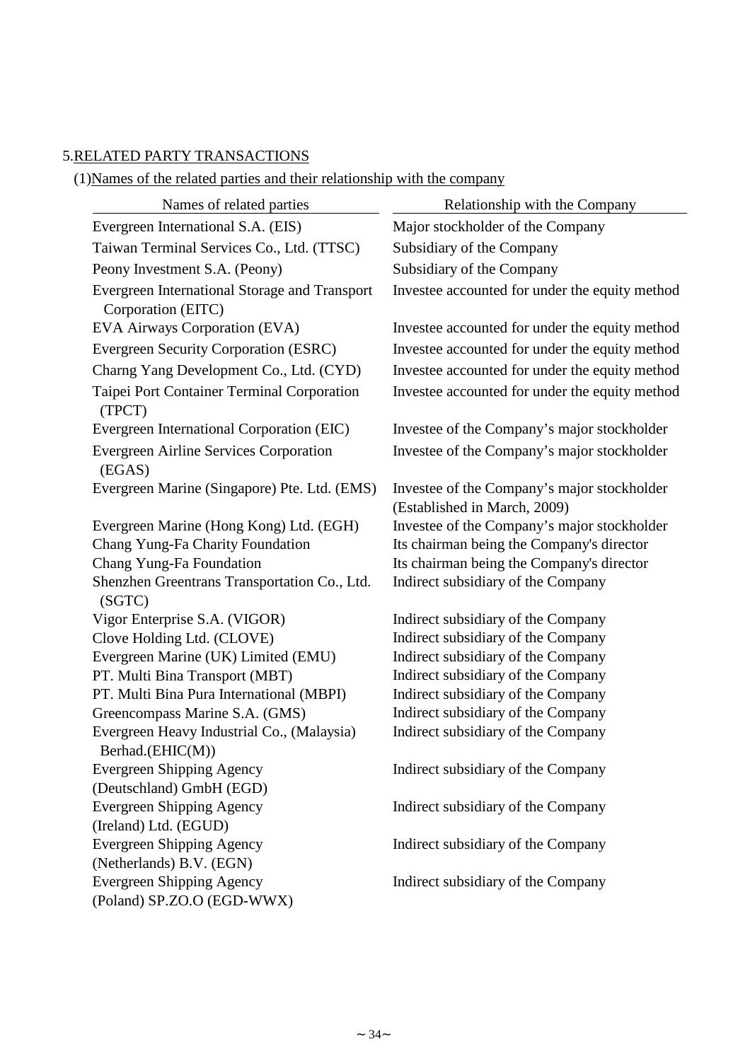# 5.RELATED PARTY TRANSACTIONS

(1)Names of the related parties and their relationship with the company

| Names of related parties                                            | Relationship with the Company                                               |  |  |  |  |  |
|---------------------------------------------------------------------|-----------------------------------------------------------------------------|--|--|--|--|--|
| Evergreen International S.A. (EIS)                                  | Major stockholder of the Company                                            |  |  |  |  |  |
| Taiwan Terminal Services Co., Ltd. (TTSC)                           | Subsidiary of the Company                                                   |  |  |  |  |  |
| Peony Investment S.A. (Peony)                                       | Subsidiary of the Company                                                   |  |  |  |  |  |
| Evergreen International Storage and Transport<br>Corporation (EITC) | Investee accounted for under the equity method                              |  |  |  |  |  |
| EVA Airways Corporation (EVA)                                       | Investee accounted for under the equity method                              |  |  |  |  |  |
| Evergreen Security Corporation (ESRC)                               | Investee accounted for under the equity method                              |  |  |  |  |  |
| Charng Yang Development Co., Ltd. (CYD)                             | Investee accounted for under the equity method                              |  |  |  |  |  |
| Taipei Port Container Terminal Corporation<br>(TPCT)                | Investee accounted for under the equity method                              |  |  |  |  |  |
| Evergreen International Corporation (EIC)                           | Investee of the Company's major stockholder                                 |  |  |  |  |  |
| <b>Evergreen Airline Services Corporation</b><br>(EGAS)             | Investee of the Company's major stockholder                                 |  |  |  |  |  |
| Evergreen Marine (Singapore) Pte. Ltd. (EMS)                        | Investee of the Company's major stockholder<br>(Established in March, 2009) |  |  |  |  |  |
| Evergreen Marine (Hong Kong) Ltd. (EGH)                             | Investee of the Company's major stockholder                                 |  |  |  |  |  |
| Chang Yung-Fa Charity Foundation                                    | Its chairman being the Company's director                                   |  |  |  |  |  |
| Chang Yung-Fa Foundation                                            | Its chairman being the Company's director                                   |  |  |  |  |  |
| Shenzhen Greentrans Transportation Co., Ltd.<br>(SGTC)              | Indirect subsidiary of the Company                                          |  |  |  |  |  |
| Vigor Enterprise S.A. (VIGOR)                                       | Indirect subsidiary of the Company                                          |  |  |  |  |  |
| Clove Holding Ltd. (CLOVE)                                          | Indirect subsidiary of the Company                                          |  |  |  |  |  |
| Evergreen Marine (UK) Limited (EMU)                                 | Indirect subsidiary of the Company                                          |  |  |  |  |  |
| PT. Multi Bina Transport (MBT)                                      | Indirect subsidiary of the Company                                          |  |  |  |  |  |
| PT. Multi Bina Pura International (MBPI)                            | Indirect subsidiary of the Company                                          |  |  |  |  |  |
| Greencompass Marine S.A. (GMS)                                      | Indirect subsidiary of the Company                                          |  |  |  |  |  |
| Evergreen Heavy Industrial Co., (Malaysia)<br>Berhad.(EHIC(M))      | Indirect subsidiary of the Company                                          |  |  |  |  |  |
| <b>Evergreen Shipping Agency</b>                                    | Indirect subsidiary of the Company                                          |  |  |  |  |  |
| (Deutschland) GmbH (EGD)                                            |                                                                             |  |  |  |  |  |
| <b>Evergreen Shipping Agency</b>                                    | Indirect subsidiary of the Company                                          |  |  |  |  |  |
| (Ireland) Ltd. (EGUD)                                               |                                                                             |  |  |  |  |  |
| <b>Evergreen Shipping Agency</b>                                    | Indirect subsidiary of the Company                                          |  |  |  |  |  |
| (Netherlands) B.V. (EGN)                                            |                                                                             |  |  |  |  |  |
| <b>Evergreen Shipping Agency</b>                                    | Indirect subsidiary of the Company                                          |  |  |  |  |  |
| (Poland) SP.ZO.O (EGD-WWX)                                          |                                                                             |  |  |  |  |  |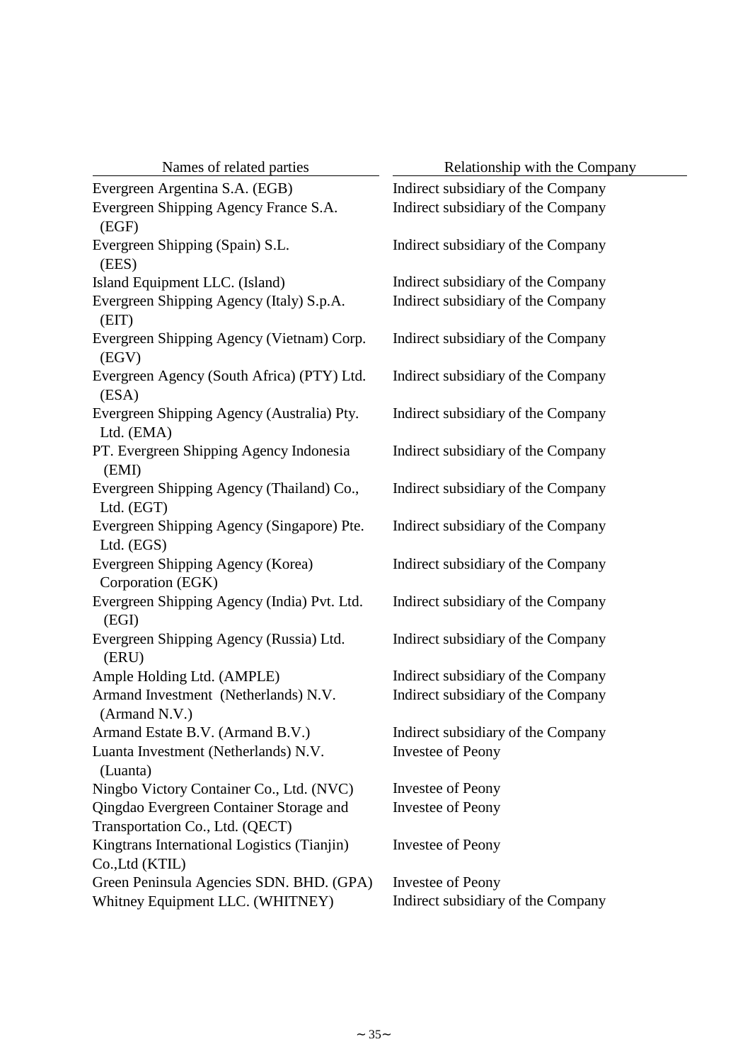| Names of related parties                                       | Relationship with the Company      |
|----------------------------------------------------------------|------------------------------------|
| Evergreen Argentina S.A. (EGB)                                 | Indirect subsidiary of the Company |
| Evergreen Shipping Agency France S.A.<br>(EGF)                 | Indirect subsidiary of the Company |
| Evergreen Shipping (Spain) S.L.<br>(EES)                       | Indirect subsidiary of the Company |
| Island Equipment LLC. (Island)                                 | Indirect subsidiary of the Company |
| Evergreen Shipping Agency (Italy) S.p.A.<br>(EIT)              | Indirect subsidiary of the Company |
| Evergreen Shipping Agency (Vietnam) Corp.<br>(EGV)             | Indirect subsidiary of the Company |
| Evergreen Agency (South Africa) (PTY) Ltd.<br>(ESA)            | Indirect subsidiary of the Company |
| Evergreen Shipping Agency (Australia) Pty.<br>Ltd. (EMA)       | Indirect subsidiary of the Company |
| PT. Evergreen Shipping Agency Indonesia<br>(EMI)               | Indirect subsidiary of the Company |
| Evergreen Shipping Agency (Thailand) Co.,<br>Ltd. (EGT)        | Indirect subsidiary of the Company |
| Evergreen Shipping Agency (Singapore) Pte.<br>Ltd. (EGS)       | Indirect subsidiary of the Company |
| Evergreen Shipping Agency (Korea)<br>Corporation (EGK)         | Indirect subsidiary of the Company |
| Evergreen Shipping Agency (India) Pvt. Ltd.<br>(EGI)           | Indirect subsidiary of the Company |
| Evergreen Shipping Agency (Russia) Ltd.<br>(ERU)               | Indirect subsidiary of the Company |
| Ample Holding Ltd. (AMPLE)                                     | Indirect subsidiary of the Company |
| Armand Investment (Netherlands) N.V.<br>(Armand N.V.)          | Indirect subsidiary of the Company |
| Armand Estate B.V. (Armand B.V.)                               | Indirect subsidiary of the Company |
| Luanta Investment (Netherlands) N.V.<br>(Luanta)               | <b>Investee of Peony</b>           |
| Ningbo Victory Container Co., Ltd. (NVC)                       | Investee of Peony                  |
| Qingdao Evergreen Container Storage and                        | <b>Investee of Peony</b>           |
| Transportation Co., Ltd. (QECT)                                |                                    |
| Kingtrans International Logistics (Tianjin)<br>Co., Ltd (KTIL) | <b>Investee of Peony</b>           |
| Green Peninsula Agencies SDN. BHD. (GPA)                       | <b>Investee of Peony</b>           |
| Whitney Equipment LLC. (WHITNEY)                               | Indirect subsidiary of the Company |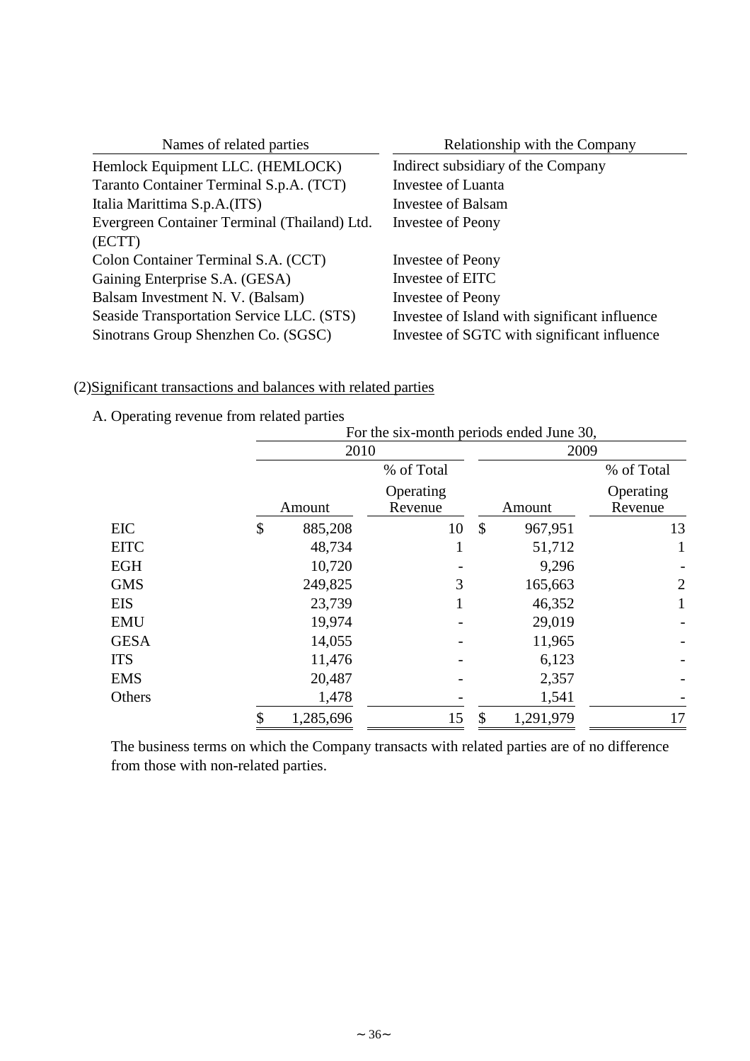| Names of related parties                     | Relationship with the Company                 |
|----------------------------------------------|-----------------------------------------------|
| Hemlock Equipment LLC. (HEMLOCK)             | Indirect subsidiary of the Company            |
| Taranto Container Terminal S.p.A. (TCT)      | Investee of Luanta                            |
| Italia Marittima S.p.A.(ITS)                 | Investee of Balsam                            |
| Evergreen Container Terminal (Thailand) Ltd. | Investee of Peony                             |
| (ECTT)                                       |                                               |
| Colon Container Terminal S.A. (CCT)          | Investee of Peony                             |
| Gaining Enterprise S.A. (GESA)               | Investee of EITC                              |
| Balsam Investment N. V. (Balsam)             | Investee of Peony                             |
| Seaside Transportation Service LLC. (STS)    | Investee of Island with significant influence |
| Sinotrans Group Shenzhen Co. (SGSC)          | Investee of SGTC with significant influence   |

# (2)Significant transactions and balances with related parties

A. Operating revenue from related parties

|             | For the six-month periods ended June 30, |                      |               |           |                      |  |  |  |
|-------------|------------------------------------------|----------------------|---------------|-----------|----------------------|--|--|--|
|             | 2010                                     |                      |               | 2009      |                      |  |  |  |
|             |                                          | % of Total           |               |           | % of Total           |  |  |  |
|             | Amount                                   | Operating<br>Revenue |               | Amount    | Operating<br>Revenue |  |  |  |
| <b>EIC</b>  | \$<br>885,208                            | 10                   | $\mathcal{S}$ | 967,951   | 13                   |  |  |  |
| <b>EITC</b> | 48,734                                   | T                    |               | 51,712    | 1                    |  |  |  |
| <b>EGH</b>  | 10,720                                   |                      |               | 9,296     |                      |  |  |  |
| <b>GMS</b>  | 249,825                                  | 3                    |               | 165,663   | $\overline{2}$       |  |  |  |
| <b>EIS</b>  | 23,739                                   |                      |               | 46,352    | 1                    |  |  |  |
| <b>EMU</b>  | 19,974                                   |                      |               | 29,019    |                      |  |  |  |
| <b>GESA</b> | 14,055                                   |                      |               | 11,965    |                      |  |  |  |
| <b>ITS</b>  | 11,476                                   |                      |               | 6,123     |                      |  |  |  |
| <b>EMS</b>  | 20,487                                   |                      |               | 2,357     |                      |  |  |  |
| Others      | 1,478                                    |                      |               | 1,541     |                      |  |  |  |
|             | 1,285,696                                | 15                   | \$            | 1,291,979 | 17                   |  |  |  |

The business terms on which the Company transacts with related parties are of no difference from those with non-related parties.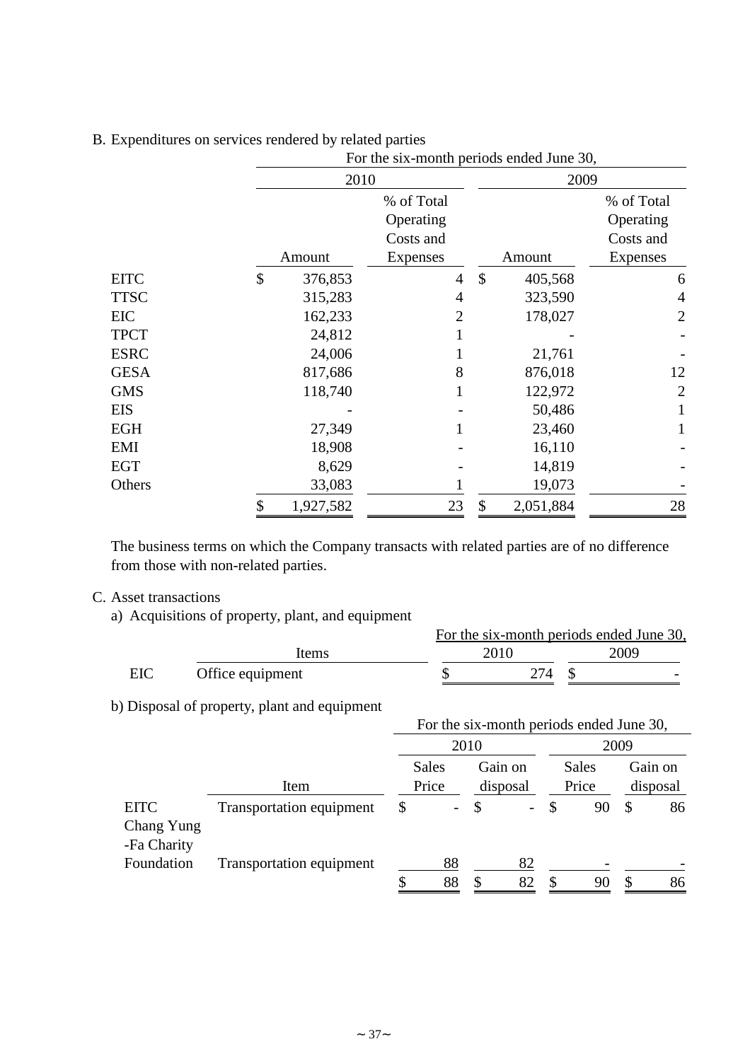|             | For the six-month periods ended June 30, |                |               |           |                 |  |  |
|-------------|------------------------------------------|----------------|---------------|-----------|-----------------|--|--|
|             | 2010                                     |                | 2009          |           |                 |  |  |
|             |                                          | % of Total     |               |           | % of Total      |  |  |
|             |                                          | Operating      |               |           | Operating       |  |  |
|             |                                          | Costs and      |               |           | Costs and       |  |  |
|             | Amount                                   | Expenses       |               | Amount    | <b>Expenses</b> |  |  |
| <b>EITC</b> | \$<br>376,853                            | 4              | $\mathcal{S}$ | 405,568   | 6               |  |  |
| <b>TTSC</b> | 315,283                                  | 4              |               | 323,590   | 4               |  |  |
| EIC         | 162,233                                  | $\overline{2}$ |               | 178,027   | $\overline{2}$  |  |  |
| <b>TPCT</b> | 24,812                                   |                |               |           |                 |  |  |
| <b>ESRC</b> | 24,006                                   |                |               | 21,761    |                 |  |  |
| <b>GESA</b> | 817,686                                  | 8              |               | 876,018   | 12              |  |  |
| <b>GMS</b>  | 118,740                                  |                |               | 122,972   | $\overline{2}$  |  |  |
| <b>EIS</b>  |                                          |                |               | 50,486    |                 |  |  |
| <b>EGH</b>  | 27,349                                   |                |               | 23,460    |                 |  |  |
| EMI         | 18,908                                   |                |               | 16,110    |                 |  |  |
| <b>EGT</b>  | 8,629                                    |                |               | 14,819    |                 |  |  |
| Others      | 33,083                                   |                |               | 19,073    |                 |  |  |
|             | \$<br>1,927,582                          | 23             | \$            | 2,051,884 | 28              |  |  |

## B. Expenditures on services rendered by related parties

The business terms on which the Company transacts with related parties are of no difference from those with non-related parties.

## C. Asset transactions

a) Acquisitions of property, plant, and equipment

|     |                  |      | For the six-month periods ended June 30, |  |
|-----|------------------|------|------------------------------------------|--|
|     | ltems            | 2010 | 2009                                     |  |
| EIC | Office equipment | 274  |                                          |  |

0 b) Disposal of property, plant and equipment

| . .                                      | $\mathbf{1}$ $\mathbf{1}$<br>$\sim$ 1 |                                |    |                          |              | For the six-month periods ended June 30, |      |                     |
|------------------------------------------|---------------------------------------|--------------------------------|----|--------------------------|--------------|------------------------------------------|------|---------------------|
|                                          |                                       | 2010                           |    |                          |              |                                          | 2009 |                     |
|                                          | Item                                  | <b>Sales</b><br>Price          |    | Gain on<br>disposal      |              | Sales<br>Price                           |      | Gain on<br>disposal |
| <b>EITC</b><br>Chang Yung<br>-Fa Charity | Transportation equipment              | \$<br>$\overline{\phantom{0}}$ | \$ | $\overline{\phantom{0}}$ | $\mathbb{S}$ | 90                                       | -S   | 86                  |
| Foundation                               | <b>Transportation equipment</b>       | \$<br>88<br>88                 | \$ | 82<br>82                 | S            | 90                                       | S    | 86                  |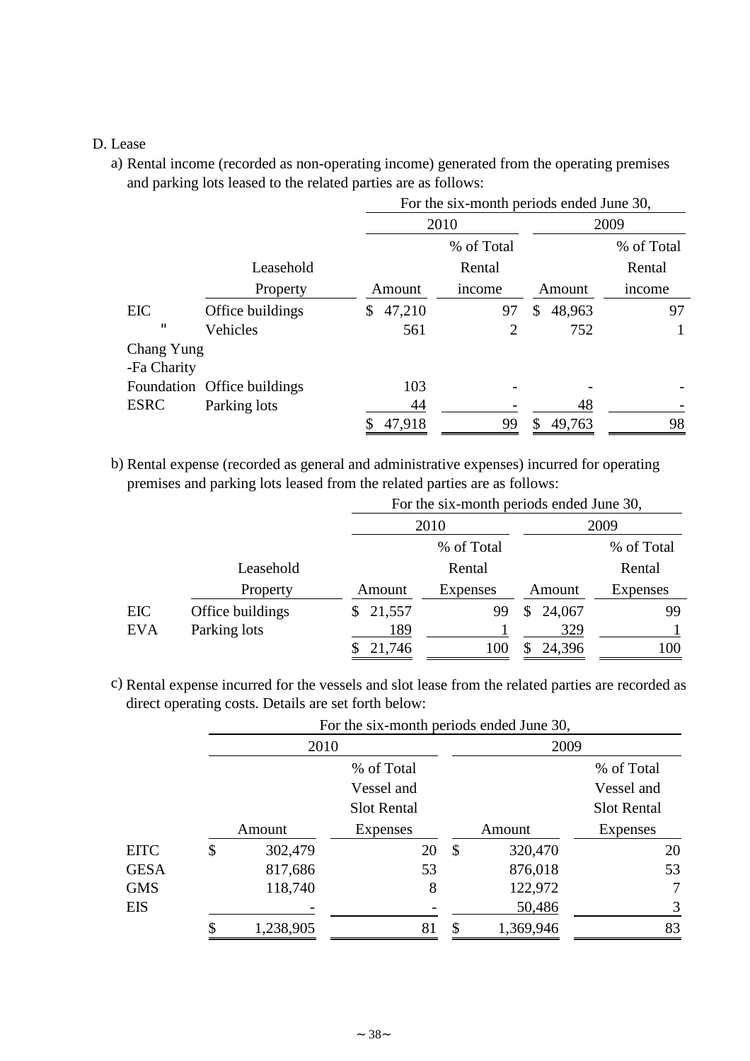## D. Lease

a) Rental income (recorded as non-operating income) generated from the operating premises and parking lots leased to the related parties are as follows:

|             |                             |               | For the six-month periods ended June 30, |              |            |  |
|-------------|-----------------------------|---------------|------------------------------------------|--------------|------------|--|
|             |                             |               | 2010                                     | 2009         |            |  |
|             |                             |               | % of Total                               |              | % of Total |  |
|             | Leasehold                   |               | Rental                                   |              | Rental     |  |
|             | Property                    | Amount        | income                                   | Amount       | income     |  |
| EIC         | Office buildings            | 47,210<br>\$. | 97                                       | 48,963<br>\$ | 97         |  |
| п           | Vehicles                    | 561           | 2                                        | 752          |            |  |
| Chang Yung  |                             |               |                                          |              |            |  |
| -Fa Charity |                             |               |                                          |              |            |  |
|             | Foundation Office buildings | 103           |                                          |              |            |  |
| <b>ESRC</b> | Parking lots                | 44            |                                          | 48           |            |  |
|             |                             | 47,918        | 99                                       | 49,763       | 98         |  |

b) Rental expense (recorded as general and administrative expenses) incurred for operating premises and parking lots leased from the related parties are as follows:

|            |                  |              | For the six-month periods ended June 30, |          |                 |  |  |  |  |  |
|------------|------------------|--------------|------------------------------------------|----------|-----------------|--|--|--|--|--|
|            |                  |              | 2010                                     | 2009     |                 |  |  |  |  |  |
|            |                  |              | % of Total                               |          | % of Total      |  |  |  |  |  |
|            | Leasehold        |              | Rental                                   |          | Rental          |  |  |  |  |  |
|            | Property         | Amount       | Expenses                                 | Amount   | <b>Expenses</b> |  |  |  |  |  |
| <b>EIC</b> | Office buildings | 21,557<br>\$ | 99                                       | \$24,067 | 99              |  |  |  |  |  |
| <b>EVA</b> | Parking lots     | 189          |                                          | 329      |                 |  |  |  |  |  |
|            |                  | 21,746       | 100                                      | 24,396   | 100             |  |  |  |  |  |

c) Rental expense incurred for the vessels and slot lease from the related parties are recorded as direct operating costs. Details are set forth below:

|             |               | For the six-month periods ended June 30, |    |           |                    |
|-------------|---------------|------------------------------------------|----|-----------|--------------------|
|             | 2010          |                                          |    | 2009      |                    |
|             |               | % of Total                               |    |           | % of Total         |
|             |               | Vessel and                               |    |           | Vessel and         |
|             |               | <b>Slot Rental</b>                       |    |           | <b>Slot Rental</b> |
|             | Amount        | Expenses                                 |    | Amount    | <b>Expenses</b>    |
| <b>EITC</b> | \$<br>302,479 | 20                                       | \$ | 320,470   | 20                 |
| <b>GESA</b> | 817,686       | 53                                       |    | 876,018   | 53                 |
| <b>GMS</b>  | 118,740       | 8                                        |    | 122,972   | 7                  |
| EIS         |               |                                          |    | 50,486    | 3                  |
|             | 1,238,905     | 81                                       | ¢  | 1,369,946 | 83                 |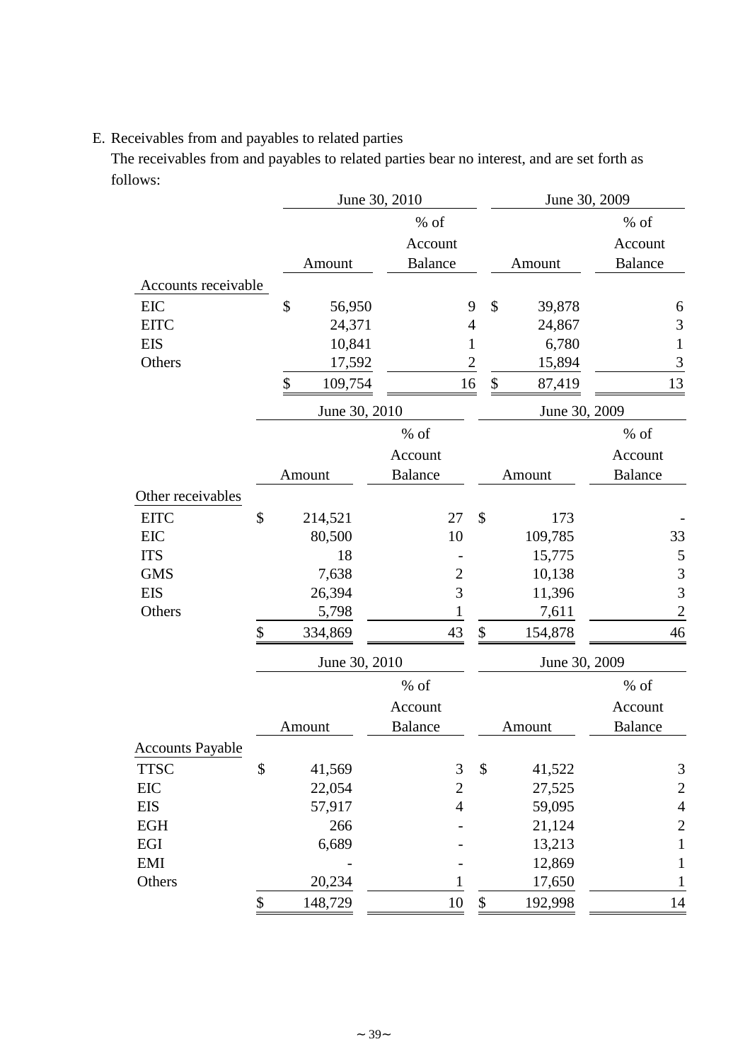# E. Receivables from and payables to related parties

The receivables from and payables to related parties bear no interest, and are set forth as follows:

|                         |               | June 30, 2010  |                |                   |      | June 30, 2009 |                |                |
|-------------------------|---------------|----------------|----------------|-------------------|------|---------------|----------------|----------------|
|                         |               | $%$ of         |                |                   |      |               | $%$ of         |                |
|                         |               | Account        |                |                   |      |               | Account        |                |
|                         | Amount        | <b>Balance</b> |                |                   |      | Amount        | <b>Balance</b> |                |
| Accounts receivable     |               |                |                |                   |      |               |                |                |
| <b>EIC</b>              | \$<br>56,950  |                |                | 9                 | \$   | 39,878        |                | 6              |
| <b>EITC</b>             | 24,371        |                |                | 4                 |      | 24,867        |                | $\mathfrak{Z}$ |
| <b>EIS</b>              | 10,841        |                |                | 1                 |      | 6,780         |                | $\mathbf{1}$   |
| Others                  | 17,592        |                |                | $\overline{2}$    |      | 15,894        |                | 3              |
|                         | \$<br>109,754 |                | 16             |                   | $\$$ | 87,419        | 13             |                |
|                         | June 30, 2010 |                |                |                   |      | June 30, 2009 |                |                |
|                         |               | $%$ of         |                |                   |      |               | % of           |                |
|                         |               | Account        |                |                   |      |               | Account        |                |
|                         | Amount        | <b>Balance</b> |                |                   |      | Amount        | <b>Balance</b> |                |
| Other receivables       |               |                |                |                   |      |               |                |                |
| <b>EITC</b>             | \$<br>214,521 |                | 27             | $\mathcal{S}$     |      | 173           |                |                |
| EIC                     | 80,500        |                | 10             |                   |      | 109,785       | 33             |                |
| <b>ITS</b>              | 18            |                |                |                   |      | 15,775        |                | 5              |
| <b>GMS</b>              | 7,638         |                | $\overline{c}$ |                   |      | 10,138        |                | 3              |
| <b>EIS</b>              | 26,394        |                | 3              |                   |      | 11,396        |                | 3              |
| Others                  | 5,798         |                | $\mathbf{1}$   |                   |      | 7,611         |                | $\overline{c}$ |
|                         | \$<br>334,869 |                | 43             | \$                |      | 154,878       | 46             |                |
|                         | June 30, 2010 |                |                |                   |      | June 30, 2009 |                |                |
|                         |               | $%$ of         |                |                   |      |               | $%$ of         |                |
|                         |               | Account        |                |                   |      |               | Account        |                |
|                         | Amount        | <b>Balance</b> |                |                   |      | Amount        | <b>Balance</b> |                |
| <b>Accounts Payable</b> |               |                |                |                   |      |               |                |                |
| <b>TTSC</b>             | \$<br>41,569  |                | 3              | \$                |      | 41,522        |                | $\mathfrak{Z}$ |
| ${\rm EIC}$             | 22,054        |                | $\overline{c}$ |                   |      | 27,525        |                | $\overline{c}$ |
| <b>EIS</b>              | 57,917        |                | $\overline{4}$ |                   |      | 59,095        |                | $\overline{4}$ |
| EGH                     | 266           |                |                |                   |      | 21,124        |                | $\overline{c}$ |
| EGI                     | 6,689         |                |                |                   |      | 13,213        |                | $\mathbf 1$    |
| <b>EMI</b>              |               |                |                |                   |      | 12,869        |                | 1              |
| Others                  | 20,234        |                | 1              |                   |      | 17,650        |                |                |
|                         | \$<br>148,729 |                | $10\,$         | $\boldsymbol{\$}$ |      | 192,998       |                | 14             |
|                         |               |                |                |                   |      |               |                |                |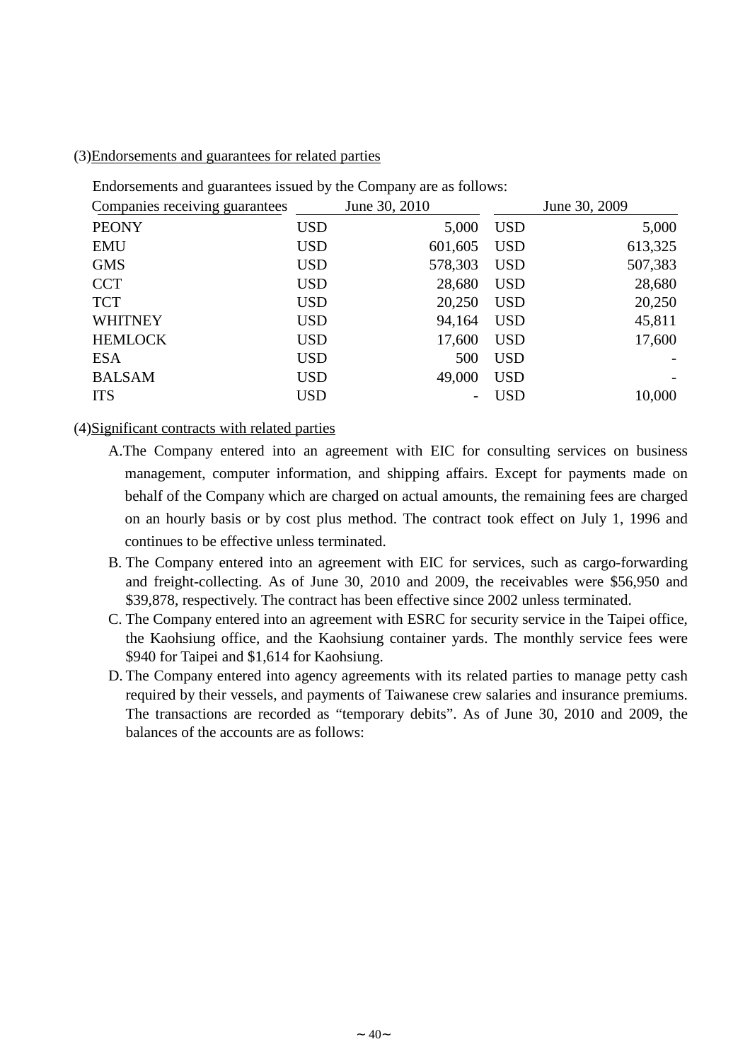### (3)Endorsements and guarantees for related parties

Endorsements and guarantees issued by the Company are as follows:

| Companies receiving guarantees |            | June 30, 2010 |            | June 30, 2009 |
|--------------------------------|------------|---------------|------------|---------------|
| <b>PEONY</b>                   | <b>USD</b> | 5,000         | <b>USD</b> | 5,000         |
| <b>EMU</b>                     | <b>USD</b> | 601,605       | <b>USD</b> | 613,325       |
| <b>GMS</b>                     | <b>USD</b> | 578,303       | <b>USD</b> | 507,383       |
| <b>CCT</b>                     | <b>USD</b> | 28,680        | <b>USD</b> | 28,680        |
| <b>TCT</b>                     | <b>USD</b> | 20,250        | <b>USD</b> | 20,250        |
| <b>WHITNEY</b>                 | <b>USD</b> | 94,164        | <b>USD</b> | 45,811        |
| <b>HEMLOCK</b>                 | <b>USD</b> | 17,600        | <b>USD</b> | 17,600        |
| <b>ESA</b>                     | <b>USD</b> | 500           | <b>USD</b> |               |
| <b>BALSAM</b>                  | <b>USD</b> | 49,000        | <b>USD</b> |               |
| <b>ITS</b>                     | <b>USD</b> |               | <b>USD</b> | 10,000        |

## (4)Significant contracts with related parties

- A.The Company entered into an agreement with EIC for consulting services on business management, computer information, and shipping affairs. Except for payments made on behalf of the Company which are charged on actual amounts, the remaining fees are charged on an hourly basis or by cost plus method. The contract took effect on July 1, 1996 and continues to be effective unless terminated.
- B. The Company entered into an agreement with EIC for services, such as cargo-forwarding and freight-collecting. As of June 30, 2010 and 2009, the receivables were \$56,950 and \$39,878, respectively. The contract has been effective since 2002 unless terminated.
- C. The Company entered into an agreement with ESRC for security service in the Taipei office, the Kaohsiung office, and the Kaohsiung container yards. The monthly service fees were \$940 for Taipei and \$1,614 for Kaohsiung.
- D. The Company entered into agency agreements with its related parties to manage petty cash required by their vessels, and payments of Taiwanese crew salaries and insurance premiums. The transactions are recorded as "temporary debits". As of June 30, 2010 and 2009, the balances of the accounts are as follows: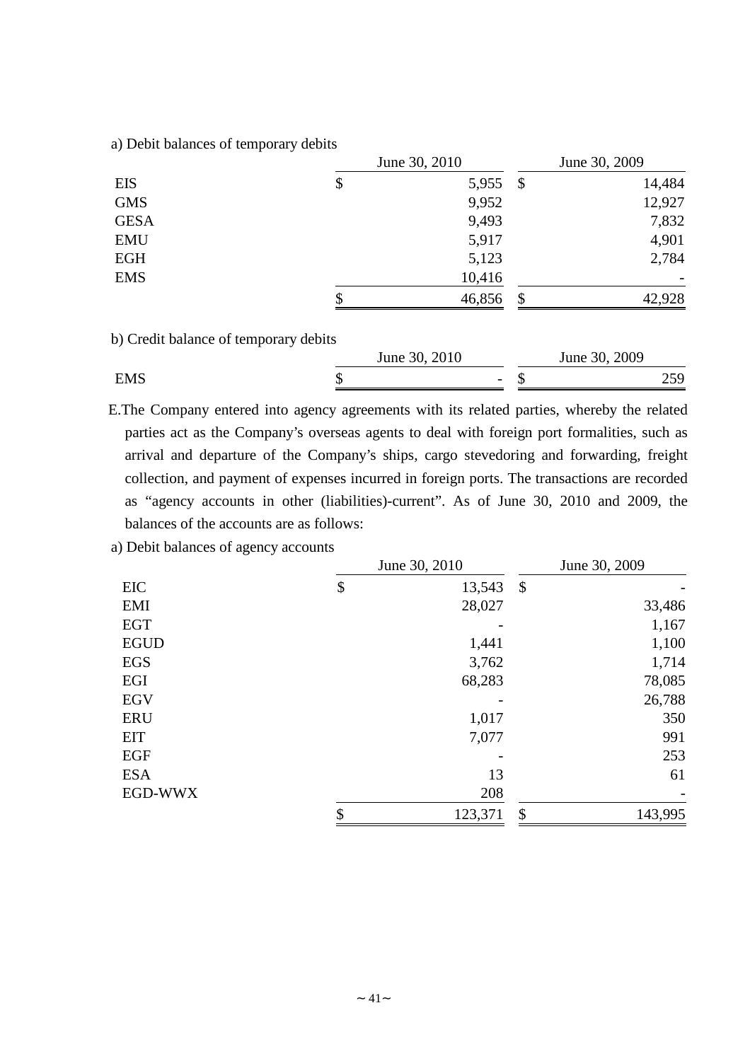a) Debit balances of temporary debits

|             | June 30, 2010 | June 30, 2009 |        |  |
|-------------|---------------|---------------|--------|--|
| <b>EIS</b>  | \$<br>5,955   | \$            | 14,484 |  |
| <b>GMS</b>  | 9,952         |               | 12,927 |  |
| <b>GESA</b> | 9,493         |               | 7,832  |  |
| <b>EMU</b>  | 5,917         |               | 4,901  |  |
| <b>EGH</b>  | 5,123         |               | 2,784  |  |
| <b>EMS</b>  | 10,416        |               |        |  |
|             | \$<br>46,856  | \$            | 42,928 |  |

b) Credit balance of temporary debits

|            | 2010<br>June $30$ ,      | 2009<br>June 30 |                          |
|------------|--------------------------|-----------------|--------------------------|
| <b>EMS</b> | $\overline{\phantom{0}}$ |                 | $\overline{\phantom{m}}$ |

E.The Company entered into agency agreements with its related parties, whereby the related parties act as the Company's overseas agents to deal with foreign port formalities, such as arrival and departure of the Company's ships, cargo stevedoring and forwarding, freight collection, and payment of expenses incurred in foreign ports. The transactions are recorded as "agency accounts in other (liabilities)-current". As of June 30, 2010 and 2009, the balances of the accounts are as follows:

a) Debit balances of agency accounts

|             | June 30, 2010 | June 30, 2009             |         |  |  |
|-------------|---------------|---------------------------|---------|--|--|
| <b>EIC</b>  | \$<br>13,543  | $\boldsymbol{\mathsf{S}}$ |         |  |  |
| EMI         | 28,027        |                           | 33,486  |  |  |
| <b>EGT</b>  |               |                           | 1,167   |  |  |
| <b>EGUD</b> | 1,441         |                           | 1,100   |  |  |
| <b>EGS</b>  | 3,762         |                           | 1,714   |  |  |
| EGI         | 68,283        |                           | 78,085  |  |  |
| <b>EGV</b>  |               |                           | 26,788  |  |  |
| <b>ERU</b>  | 1,017         |                           | 350     |  |  |
| <b>EIT</b>  | 7,077         |                           | 991     |  |  |
| <b>EGF</b>  |               |                           | 253     |  |  |
| <b>ESA</b>  | 13            |                           | 61      |  |  |
| EGD-WWX     | 208           |                           |         |  |  |
|             | \$<br>123,371 | \$                        | 143,995 |  |  |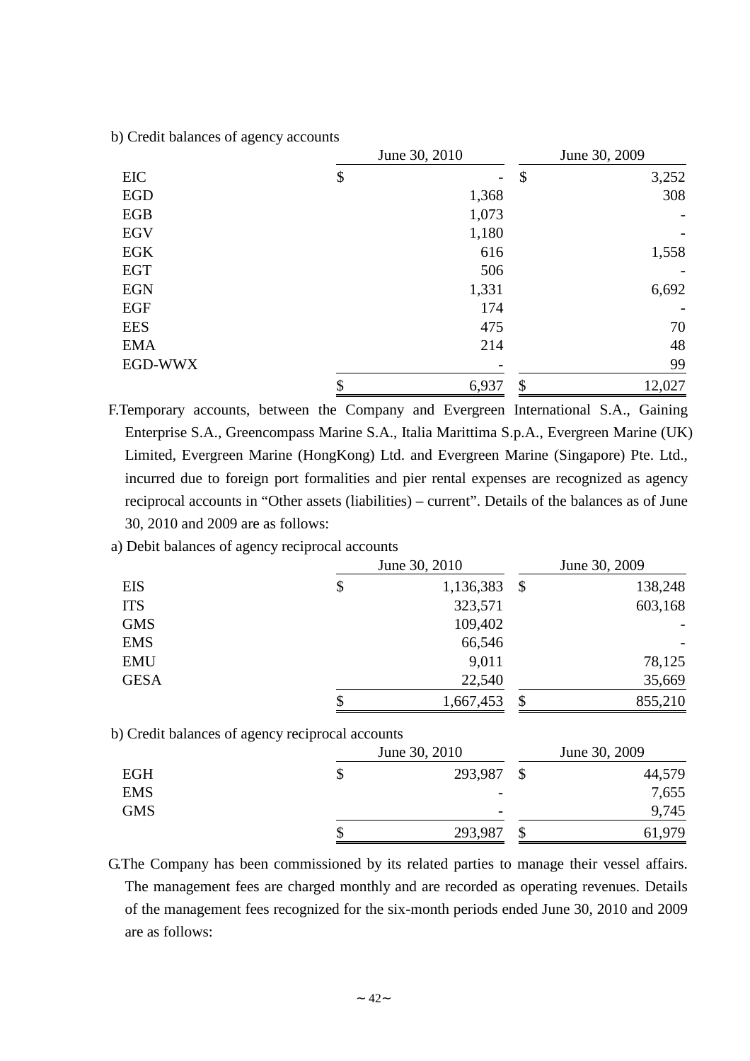0 b) Credit balances of agency accounts

|            | June 30, 2010 | June 30, 2009             |        |  |
|------------|---------------|---------------------------|--------|--|
| EIC        | \$            | $\boldsymbol{\mathsf{S}}$ | 3,252  |  |
| <b>EGD</b> | 1,368         |                           | 308    |  |
| EGB        | 1,073         |                           |        |  |
| <b>EGV</b> | 1,180         |                           |        |  |
| <b>EGK</b> | 616           |                           | 1,558  |  |
| <b>EGT</b> | 506           |                           |        |  |
| <b>EGN</b> | 1,331         |                           | 6,692  |  |
| EGF        | 174           |                           |        |  |
| <b>EES</b> | 475           |                           | 70     |  |
| <b>EMA</b> | 214           |                           | 48     |  |
| EGD-WWX    |               |                           | 99     |  |
|            | 6,937         | \$                        | 12,027 |  |

F.Temporary accounts, between the Company and Evergreen International S.A., Gaining Enterprise S.A., Greencompass Marine S.A., Italia Marittima S.p.A., Evergreen Marine (UK) Limited, Evergreen Marine (HongKong) Ltd. and Evergreen Marine (Singapore) Pte. Ltd., incurred due to foreign port formalities and pier rental expenses are recognized as agency reciprocal accounts in "Other assets (liabilities) – current". Details of the balances as of June 30, 2010 and 2009 are as follows:

a) Debit balances of agency reciprocal accounts

|             | June 30, 2010   | June 30, 2009 |         |  |  |
|-------------|-----------------|---------------|---------|--|--|
| <b>EIS</b>  | \$<br>1,136,383 | $\mathcal{S}$ | 138,248 |  |  |
| <b>ITS</b>  | 323,571         |               | 603,168 |  |  |
| <b>GMS</b>  | 109,402         |               |         |  |  |
| <b>EMS</b>  | 66,546          |               |         |  |  |
| <b>EMU</b>  | 9,011           |               | 78,125  |  |  |
| <b>GESA</b> | 22,540          |               | 35,669  |  |  |
|             | \$<br>1,667,453 | \$            | 855,210 |  |  |

b) Credit balances of agency reciprocal accounts

|            | June 30, 2010            | June 30, 2009 |        |  |  |
|------------|--------------------------|---------------|--------|--|--|
| <b>EGH</b> | 293,987                  |               | 44,579 |  |  |
| <b>EMS</b> | -                        |               | 7,655  |  |  |
| <b>GMS</b> | $\overline{\phantom{0}}$ |               | 9,745  |  |  |
|            | 293,987                  |               | 61,979 |  |  |

G.The Company has been commissioned by its related parties to manage their vessel affairs. The management fees are charged monthly and are recorded as operating revenues. Details of the management fees recognized for the six-month periods ended June 30, 2010 and 2009 are as follows: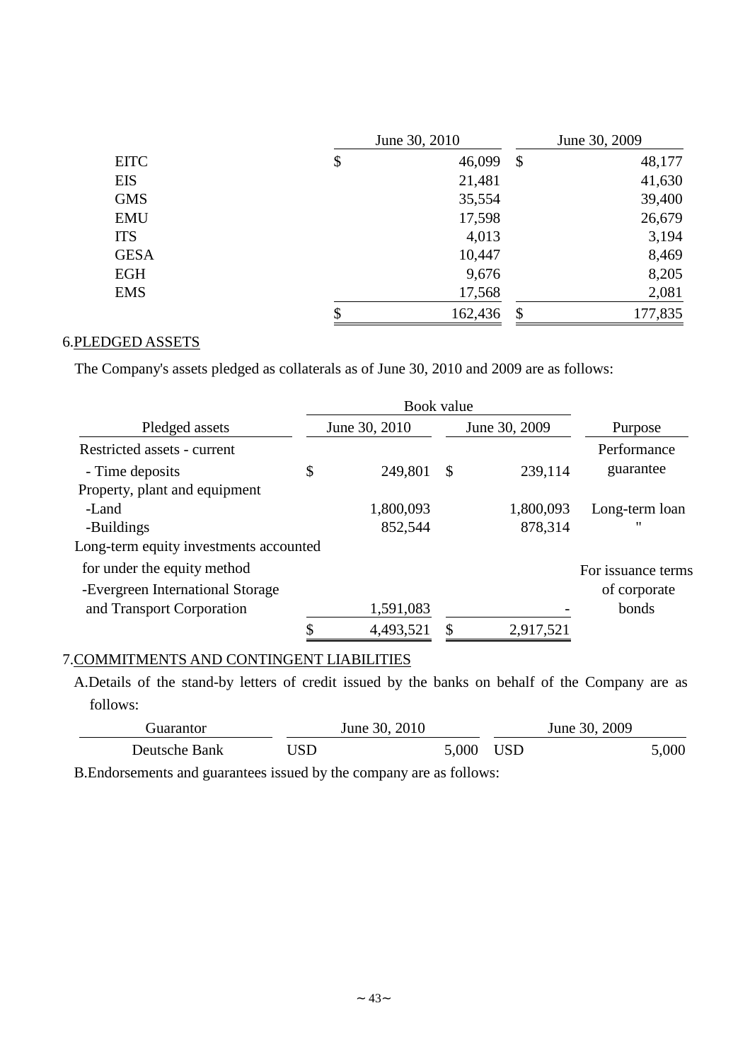|             | June 30, 2010 | June 30, 2009             |         |  |  |
|-------------|---------------|---------------------------|---------|--|--|
| <b>EITC</b> | \$<br>46,099  | $\boldsymbol{\mathsf{S}}$ | 48,177  |  |  |
| <b>EIS</b>  | 21,481        |                           | 41,630  |  |  |
| <b>GMS</b>  | 35,554        |                           | 39,400  |  |  |
| <b>EMU</b>  | 17,598        |                           | 26,679  |  |  |
| <b>ITS</b>  | 4,013         |                           | 3,194   |  |  |
| <b>GESA</b> | 10,447        |                           | 8,469   |  |  |
| <b>EGH</b>  | 9,676         |                           | 8,205   |  |  |
| <b>EMS</b>  | 17,568        |                           | 2,081   |  |  |
|             | \$<br>162,436 | \$                        | 177,835 |  |  |

# 6.PLEDGED ASSETS

The Company's assets pledged as collaterals as of June 30, 2010 and 2009 are as follows:

|                                        | Book value    |   |               |                    |
|----------------------------------------|---------------|---|---------------|--------------------|
| Pledged assets                         | June 30, 2010 |   | June 30, 2009 | Purpose            |
| Restricted assets - current            |               |   |               | Performance        |
| - Time deposits                        | \$<br>249,801 | S | 239,114       | guarantee          |
| Property, plant and equipment          |               |   |               |                    |
| -Land                                  | 1,800,093     |   | 1,800,093     | Long-term loan     |
| -Buildings                             | 852,544       |   | 878,314       | "                  |
| Long-term equity investments accounted |               |   |               |                    |
| for under the equity method            |               |   |               | For issuance terms |
| -Evergreen International Storage       |               |   |               | of corporate       |
| and Transport Corporation              | 1,591,083     |   |               | bonds              |
|                                        | 4,493,521     |   | 2,917,521     |                    |

# 7.COMMITMENTS AND CONTINGENT LIABILITIES

A.Details of the stand-by letters of credit issued by the banks on behalf of the Company are as follows:

| Guarantor)    |     | June 30, 2010 |           | June 30, 2009 |       |
|---------------|-----|---------------|-----------|---------------|-------|
| Deutsche Bank | USD |               | 5,000 USD |               | 5,000 |

B.Endorsements and guarantees issued by the company are as follows: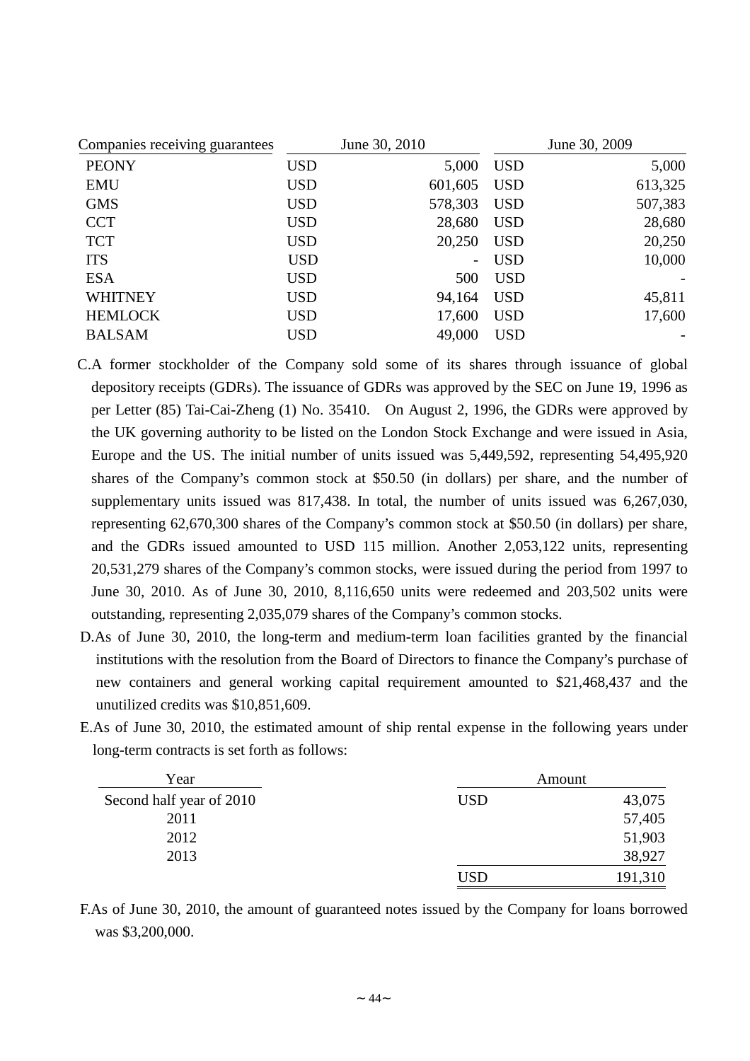| Companies receiving guarantees |            | June 30, 2010            | June 30, 2009 |         |  |  |
|--------------------------------|------------|--------------------------|---------------|---------|--|--|
| <b>PEONY</b>                   | <b>USD</b> | 5,000                    | <b>USD</b>    | 5,000   |  |  |
| <b>EMU</b>                     | <b>USD</b> | 601,605                  | <b>USD</b>    | 613,325 |  |  |
| <b>GMS</b>                     | <b>USD</b> | 578,303                  | <b>USD</b>    | 507,383 |  |  |
| <b>CCT</b>                     | <b>USD</b> | 28,680                   | <b>USD</b>    | 28,680  |  |  |
| <b>TCT</b>                     | <b>USD</b> | 20,250                   | <b>USD</b>    | 20,250  |  |  |
| <b>ITS</b>                     | <b>USD</b> | $\overline{\phantom{a}}$ | <b>USD</b>    | 10,000  |  |  |
| <b>ESA</b>                     | <b>USD</b> | 500                      | <b>USD</b>    |         |  |  |
| <b>WHITNEY</b>                 | <b>USD</b> | 94,164                   | <b>USD</b>    | 45,811  |  |  |
| <b>HEMLOCK</b>                 | <b>USD</b> | 17,600                   | <b>USD</b>    | 17,600  |  |  |
| <b>BALSAM</b>                  | <b>USD</b> | 49,000                   | <b>USD</b>    |         |  |  |

- C.A former stockholder of the Company sold some of its shares through issuance of global depository receipts (GDRs). The issuance of GDRs was approved by the SEC on June 19, 1996 as per Letter (85) Tai-Cai-Zheng (1) No. 35410. On August 2, 1996, the GDRs were approved by the UK governing authority to be listed on the London Stock Exchange and were issued in Asia, Europe and the US. The initial number of units issued was 5,449,592, representing 54,495,920 shares of the Company's common stock at \$50.50 (in dollars) per share, and the number of supplementary units issued was 817,438. In total, the number of units issued was 6,267,030, representing 62,670,300 shares of the Company's common stock at \$50.50 (in dollars) per share, and the GDRs issued amounted to USD 115 million. Another 2,053,122 units, representing 20,531,279 shares of the Company's common stocks, were issued during the period from 1997 to June 30, 2010. As of June 30, 2010, 8,116,650 units were redeemed and 203,502 units were outstanding, representing 2,035,079 shares of the Company's common stocks.
- D.As of June 30, 2010, the long-term and medium-term loan facilities granted by the financial institutions with the resolution from the Board of Directors to finance the Company's purchase of new containers and general working capital requirement amounted to \$21,468,437 and the unutilized credits was \$10,851,609.
- E.As of June 30, 2010, the estimated amount of ship rental expense in the following years under long-term contracts is set forth as follows:

| Year                     |            | Amount  |
|--------------------------|------------|---------|
| Second half year of 2010 | <b>USD</b> | 43,075  |
| 2011                     |            | 57,405  |
| 2012                     |            | 51,903  |
| 2013                     |            | 38,927  |
|                          | USD        | 191,310 |

F.As of June 30, 2010, the amount of guaranteed notes issued by the Company for loans borrowed was \$3,200,000.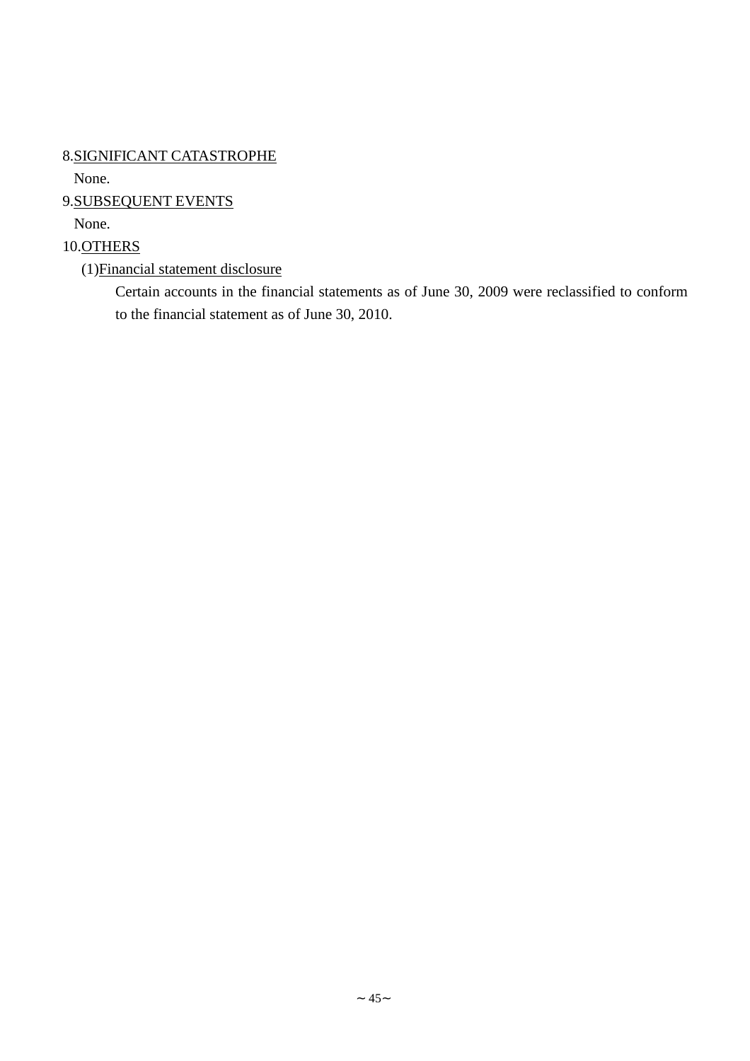8.SIGNIFICANT CATASTROPHE

None.

9.SUBSEQUENT EVENTS

None.

10.OTHERS

(1)Financial statement disclosure

Certain accounts in the financial statements as of June 30, 2009 were reclassified to conform to the financial statement as of June 30, 2010.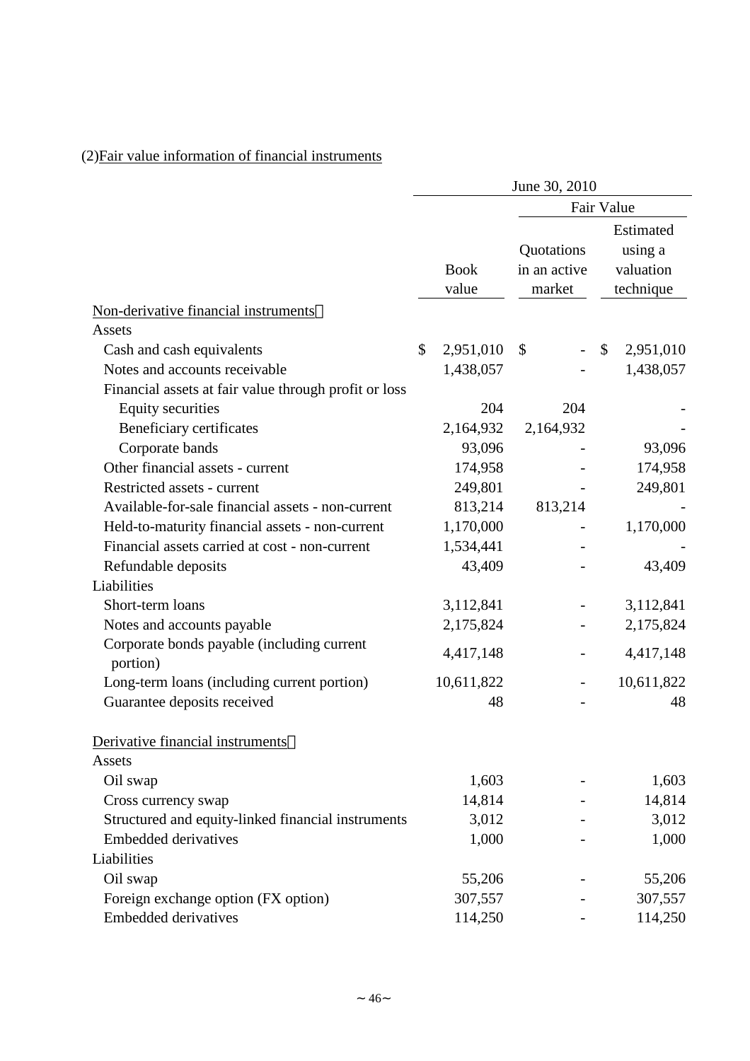# (2)Fair value information of financial instruments

|                                                        | June 30, 2010 |             |                            |     |    |                                   |
|--------------------------------------------------------|---------------|-------------|----------------------------|-----|----|-----------------------------------|
|                                                        | Fair Value    |             |                            |     |    |                                   |
|                                                        |               | <b>Book</b> | Quotations<br>in an active |     |    | Estimated<br>using a<br>valuation |
|                                                        |               | value       | market                     |     |    | technique                         |
| Non-derivative financial instruments                   |               |             |                            |     |    |                                   |
| Assets                                                 |               |             |                            |     |    |                                   |
| Cash and cash equivalents                              | \$            | 2,951,010   | \$                         |     | \$ | 2,951,010                         |
| Notes and accounts receivable                          |               | 1,438,057   |                            |     |    | 1,438,057                         |
| Financial assets at fair value through profit or loss  |               |             |                            |     |    |                                   |
| <b>Equity securities</b>                               |               | 204         |                            | 204 |    |                                   |
| Beneficiary certificates                               |               | 2,164,932   | 2,164,932                  |     |    |                                   |
| Corporate bands                                        |               | 93,096      |                            |     |    | 93,096                            |
| Other financial assets - current                       |               | 174,958     |                            |     |    | 174,958                           |
| Restricted assets - current                            |               | 249,801     |                            |     |    | 249,801                           |
| Available-for-sale financial assets - non-current      |               | 813,214     | 813,214                    |     |    |                                   |
| Held-to-maturity financial assets - non-current        |               | 1,170,000   |                            |     |    | 1,170,000                         |
| Financial assets carried at cost - non-current         |               | 1,534,441   |                            |     |    |                                   |
| Refundable deposits                                    |               | 43,409      |                            |     |    | 43,409                            |
| Liabilities                                            |               |             |                            |     |    |                                   |
| Short-term loans                                       |               | 3,112,841   |                            |     |    | 3,112,841                         |
| Notes and accounts payable                             |               | 2,175,824   |                            |     |    | 2,175,824                         |
| Corporate bonds payable (including current<br>portion) |               | 4,417,148   |                            |     |    | 4,417,148                         |
| Long-term loans (including current portion)            |               | 10,611,822  |                            |     |    | 10,611,822                        |
| Guarantee deposits received                            |               | 48          |                            |     |    | 48                                |
| Derivative financial instruments                       |               |             |                            |     |    |                                   |
| Assets                                                 |               |             |                            |     |    |                                   |
| Oil swap                                               |               | 1,603       |                            |     |    | 1,603                             |
| Cross currency swap                                    |               | 14,814      |                            |     |    | 14,814                            |
| Structured and equity-linked financial instruments     |               | 3,012       |                            |     |    | 3,012                             |
| <b>Embedded derivatives</b>                            |               | 1,000       |                            |     |    | 1,000                             |
| Liabilities                                            |               |             |                            |     |    |                                   |
| Oil swap                                               |               | 55,206      |                            |     |    | 55,206                            |
| Foreign exchange option (FX option)                    |               | 307,557     |                            |     |    | 307,557                           |
| <b>Embedded derivatives</b>                            |               | 114,250     |                            |     |    | 114,250                           |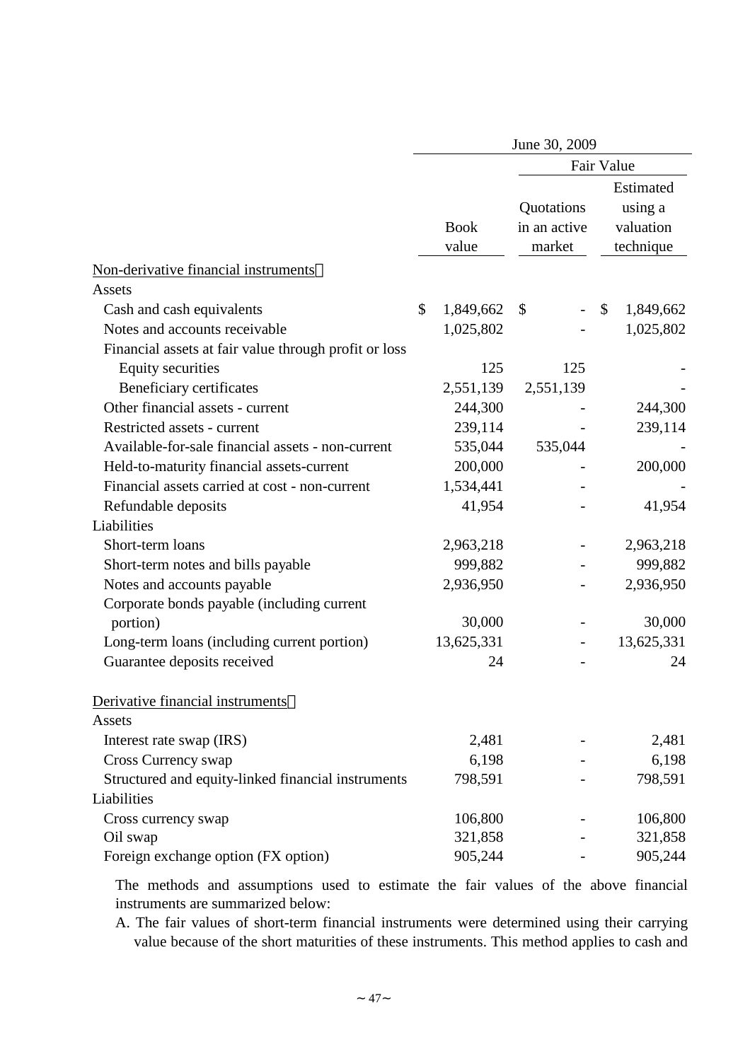|                                                       | June 30, 2009 |             |              |              |            |  |
|-------------------------------------------------------|---------------|-------------|--------------|--------------|------------|--|
|                                                       | Fair Value    |             |              |              |            |  |
|                                                       |               |             |              |              | Estimated  |  |
|                                                       |               |             | Quotations   |              | using a    |  |
|                                                       |               | <b>Book</b> | in an active |              | valuation  |  |
|                                                       |               | value       | market       |              | technique  |  |
| Non-derivative financial instruments                  |               |             |              |              |            |  |
| Assets                                                |               |             |              |              |            |  |
| Cash and cash equivalents                             | \$            | 1,849,662   | \$           | $\mathbb{S}$ | 1,849,662  |  |
| Notes and accounts receivable                         |               | 1,025,802   |              |              | 1,025,802  |  |
| Financial assets at fair value through profit or loss |               |             |              |              |            |  |
| <b>Equity securities</b>                              |               | 125         | 125          |              |            |  |
| Beneficiary certificates                              |               | 2,551,139   | 2,551,139    |              |            |  |
| Other financial assets - current                      |               | 244,300     |              |              | 244,300    |  |
| Restricted assets - current                           |               | 239,114     |              |              | 239,114    |  |
| Available-for-sale financial assets - non-current     |               | 535,044     | 535,044      |              |            |  |
| Held-to-maturity financial assets-current             |               | 200,000     |              |              | 200,000    |  |
| Financial assets carried at cost - non-current        |               | 1,534,441   |              |              |            |  |
| Refundable deposits                                   |               | 41,954      |              |              | 41,954     |  |
| Liabilities                                           |               |             |              |              |            |  |
| Short-term loans                                      |               | 2,963,218   |              |              | 2,963,218  |  |
| Short-term notes and bills payable                    |               | 999,882     |              |              | 999,882    |  |
| Notes and accounts payable                            |               | 2,936,950   |              |              | 2,936,950  |  |
| Corporate bonds payable (including current            |               |             |              |              |            |  |
| portion)                                              |               | 30,000      |              |              | 30,000     |  |
| Long-term loans (including current portion)           |               | 13,625,331  |              |              | 13,625,331 |  |
| Guarantee deposits received                           |               | 24          |              |              | 24         |  |
| Derivative financial instruments                      |               |             |              |              |            |  |
| Assets                                                |               |             |              |              |            |  |
| Interest rate swap (IRS)                              |               | 2,481       |              |              | 2,481      |  |
| Cross Currency swap                                   |               | 6,198       |              |              | 6,198      |  |
| Structured and equity-linked financial instruments    |               | 798,591     |              |              | 798,591    |  |
| Liabilities                                           |               |             |              |              |            |  |
| Cross currency swap                                   |               | 106,800     |              |              | 106,800    |  |
| Oil swap                                              |               | 321,858     |              |              | 321,858    |  |
| Foreign exchange option (FX option)                   |               | 905,244     |              |              | 905,244    |  |

The methods and assumptions used to estimate the fair values of the above financial instruments are summarized below:

A. The fair values of short-term financial instruments were determined using their carrying value because of the short maturities of these instruments. This method applies to cash and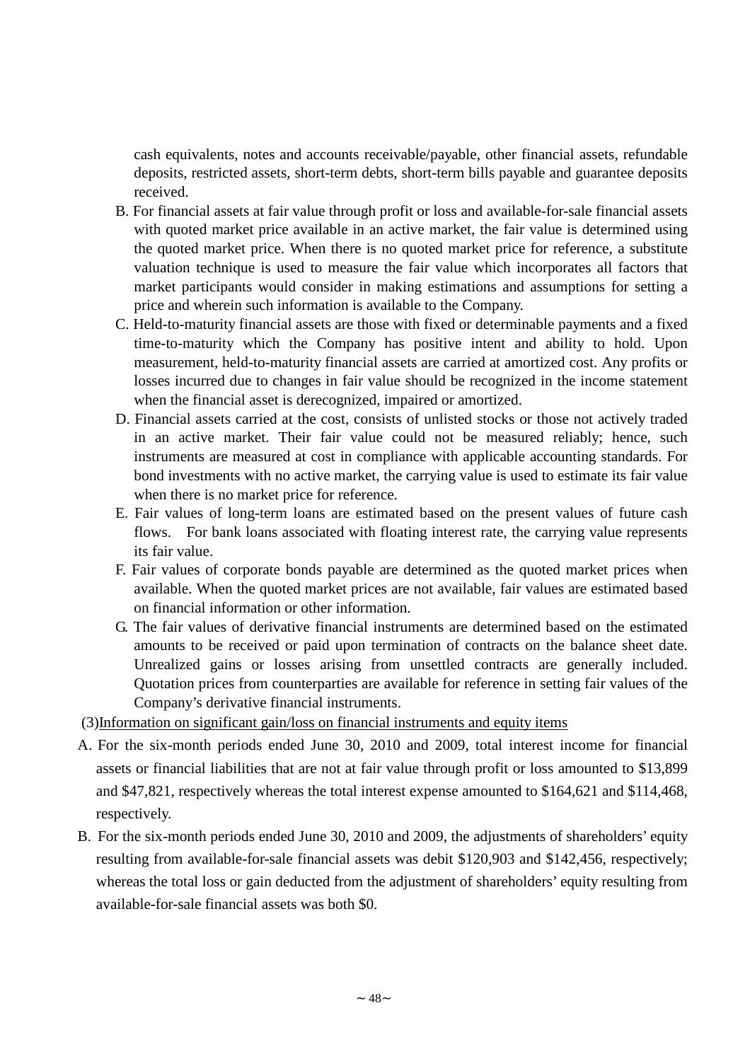cash equivalents, notes and accounts receivable/payable, other financial assets, refundable deposits, restricted assets, short-term debts, short-term bills payable and guarantee deposits received.

- B. For financial assets at fair value through profit or loss and available-for-sale financial assets with quoted market price available in an active market, the fair value is determined using the quoted market price. When there is no quoted market price for reference, a substitute valuation technique is used to measure the fair value which incorporates all factors that market participants would consider in making estimations and assumptions for setting a price and wherein such information is available to the Company.
- C. Held-to-maturity financial assets are those with fixed or determinable payments and a fixed time-to-maturity which the Company has positive intent and ability to hold. Upon measurement, held-to-maturity financial assets are carried at amortized cost. Any profits or losses incurred due to changes in fair value should be recognized in the income statement when the financial asset is derecognized, impaired or amortized.
- D. Financial assets carried at the cost, consists of unlisted stocks or those not actively traded in an active market. Their fair value could not be measured reliably; hence, such instruments are measured at cost in compliance with applicable accounting standards. For bond investments with no active market, the carrying value is used to estimate its fair value when there is no market price for reference.
- E. Fair values of long-term loans are estimated based on the present values of future cash flows. For bank loans associated with floating interest rate, the carrying value represents its fair value.
- F. Fair values of corporate bonds payable are determined as the quoted market prices when available. When the quoted market prices are not available, fair values are estimated based on financial information or other information.
- G. The fair values of derivative financial instruments are determined based on the estimated amounts to be received or paid upon termination of contracts on the balance sheet date. Unrealized gains or losses arising from unsettled contracts are generally included. Quotation prices from counterparties are available for reference in setting fair values of the Company's derivative financial instruments.
- (3)Information on significant gain/loss on financial instruments and equity items
- A. For the six-month periods ended June 30, 2010 and 2009, total interest income for financial assets or financial liabilities that are not at fair value through profit or loss amounted to \$13,899 and \$47,821, respectively whereas the total interest expense amounted to \$164,621 and \$114,468, respectively.
- B. For the six-month periods ended June 30, 2010 and 2009, the adjustments of shareholders'equity resulting from available-for-sale financial assets was debit \$120,903 and \$142,456, respectively; whereas the total loss or gain deducted from the adjustment of shareholders'equity resulting from available-for-sale financial assets was both \$0.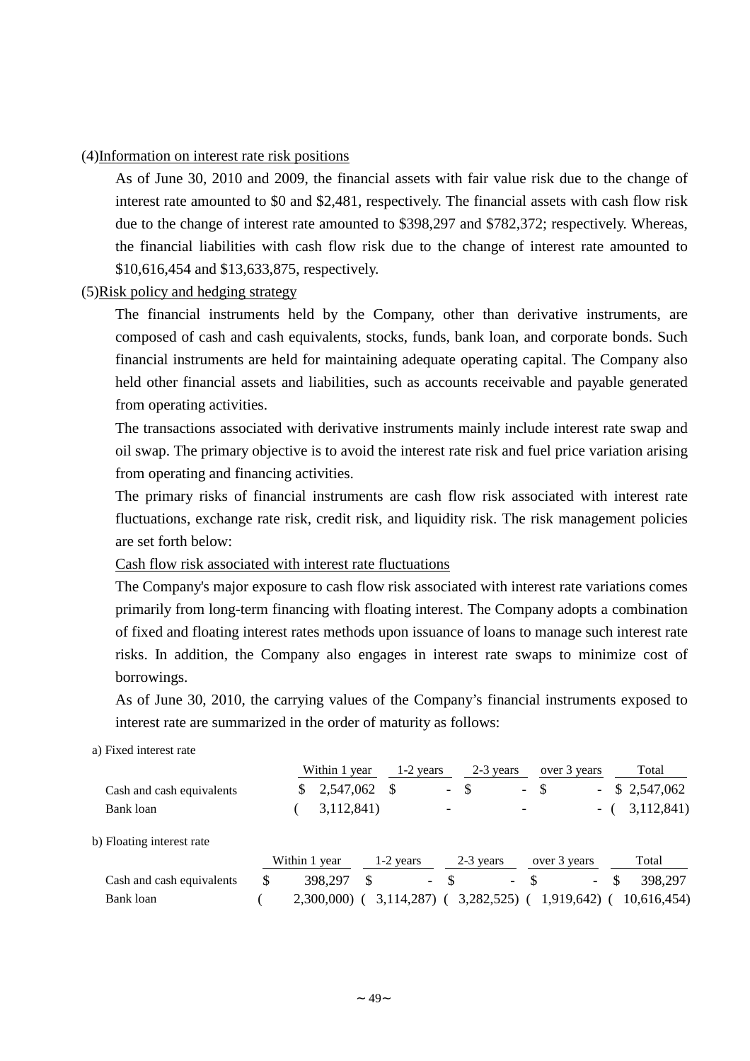### (4)Information on interest rate risk positions

As of June 30, 2010 and 2009, the financial assets with fair value risk due to the change of interest rate amounted to \$0 and \$2,481, respectively. The financial assets with cash flow risk due to the change of interest rate amounted to \$398,297 and \$782,372; respectively. Whereas, the financial liabilities with cash flow risk due to the change of interest rate amounted to \$10,616,454 and \$13,633,875, respectively.

### (5)Risk policy and hedging strategy

The financial instruments held by the Company, other than derivative instruments, are composed of cash and cash equivalents, stocks, funds, bank loan, and corporate bonds. Such financial instruments are held for maintaining adequate operating capital. The Company also held other financial assets and liabilities, such as accounts receivable and payable generated from operating activities.

The transactions associated with derivative instruments mainly include interest rate swap and oil swap. The primary objective is to avoid the interest rate risk and fuel price variation arising from operating and financing activities.

The primary risks of financial instruments are cash flow risk associated with interest rate fluctuations, exchange rate risk, credit risk, and liquidity risk. The risk management policies are set forth below:

## Cash flow risk associated with interest rate fluctuations

The Company's major exposure to cash flow risk associated with interest rate variations comes primarily from long-term financing with floating interest. The Company adopts a combination of fixed and floating interest rates methods upon issuance of loans to manage such interest rate risks. In addition, the Company also engages in interest rate swaps to minimize cost of borrowings.

As of June 30, 2010, the carrying values of the Company's financial instruments exposed to interest rate are summarized in the order of maturity as follows:

#### a) Fixed interest rate

|                           |   | Within 1 year | $1-2$ years  |                          | 2-3 years  |                          | over 3 years |                          |    | Total       |
|---------------------------|---|---------------|--------------|--------------------------|------------|--------------------------|--------------|--------------------------|----|-------------|
| Cash and cash equivalents |   | 2,547,062     | -S           | $\overline{\phantom{0}}$ | \$         | $\sim$                   | -\$          | $\overline{\phantom{0}}$ |    | \$2,547,062 |
| Bank loan                 |   | 3,112,841)    |              | $\overline{\phantom{0}}$ |            |                          |              | $\sim$                   |    | 3,112,841   |
| b) Floating interest rate |   |               |              |                          |            |                          |              |                          |    |             |
|                           |   | Within 1 year | $1-2$ years  |                          | 2-3 years  |                          | over 3 years |                          |    | Total       |
| Cash and cash equivalents | S | 398,297       | \$<br>$\sim$ |                          |            | $\overline{\phantom{a}}$ |              | $\overline{\phantom{a}}$ | -S | 398.297     |
| Bank loan                 |   | 2,300,000)    | 3,114,287)   |                          | 3,282,525) |                          | 1,919,642)   |                          |    | 10,616,454) |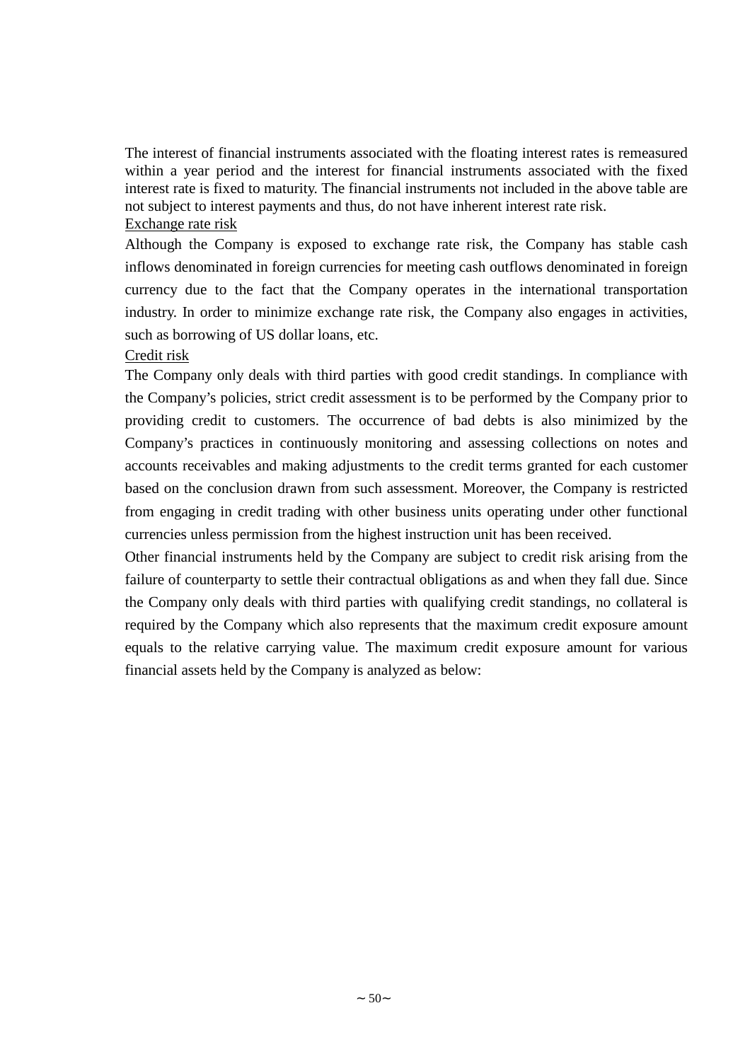The interest of financial instruments associated with the floating interest rates is remeasured within a year period and the interest for financial instruments associated with the fixed interest rate is fixed to maturity. The financial instruments not included in the above table are not subject to interest payments and thus, do not have inherent interest rate risk. Exchange rate risk

Although the Company is exposed to exchange rate risk, the Company has stable cash inflows denominated in foreign currencies for meeting cash outflows denominated in foreign currency due to the fact that the Company operates in the international transportation industry. In order to minimize exchange rate risk, the Company also engages in activities, such as borrowing of US dollar loans, etc.

## Credit risk

The Company only deals with third parties with good credit standings. In compliance with the Company's policies, strict credit assessment is to be performed by the Company prior to providing credit to customers. The occurrence of bad debts is also minimized by the Company's practices in continuously monitoring and assessing collections on notes and accounts receivables and making adjustments to the credit terms granted for each customer based on the conclusion drawn from such assessment. Moreover, the Company is restricted from engaging in credit trading with other business units operating under other functional currencies unless permission from the highest instruction unit has been received.

Other financial instruments held by the Company are subject to credit risk arising from the failure of counterparty to settle their contractual obligations as and when they fall due. Since the Company only deals with third parties with qualifying credit standings, no collateral is required by the Company which also represents that the maximum credit exposure amount equals to the relative carrying value. The maximum credit exposure amount for various financial assets held by the Company is analyzed as below: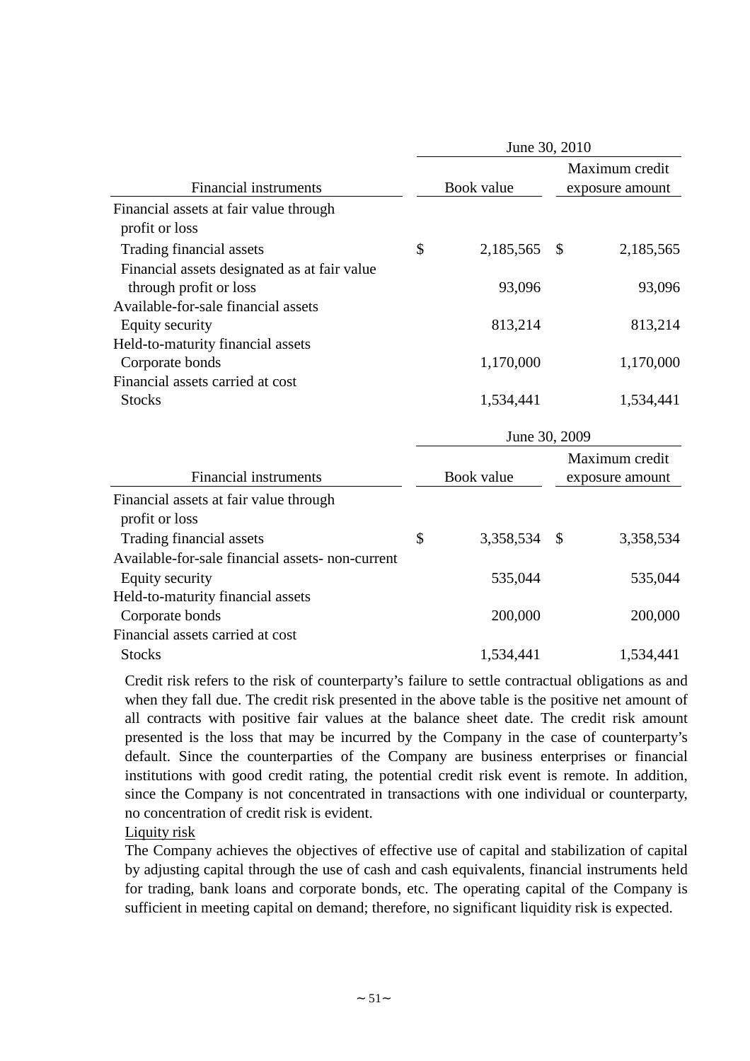|                                                  |                 | June 30, 2010 |                 |
|--------------------------------------------------|-----------------|---------------|-----------------|
|                                                  |                 |               | Maximum credit  |
| <b>Financial instruments</b>                     | Book value      |               | exposure amount |
| Financial assets at fair value through           |                 |               |                 |
| profit or loss                                   |                 |               |                 |
| Trading financial assets                         | \$<br>2,185,565 | \$            | 2,185,565       |
| Financial assets designated as at fair value     |                 |               |                 |
| through profit or loss                           | 93,096          |               | 93,096          |
| Available-for-sale financial assets              |                 |               |                 |
| Equity security                                  | 813,214         |               | 813,214         |
| Held-to-maturity financial assets                |                 |               |                 |
| Corporate bonds                                  | 1,170,000       |               | 1,170,000       |
| Financial assets carried at cost                 |                 |               |                 |
| <b>Stocks</b>                                    | 1,534,441       |               | 1,534,441       |
|                                                  |                 | June 30, 2009 |                 |
|                                                  |                 |               | Maximum credit  |
| <b>Financial instruments</b>                     | Book value      |               | exposure amount |
| Financial assets at fair value through           |                 |               |                 |
| profit or loss                                   |                 |               |                 |
| Trading financial assets                         | \$<br>3,358,534 | \$            | 3,358,534       |
| Available-for-sale financial assets- non-current |                 |               |                 |
| Equity security                                  | 535,044         |               | 535,044         |
| Held-to-maturity financial assets                |                 |               |                 |
| Corporate bonds                                  | 200,000         |               | 200,000         |
| Financial assets carried at cost                 |                 |               |                 |
| <b>Stocks</b>                                    | 1,534,441       |               | 1,534,441       |

Credit risk refers to the risk of counterparty's failure to settle contractual obligations as and when they fall due. The credit risk presented in the above table is the positive net amount of all contracts with positive fair values at the balance sheet date. The credit risk amount presented is the loss that may be incurred by the Company in the case of counterparty's default. Since the counterparties of the Company are business enterprises or financial institutions with good credit rating, the potential credit risk event is remote. In addition, since the Company is not concentrated in transactions with one individual or counterparty, no concentration of credit risk is evident.

Liquity risk

The Company achieves the objectives of effective use of capital and stabilization of capital by adjusting capital through the use of cash and cash equivalents, financial instruments held for trading, bank loans and corporate bonds, etc. The operating capital of the Company is sufficient in meeting capital on demand; therefore, no significant liquidity risk is expected.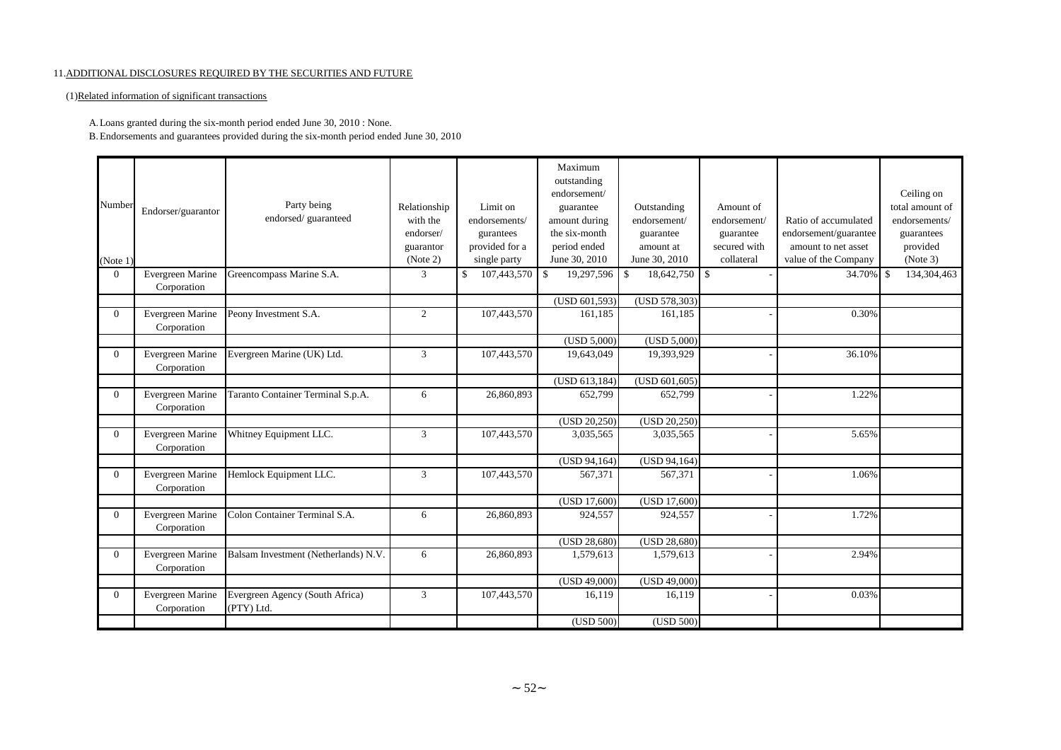#### 11.ADDITIONAL DISCLOSURES REQUIRED BY THE SECURITIES AND FUTURE

#### (1)Related information of significant transactions

#### A.Loans granted during the six-month period ended June 30, 2010 : None.

B.Endorsements and guarantees provided during the six-month period ended June 30, 2010

|                |                                 |                                               |                |                              | Maximum<br>outstanding<br>endorsement/ |                   |              |                       | Ceiling on      |
|----------------|---------------------------------|-----------------------------------------------|----------------|------------------------------|----------------------------------------|-------------------|--------------|-----------------------|-----------------|
| Number         |                                 | Party being                                   | Relationship   | Limit on                     | guarantee                              | Outstanding       | Amount of    |                       | total amount of |
|                | Endorser/guarantor              | endorsed/guaranteed                           | with the       | endorsements/                | amount during                          | endorsement/      | endorsement/ | Ratio of accumulated  | endorsements/   |
|                |                                 |                                               | endorser/      | gurantees                    | the six-month                          | guarantee         | guarantee    | endorsement/guarantee | guarantees      |
|                |                                 |                                               | guarantor      | provided for a               | period ended                           | amount at         | secured with | amount to net asset   | provided        |
| (Note 1)       |                                 |                                               | (Note 2)       | single party                 | June 30, 2010                          | June 30, 2010     | collateral   | value of the Company  | (Note 3)        |
| $\Omega$       | Evergreen Marine<br>Corporation | Greencompass Marine S.A.                      | $\overline{3}$ | $\mathcal{S}$<br>107,443,570 | 19,297,596<br>$\mathbf{\hat{S}}$       | 18,642,750<br>-\$ | $\mathbf{s}$ | 34.70% \$             | 134,304,463     |
|                |                                 |                                               |                |                              | (USD 601, 593)                         | (USD 578,303)     |              |                       |                 |
| $\Omega$       | Evergreen Marine<br>Corporation | Peony Investment S.A.                         | 2              | 107,443,570                  | 161.185                                | 161.185           |              | 0.30%                 |                 |
|                |                                 |                                               |                |                              | (USD 5,000)                            | (USD 5,000)       |              |                       |                 |
| $\Omega$       | Evergreen Marine<br>Corporation | Evergreen Marine (UK) Ltd.                    | 3              | 107,443,570                  | 19,643,049                             | 19,393,929        |              | 36.10%                |                 |
|                |                                 |                                               |                |                              | (USD 613,184)                          | (USD 601, 605)    |              |                       |                 |
| $\overline{0}$ | Evergreen Marine<br>Corporation | Taranto Container Terminal S.p.A.             | 6              | 26,860,893                   | 652,799                                | 652,799           |              | 1.22%                 |                 |
|                |                                 |                                               |                |                              | (USD 20,250)                           | (USD 20,250)      |              |                       |                 |
| $\Omega$       | Evergreen Marine<br>Corporation | Whitney Equipment LLC.                        | 3              | 107,443,570                  | 3,035,565                              | 3,035,565         |              | 5.65%                 |                 |
|                |                                 |                                               |                |                              | (USD 94,164)                           | (USD 94,164)      |              |                       |                 |
| $\Omega$       | Evergreen Marine<br>Corporation | Hemlock Equipment LLC.                        | 3              | 107,443,570                  | 567,371                                | 567,371           |              | 1.06%                 |                 |
|                |                                 |                                               |                |                              | (USD 17,600)                           | (USD 17,600)      |              |                       |                 |
| $\Omega$       | Evergreen Marine<br>Corporation | Colon Container Terminal S.A.                 | 6              | 26,860,893                   | 924,557                                | 924,557           |              | 1.72%                 |                 |
|                |                                 |                                               |                |                              | (USD 28,680)                           | (USD 28,680)      |              |                       |                 |
| $\Omega$       | Evergreen Marine<br>Corporation | Balsam Investment (Netherlands) N.V.          | 6              | 26,860,893                   | 1,579,613                              | 1,579,613         |              | 2.94%                 |                 |
|                |                                 |                                               |                |                              | (USD 49,000)                           | (USD 49,000)      |              |                       |                 |
| $\overline{0}$ | Evergreen Marine<br>Corporation | Evergreen Agency (South Africa)<br>(PTY) Ltd. | 3              | 107,443,570                  | 16,119                                 | 16,119            |              | 0.03%                 |                 |
|                |                                 |                                               |                |                              | (USD 500)                              | (USD 500)         |              |                       |                 |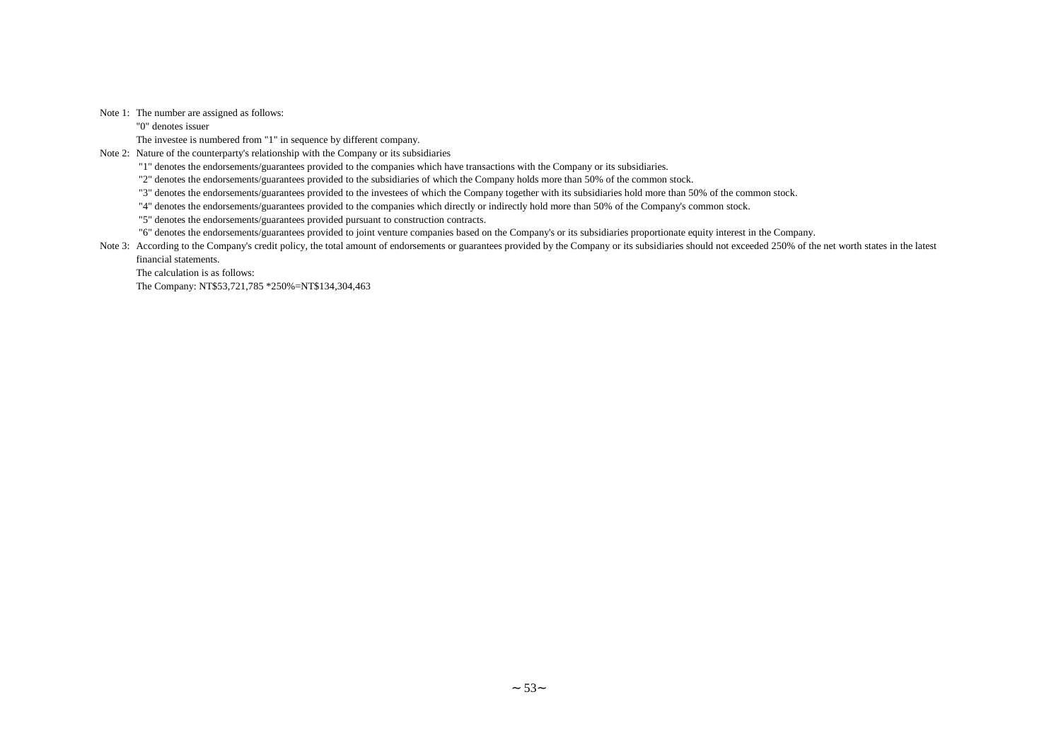Note 1: The number are assigned as follows:

"0" denotes issuer

The investee is numbered from "1" in sequence by different company.

Note 2: Nature of the counterparty's relationship with the Company or its subsidiaries

"1" denotes the endorsements/guarantees provided to the companies which have transactions with the Company or its subsidiaries.

"2" denotes the endorsements/guarantees provided to the subsidiaries of which the Company holds more than 50% of the common stock.

"3" denotes the endorsements/guarantees provided to the investees of which the Company together with its subsidiaries hold more than 50% of the common stock.

"4" denotes the endorsements/guarantees provided to the companies which directly or indirectly hold more than 50% of the Company's common stock.

"5" denotes the endorsements/guarantees provided pursuant to construction contracts.

"6" denotes the endorsements/guarantees provided to joint venture companies based on the Company's or its subsidiaries proportionate equity interest in the Company.

Note 3: According to the Company's credit policy, the total amount of endorsements or guarantees provided by the Company or its subsidiaries should not exceeded 250% of the net worth states in the latest financial statements.

The calculation is as follows:

The Company: NT\$53,721,785 \*250%=NT\$134,304,463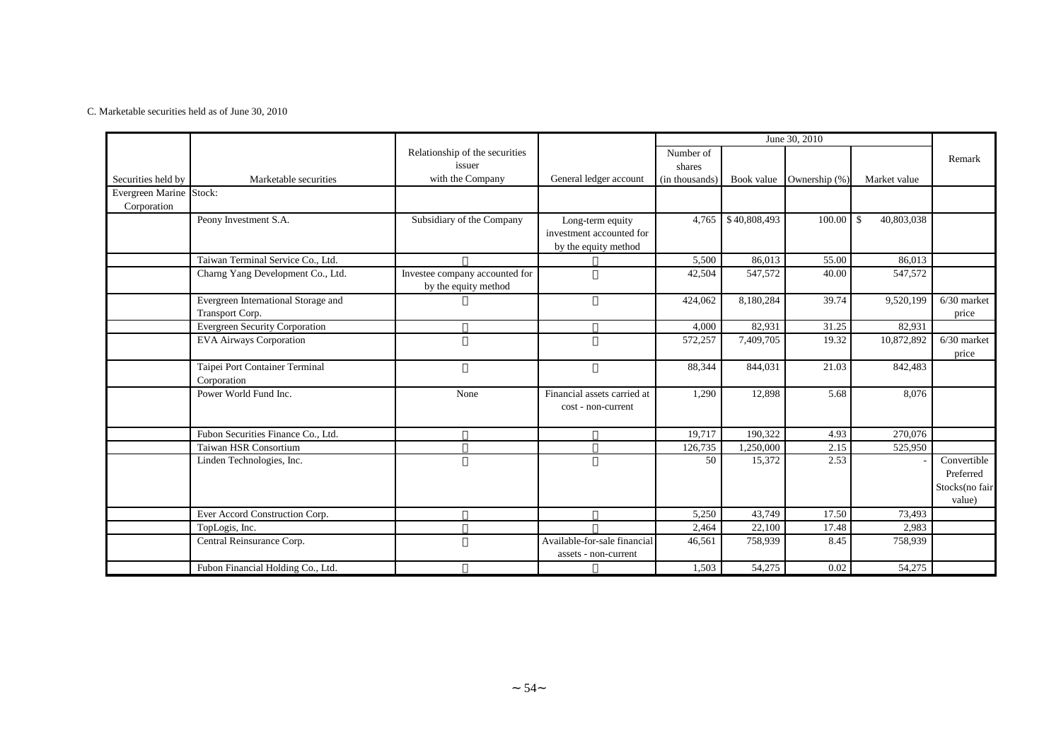#### C. Marketable securities held as of June 30, 2010

|                         |                                                        |                                                        |                                                                      | June 30, 2010<br>Number of |                     |               |                    |                          |
|-------------------------|--------------------------------------------------------|--------------------------------------------------------|----------------------------------------------------------------------|----------------------------|---------------------|---------------|--------------------|--------------------------|
|                         |                                                        | Relationship of the securities<br>issuer               |                                                                      | shares                     |                     |               |                    | Remark                   |
| Securities held by      | Marketable securities                                  | with the Company                                       | General ledger account                                               | (in thousands)             | Book value          | Ownership (%) | Market value       |                          |
| Evergreen Marine Stock: |                                                        |                                                        |                                                                      |                            |                     |               |                    |                          |
| Corporation             |                                                        |                                                        |                                                                      |                            |                     |               |                    |                          |
|                         | Peony Investment S.A.                                  | Subsidiary of the Company                              | Long-term equity<br>investment accounted for<br>by the equity method | 4,765                      | \$40,808,493        | 100.00        | 40,803,038<br>l \$ |                          |
|                         | Taiwan Terminal Service Co., Ltd.                      |                                                        |                                                                      | 5,500                      | 86,013              | 55.00         | 86,013             |                          |
|                         | Charng Yang Development Co., Ltd.                      | Investee company accounted for<br>by the equity method |                                                                      | 42,504                     | 547,572             | 40.00         | 547,572            |                          |
|                         | Evergreen International Storage and<br>Transport Corp. |                                                        |                                                                      | 424,062                    | 8,180,284           | 39.74         | 9,520,199          | $6/30$ market<br>price   |
|                         | <b>Evergreen Security Corporation</b>                  |                                                        |                                                                      | 4,000                      | 82,931              | 31.25         | 82,931             |                          |
|                         | <b>EVA Airways Corporation</b>                         |                                                        |                                                                      | 572,257                    | 7,409,705           | 19.32         | 10,872,892         | $6/30$ market<br>price   |
|                         | Taipei Port Container Terminal<br>Corporation          |                                                        |                                                                      | 88,344                     | 844,031             | 21.03         | 842,483            |                          |
|                         | Power World Fund Inc.                                  | None                                                   | Financial assets carried at<br>cost - non-current                    | 1,290                      | 12,898              | 5.68          | 8,076              |                          |
|                         | Fubon Securities Finance Co., Ltd.                     |                                                        |                                                                      | 19,717                     | 190,322             | 4.93          | 270,076            |                          |
|                         | Taiwan HSR Consortium                                  |                                                        |                                                                      | 126,735                    | 1,250,000           | 2.15          | 525,950            |                          |
|                         | Linden Technologies, Inc.                              |                                                        |                                                                      | 50                         | 15,372              | 2.53          |                    | Convertible              |
|                         |                                                        |                                                        |                                                                      |                            |                     |               |                    | Preferred                |
|                         |                                                        |                                                        |                                                                      |                            |                     |               |                    | Stocks(no fair<br>value) |
|                         | Ever Accord Construction Corp.                         |                                                        |                                                                      | 5,250                      | 43,749              | 17.50         | 73,493             |                          |
|                         | TopLogis, Inc.                                         |                                                        |                                                                      | 2,464                      | 22,100              | 17.48         | 2,983              |                          |
|                         | Central Reinsurance Corp.                              |                                                        | Available-for-sale financial<br>assets - non-current                 | 46,561                     | 758,939             | 8.45          | 758,939            |                          |
|                         | Fubon Financial Holding Co., Ltd.                      |                                                        |                                                                      | 1,503                      | $\overline{54,275}$ | 0.02          | 54,275             |                          |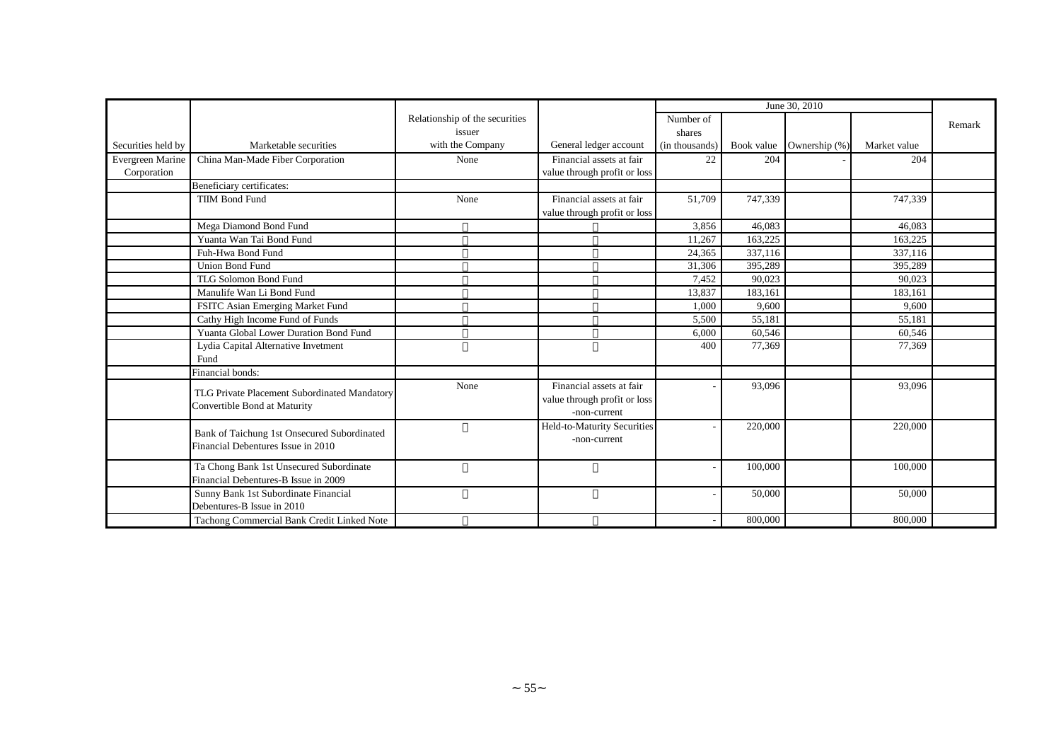|                    |                                                                                   |                                |                              | June 30, 2010<br>Number of<br>shares |         |                          |              |        |
|--------------------|-----------------------------------------------------------------------------------|--------------------------------|------------------------------|--------------------------------------|---------|--------------------------|--------------|--------|
|                    |                                                                                   | Relationship of the securities |                              |                                      |         |                          |              | Remark |
|                    |                                                                                   | issuer                         |                              |                                      |         |                          |              |        |
| Securities held by | Marketable securities                                                             | with the Company               | General ledger account       | (in thousands)                       |         | Book value Ownership (%) | Market value |        |
| Evergreen Marine   | China Man-Made Fiber Corporation                                                  | None                           | Financial assets at fair     | 22                                   | 204     |                          | 204          |        |
| Corporation        |                                                                                   |                                | value through profit or loss |                                      |         |                          |              |        |
|                    | Beneficiary certificates:                                                         |                                |                              |                                      |         |                          |              |        |
|                    | <b>TIIM Bond Fund</b>                                                             | None                           | Financial assets at fair     | 51,709                               | 747,339 |                          | 747,339      |        |
|                    |                                                                                   |                                | value through profit or loss |                                      |         |                          |              |        |
|                    | Mega Diamond Bond Fund                                                            |                                |                              | 3,856                                | 46,083  |                          | 46,083       |        |
|                    | Yuanta Wan Tai Bond Fund                                                          |                                |                              | 11,267                               | 163,225 |                          | 163,225      |        |
|                    | Fuh-Hwa Bond Fund                                                                 |                                |                              | 24,365                               | 337,116 |                          | 337,116      |        |
|                    | <b>Union Bond Fund</b>                                                            |                                |                              | 31,306                               | 395,289 |                          | 395,289      |        |
|                    | TLG Solomon Bond Fund                                                             |                                |                              | 7,452                                | 90,023  |                          | 90,023       |        |
|                    | Manulife Wan Li Bond Fund                                                         |                                |                              | 13,837                               | 183,161 |                          | 183,161      |        |
|                    | FSITC Asian Emerging Market Fund                                                  |                                |                              | 1,000                                | 9,600   |                          | 9,600        |        |
|                    | Cathy High Income Fund of Funds                                                   |                                |                              | 5,500                                | 55,181  |                          | 55,181       |        |
|                    | Yuanta Global Lower Duration Bond Fund                                            |                                |                              | 6.000                                | 60,546  |                          | 60,546       |        |
|                    | Lydia Capital Alternative Invetment                                               |                                |                              | 400                                  | 77,369  |                          | 77,369       |        |
|                    | Fund                                                                              |                                |                              |                                      |         |                          |              |        |
|                    | Financial bonds:                                                                  |                                |                              |                                      |         |                          |              |        |
|                    |                                                                                   | None                           | Financial assets at fair     |                                      | 93,096  |                          | 93,096       |        |
|                    | TLG Private Placement Subordinated Mandatory<br>Convertible Bond at Maturity      |                                | value through profit or loss |                                      |         |                          |              |        |
|                    |                                                                                   |                                | -non-current                 |                                      |         |                          |              |        |
|                    |                                                                                   |                                | Held-to-Maturity Securities  |                                      | 220,000 |                          | 220,000      |        |
|                    | Bank of Taichung 1st Onsecured Subordinated<br>Financial Debentures Issue in 2010 |                                | -non-current                 |                                      |         |                          |              |        |
|                    |                                                                                   |                                |                              |                                      |         |                          |              |        |
|                    | Ta Chong Bank 1st Unsecured Subordinate                                           |                                |                              |                                      | 100,000 |                          | 100,000      |        |
|                    | Financial Debentures-B Issue in 2009                                              |                                |                              |                                      |         |                          |              |        |
|                    | Sunny Bank 1st Subordinate Financial                                              |                                |                              |                                      | 50,000  |                          | 50,000       |        |
|                    | Debentures-B Issue in 2010                                                        |                                |                              |                                      |         |                          |              |        |
|                    | Tachong Commercial Bank Credit Linked Note                                        |                                |                              |                                      | 800,000 |                          | 800,000      |        |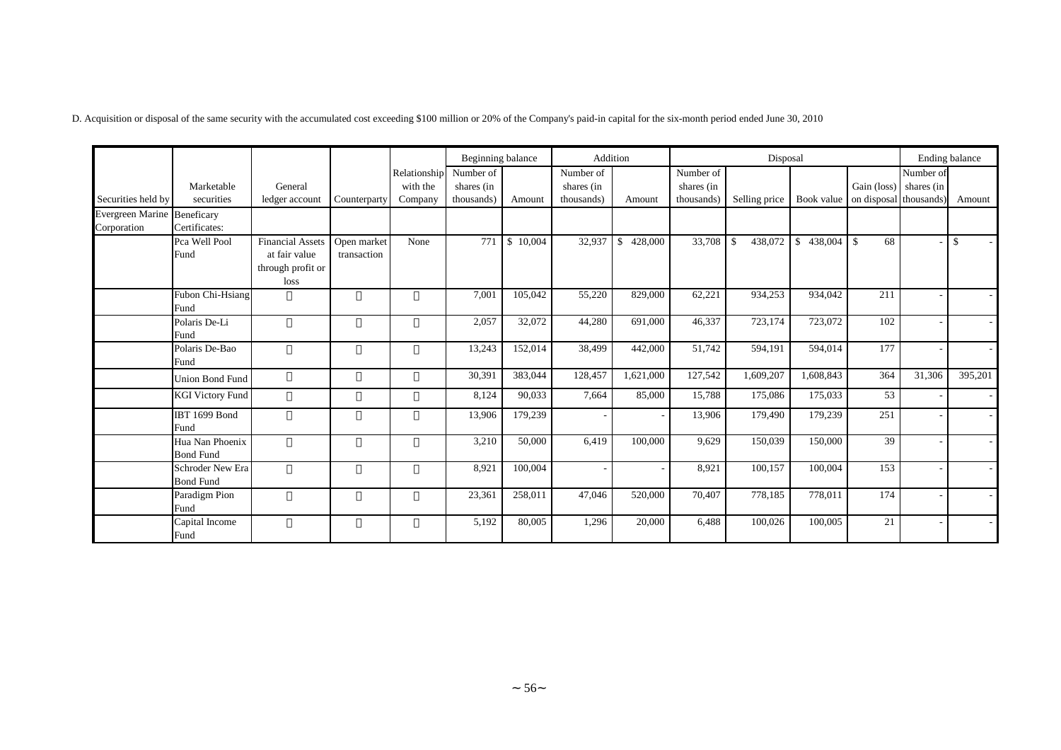D. Acquisition or disposal of the same security with the accumulated cost exceeding \$100 million or 20% of the Company's paid-in capital for the six-month period ended June 30, 2010

|                                    |                         |                         |              |              | Beginning balance |          | Addition   |               | Disposal<br>Number of |                         |               |                        |           | Ending balance |
|------------------------------------|-------------------------|-------------------------|--------------|--------------|-------------------|----------|------------|---------------|-----------------------|-------------------------|---------------|------------------------|-----------|----------------|
|                                    |                         |                         |              | Relationship | Number of         |          | Number of  |               |                       |                         |               |                        | Number of |                |
|                                    | Marketable              | General                 |              | with the     | shares (in        |          | shares (in |               | shares (in            |                         |               | Gain (loss) shares (in |           |                |
| Securities held by                 | securities              | ledger account          | Counterparty | Company      | thousands)        | Amount   | thousands) | Amount        | thousands)            | Selling price           | Book value    | on disposal thousands) |           | Amount         |
| <b>Evergreen Marine Beneficary</b> |                         |                         |              |              |                   |          |            |               |                       |                         |               |                        |           |                |
| Corporation                        | Certificates:           |                         |              |              |                   |          |            |               |                       |                         |               |                        |           |                |
|                                    | Pca Well Pool           | <b>Financial Assets</b> | Open market  | None         | 771               | \$10,004 | 32,937     | 428,000<br>S. | 33,708                | 438,072<br>$\mathbb{S}$ | 438,004<br>\$ | 68<br>- \$             |           | -\$            |
|                                    | Fund                    | at fair value           | transaction  |              |                   |          |            |               |                       |                         |               |                        |           |                |
|                                    |                         | through profit or       |              |              |                   |          |            |               |                       |                         |               |                        |           |                |
|                                    |                         | loss                    |              |              |                   |          |            |               |                       |                         |               |                        |           |                |
|                                    | Fubon Chi-Hsiang        |                         |              |              | 7,001             | 105,042  | 55,220     | 829,000       | 62,221                | 934,253                 | 934,042       | 211                    |           | $\sim$         |
|                                    | Fund                    |                         |              |              |                   |          |            |               |                       |                         |               |                        |           |                |
|                                    | Polaris De-Li           |                         |              |              | 2,057             | 32,072   | 44,280     | 691,000       | 46,337                | 723,174                 | 723,072       | 102                    |           | $\sim$         |
|                                    | Fund                    |                         |              |              |                   |          |            |               |                       |                         |               |                        |           |                |
|                                    | Polaris De-Bao          |                         |              |              | 13,243            | 152,014  | 38,499     | 442,000       | 51,742                | 594,191                 | 594,014       | 177                    |           | $\sim$         |
|                                    | Fund                    |                         |              |              |                   |          |            |               |                       |                         |               |                        |           |                |
|                                    | <b>Union Bond Fund</b>  |                         |              |              | 30,391            | 383,044  | 128,457    | 1,621,000     | 127,542               | 1,609,207               | 1,608,843     | 364                    | 31,306    | 395,201        |
|                                    | <b>KGI</b> Victory Fund |                         |              |              | 8,124             | 90,033   | 7,664      | 85,000        | 15,788                | 175,086                 | 175,033       | 53                     |           | $\sim$         |
|                                    | <b>IBT 1699 Bond</b>    |                         |              |              | 13,906            | 179,239  |            |               | 13,906                | 179,490                 | 179,239       | 251                    |           |                |
|                                    | Fund                    |                         |              |              |                   |          |            |               |                       |                         |               |                        |           |                |
|                                    | Hua Nan Phoenix         |                         |              |              | 3,210             | 50,000   | 6,419      | 100,000       | 9,629                 | 150,039                 | 150,000       | 39                     |           |                |
|                                    | <b>Bond Fund</b>        |                         |              |              |                   |          |            |               |                       |                         |               |                        |           |                |
|                                    | Schroder New Era        |                         |              |              | 8,921             | 100,004  |            |               | 8,921                 | 100,157                 | 100,004       | 153                    |           |                |
|                                    | <b>Bond Fund</b>        |                         |              |              |                   |          |            |               |                       |                         |               |                        |           |                |
|                                    | Paradigm Pion           |                         |              |              | 23,361            | 258,011  | 47,046     | 520,000       | 70,407                | 778,185                 | 778,011       | 174                    |           |                |
|                                    | Fund                    |                         |              |              |                   |          |            |               |                       |                         |               |                        |           |                |
|                                    | Capital Income          |                         |              |              | 5,192             | 80,005   | 1,296      | 20,000        | 6,488                 | 100,026                 | 100,005       | 21                     |           |                |
|                                    | Fund                    |                         |              |              |                   |          |            |               |                       |                         |               |                        |           |                |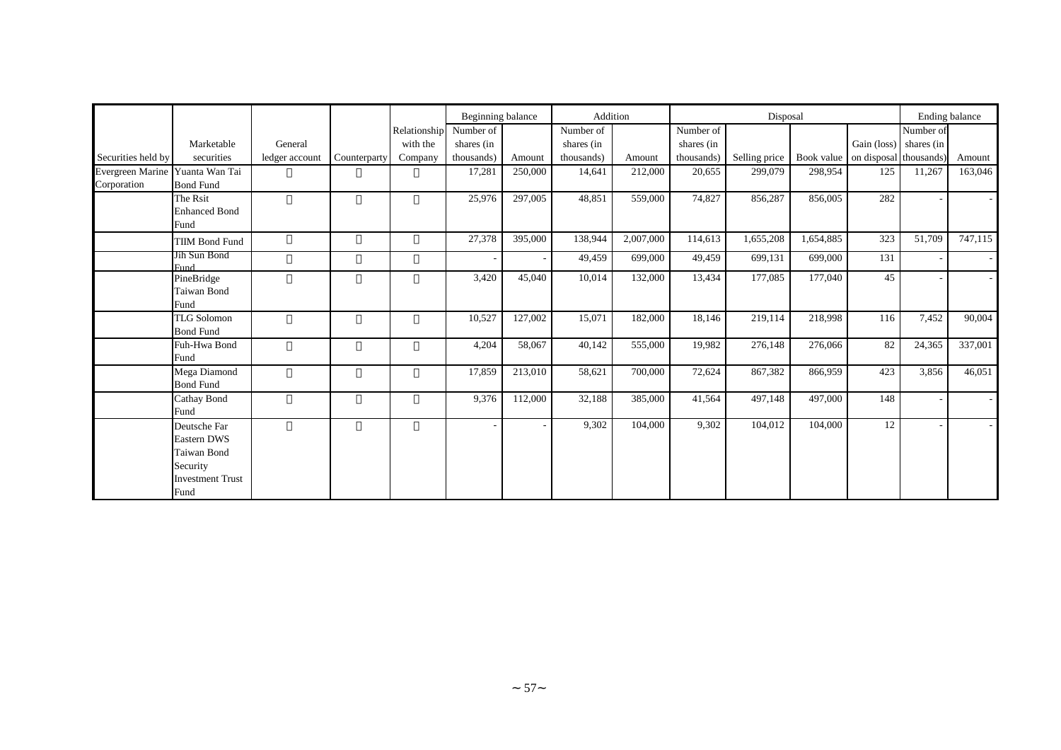|                                 |                            |                |              |              | Beginning balance |         | Addition   |           | Disposal<br>Number of |               |            |                        |            | Ending balance |
|---------------------------------|----------------------------|----------------|--------------|--------------|-------------------|---------|------------|-----------|-----------------------|---------------|------------|------------------------|------------|----------------|
|                                 |                            |                |              | Relationship | Number of         |         | Number of  |           |                       |               |            |                        | Number of  |                |
|                                 | Marketable                 | General        |              | with the     | shares (in        |         | shares (in |           | shares (in            |               |            | Gain (loss)            | shares (in |                |
| Securities held by              | securities                 | ledger account | Counterparty | Company      | thousands)        | Amount  | thousands) | Amount    | thousands)            | Selling price | Book value | on disposal thousands) |            | Amount         |
| Evergreen Marine Yuanta Wan Tai |                            |                |              |              | 17,281            | 250,000 | 14,641     | 212,000   | 20,655                | 299,079       | 298,954    | 125                    | 11,267     | 163,046        |
| Corporation                     | <b>Bond Fund</b>           |                |              |              |                   |         |            |           |                       |               |            |                        |            |                |
|                                 | The Rsit                   |                |              |              | 25,976            | 297,005 | 48,851     | 559,000   | 74,827                | 856,287       | 856,005    | 282                    |            |                |
|                                 | <b>Enhanced Bond</b>       |                |              |              |                   |         |            |           |                       |               |            |                        |            |                |
|                                 | Fund                       |                |              |              |                   |         |            |           |                       |               |            |                        |            |                |
|                                 | <b>TIIM Bond Fund</b>      |                |              |              | 27,378            | 395,000 | 138,944    | 2,007,000 | 114,613               | 1,655,208     | 1,654,885  | 323                    | 51,709     | 747,115        |
|                                 | Jih Sun Bond               |                |              |              |                   |         | 49,459     | 699,000   | 49,459                | 699,131       | 699,000    | 131                    |            |                |
|                                 | <b>Fund</b>                |                |              |              |                   |         |            |           |                       |               |            |                        |            |                |
|                                 | PineBridge                 |                |              |              | 3,420             | 45,040  | 10,014     | 132,000   | 13,434                | 177,085       | 177,040    | 45                     |            |                |
|                                 | <b>Taiwan Bond</b><br>Fund |                |              |              |                   |         |            |           |                       |               |            |                        |            |                |
|                                 | <b>TLG Solomon</b>         |                |              |              | 10,527            | 127,002 | 15,071     | 182,000   | 18,146                | 219,114       | 218,998    | 116                    | 7,452      | 90,004         |
|                                 | <b>Bond Fund</b>           |                |              |              |                   |         |            |           |                       |               |            |                        |            |                |
|                                 | Fuh-Hwa Bond               |                |              |              | 4,204             | 58,067  | 40,142     | 555,000   | 19,982                | 276.148       | 276,066    | 82                     | 24,365     | 337,001        |
|                                 | Fund                       |                |              |              |                   |         |            |           |                       |               |            |                        |            |                |
|                                 | Mega Diamond               |                |              |              | 17,859            | 213,010 | 58,621     | 700,000   | 72,624                | 867,382       | 866,959    | 423                    | 3,856      | 46,051         |
|                                 | <b>Bond Fund</b>           |                |              |              |                   |         |            |           |                       |               |            |                        |            |                |
|                                 | Cathay Bond                |                |              |              | 9,376             | 112,000 | 32,188     | 385,000   | 41,564                | 497,148       | 497,000    | 148                    |            |                |
|                                 | Fund                       |                |              |              |                   |         |            |           |                       |               |            |                        |            |                |
|                                 | Deutsche Far               |                |              |              |                   |         | 9,302      | 104,000   | 9,302                 | 104,012       | 104,000    | 12                     |            |                |
|                                 | Eastern DWS                |                |              |              |                   |         |            |           |                       |               |            |                        |            |                |
|                                 | Taiwan Bond                |                |              |              |                   |         |            |           |                       |               |            |                        |            |                |
|                                 | Security                   |                |              |              |                   |         |            |           |                       |               |            |                        |            |                |
|                                 | <b>Investment Trust</b>    |                |              |              |                   |         |            |           |                       |               |            |                        |            |                |
|                                 | Fund                       |                |              |              |                   |         |            |           |                       |               |            |                        |            |                |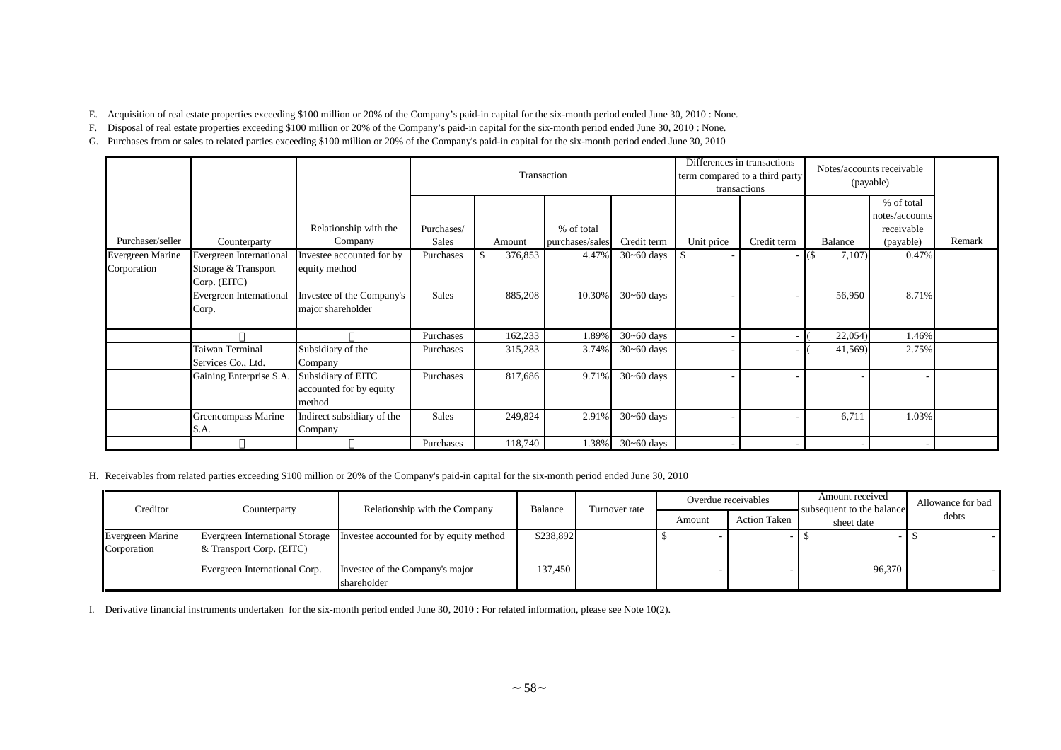E. Acquisition of real estate properties exceeding \$100 million or 20% of the Company's paid-in capital for the six-month period ended June 30, 2010 : None.

F. Disposal of real estate properties exceeding \$100 million or 20% of the Company's paid-in capital for the six-month period ended June 30, 2010 : None.

G. Purchases from or sales to related parties exceeding \$100 million or 20% of the Company's paid-in capital for the six-month period ended June 30, 2010

|                                 |                                                                |                                                         |              |         | Transaction     |                |            | Differences in transactions<br>term compared to a third party<br>transactions |                | Notes/accounts receivable<br>(payable)     |        |
|---------------------------------|----------------------------------------------------------------|---------------------------------------------------------|--------------|---------|-----------------|----------------|------------|-------------------------------------------------------------------------------|----------------|--------------------------------------------|--------|
|                                 |                                                                | Relationship with the                                   | Purchases/   |         | % of total      |                |            |                                                                               |                | % of total<br>notes/accounts<br>receivable |        |
| Purchaser/seller                | Counterparty                                                   | Company                                                 | <b>Sales</b> | Amount  | purchases/sales | Credit term    | Unit price | Credit term                                                                   | Balance        | (payable)                                  | Remark |
| Evergreen Marine<br>Corporation | Evergreen International<br>Storage & Transport<br>Corp. (EITC) | Investee accounted for by<br>equity method              | Purchases    | 376,853 | 4.47%           | $30 - 60$ days | \$         |                                                                               | 7,107)<br>- IS | 0.47%                                      |        |
|                                 | Evergreen International<br>Corp.                               | Investee of the Company's<br>major shareholder          | <b>Sales</b> | 885,208 | 10.30%          | $30 - 60$ days |            |                                                                               | 56,950         | 8.71%                                      |        |
|                                 |                                                                |                                                         | Purchases    | 162,233 | 1.89%           | $30 - 60$ days |            | - 11                                                                          | 22,054         | 1.46%                                      |        |
|                                 | Taiwan Terminal<br>Services Co., Ltd.                          | Subsidiary of the<br>Company                            | Purchases    | 315,283 | 3.74%           | $30 - 60$ days |            |                                                                               | 41,569         | 2.75%                                      |        |
|                                 | Gaining Enterprise S.A.                                        | Subsidiary of EITC<br>accounted for by equity<br>method | Purchases    | 817,686 | 9.71%           | $30 - 60$ days |            |                                                                               |                |                                            |        |
|                                 | Greencompass Marine<br>S.A.                                    | Indirect subsidiary of the<br>Company                   | <b>Sales</b> | 249,824 | 2.91%           | $30 - 60$ days |            |                                                                               | 6,711          | 1.03%                                      |        |
|                                 |                                                                |                                                         | Purchases    | 118,740 | 1.38%           | $30 - 60$ days |            |                                                                               |                |                                            |        |

H. Receivables from related parties exceeding \$100 million or 20% of the Company's paid-in capital for the six-month period ended June 30, 2010

| Creditor                               | Counterparty                  | Relationship with the Company                                           | Balance   | Turnover rate |        | Overdue receivables | Amount received<br>subsequent to the balance | Allowance for bad |
|----------------------------------------|-------------------------------|-------------------------------------------------------------------------|-----------|---------------|--------|---------------------|----------------------------------------------|-------------------|
|                                        |                               |                                                                         |           |               | Amount | <b>Action Taken</b> | sheet date                                   | debts             |
| <b>Evergreen Marine</b><br>Corporation | & Transport Corp. (EITC)      | Evergreen International Storage Investee accounted for by equity method | \$238,892 |               |        |                     |                                              |                   |
|                                        | Evergreen International Corp. | Investee of the Company's major<br>shareholder                          | 137,450   |               |        |                     | 96,370                                       |                   |

I. Derivative financial instruments undertaken for the six-month period ended June 30, 2010 : For related information, please see Note 10(2).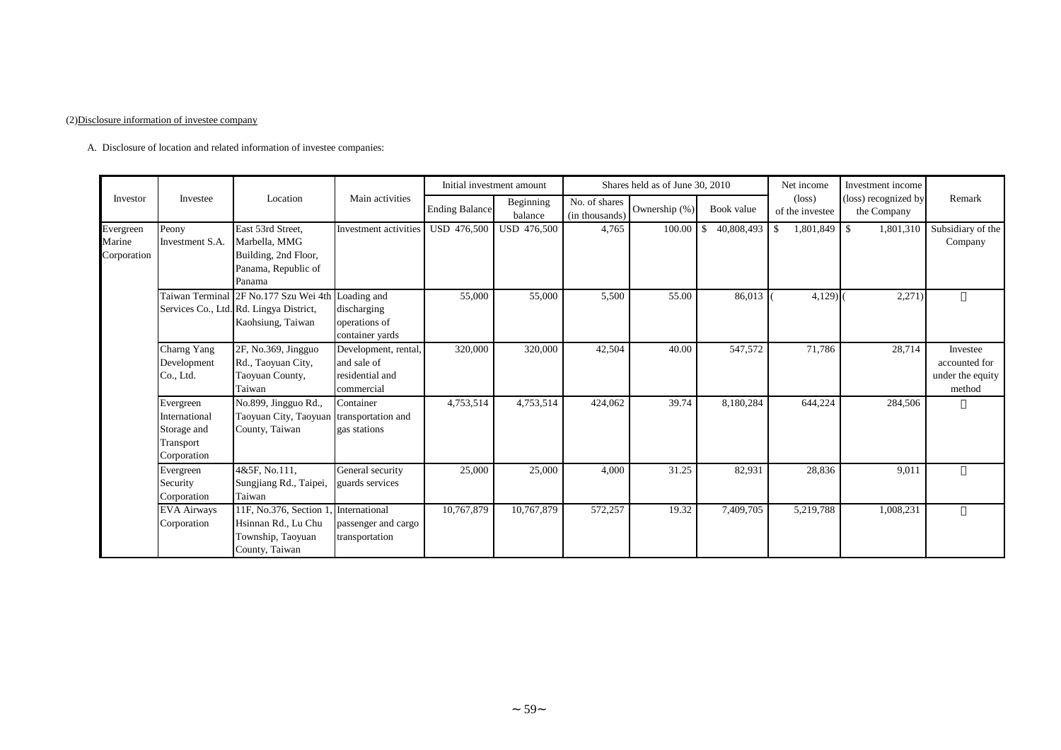#### (2)Disclosure information of investee company

0 A. Disclosure of location and related information of investee companies:

|                                    |                                                                       |                                                                                                                   |                                                                      | Initial investment amount |                      |                                 | Shares held as of June 30, 2010 |                                  | Net income                         | Investment income                   |                                                         |
|------------------------------------|-----------------------------------------------------------------------|-------------------------------------------------------------------------------------------------------------------|----------------------------------------------------------------------|---------------------------|----------------------|---------------------------------|---------------------------------|----------------------------------|------------------------------------|-------------------------------------|---------------------------------------------------------|
| Investor                           | Investee                                                              | Location                                                                                                          | Main activities                                                      | <b>Ending Balance</b>     | Beginning<br>balance | No. of shares<br>(in thousands) | Ownership (%)                   | Book value                       | $(\text{loss})$<br>of the investee | (loss) recognized by<br>the Company | Remark                                                  |
| Evergreen<br>Marine<br>Corporation | Peony<br>Investment S.A.                                              | East 53rd Street,<br>Marbella, MMG<br>Building, 2nd Floor,<br>Panama, Republic of<br>Panama                       | Investment activities                                                | USD 476,500               | USD 476,500          | 4,765                           | 100.00                          | 40,808,493<br>$\mathbf{\hat{S}}$ | -\$                                | 1,801,310                           | Subsidiary of the<br>Company                            |
|                                    |                                                                       | Taiwan Terminal 2F No.177 Szu Wei 4th Loading and<br>Services Co., Ltd. Rd. Lingya District,<br>Kaohsiung, Taiwan | discharging<br>operations of<br>container yards                      | 55,000                    | 55,000               | 5,500                           | 55.00                           | 86,013                           | $4,129$ )                          | 2,271)                              |                                                         |
|                                    | Charng Yang<br>Development<br>Co., Ltd.                               | 2F, No.369, Jingguo<br>Rd., Taoyuan City,<br>Taoyuan County,<br>Taiwan                                            | Development, rental,<br>and sale of<br>residential and<br>commercial | 320,000                   | 320,000              | 42,504                          | 40.00                           | 547,572                          | 71,786                             | 28,714                              | Investee<br>accounted for<br>under the equity<br>method |
|                                    | Evergreen<br>International<br>Storage and<br>Transport<br>Corporation | No.899, Jingguo Rd.,<br>Taoyuan City, Taoyuan transportation and<br>County, Taiwan                                | Container<br>gas stations                                            | 4,753,514                 | 4,753,514            | 424,062                         | 39.74                           | 8,180,284                        | 644,224                            | 284,506                             |                                                         |
|                                    | Evergreen<br>Security<br>Corporation                                  | 4&5F, No.111,<br>Sungjiang Rd., Taipei,<br>Taiwan                                                                 | General security<br>guards services                                  | 25,000                    | 25,000               | 4,000                           | 31.25                           | 82,931                           | 28,836                             | 9,011                               |                                                         |
|                                    | <b>EVA Airways</b><br>Corporation                                     | 11F, No.376, Section 1<br>Hsinnan Rd., Lu Chu<br>Township, Taoyuan<br>County, Taiwan                              | International<br>passenger and cargo<br>transportation               | 10,767,879                | 10,767,879           | 572,257                         | 19.32                           | 7,409,705                        | 5,219,788                          | 1,008,231                           |                                                         |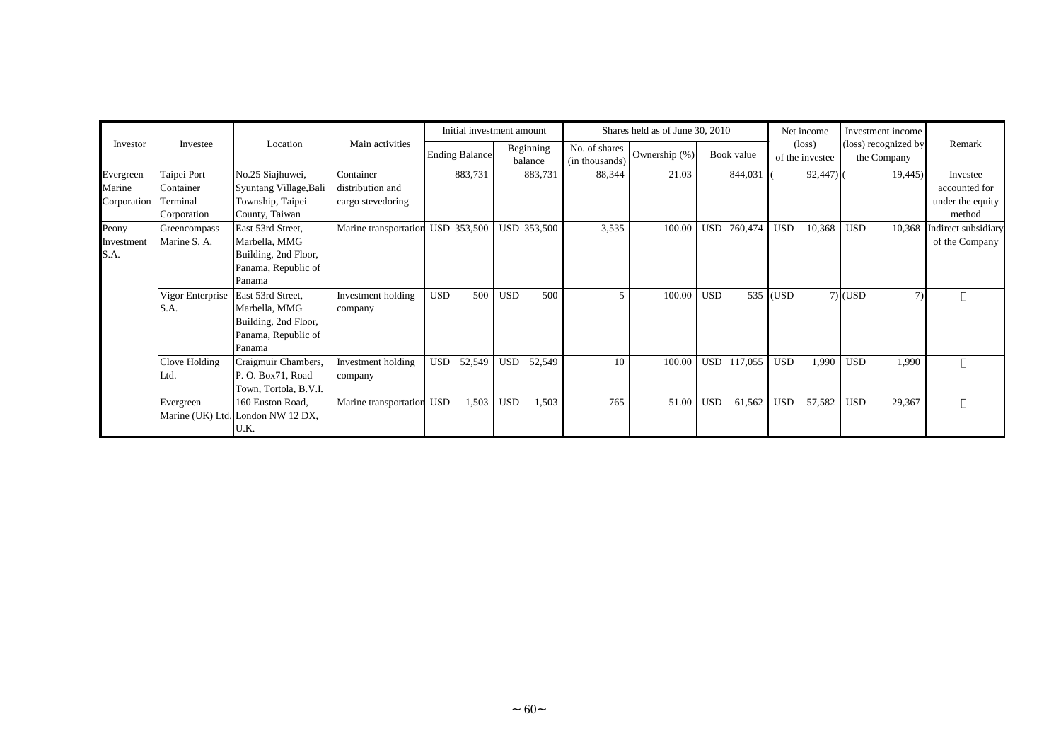|                                    |                                                     |                                                                                             |                                                    | Initial investment amount |                      | Shares held as of June 30, 2010 |               | Net income            | Investment income                  |                                     |                                                         |
|------------------------------------|-----------------------------------------------------|---------------------------------------------------------------------------------------------|----------------------------------------------------|---------------------------|----------------------|---------------------------------|---------------|-----------------------|------------------------------------|-------------------------------------|---------------------------------------------------------|
| Investor                           | Investee                                            | Location                                                                                    | Main activities                                    | <b>Ending Balance</b>     | Beginning<br>balance | No. of shares<br>(in thousands) | Ownership (%) | Book value            | $(\text{loss})$<br>of the investee | (loss) recognized by<br>the Company | Remark                                                  |
| Evergreen<br>Marine<br>Corporation | Taipei Port<br>Container<br>Terminal<br>Corporation | No.25 Siajhuwei,<br>Syuntang Village, Bali<br>Township, Taipei<br>County, Taiwan            | Container<br>distribution and<br>cargo stevedoring | 883,731                   | 883,731              | 88,344                          | 21.03         | 844,031               | 92,447                             | 19,445)                             | Investee<br>accounted for<br>under the equity<br>method |
| Peony<br>Investment<br>S.A.        | Greencompass<br>Marine S. A.                        | East 53rd Street,<br>Marbella, MMG<br>Building, 2nd Floor,<br>Panama, Republic of<br>Panama | Marine transportation                              | USD 353,500               | <b>USD 353,500</b>   | 3,535                           | 100.00        | 760,474<br>USD        | <b>USD</b><br>10,368               | <b>USD</b><br>10,368                | Indirect subsidiary<br>of the Company                   |
|                                    | Vigor Enterprise East 53rd Street,<br>S.A.          | Marbella, MMG<br>Building, 2nd Floor,<br>Panama, Republic of<br>Panama                      | Investment holding<br>company                      | <b>USD</b><br>500         | <b>USD</b><br>500    |                                 | 100.00        | <b>USD</b>            | 535 (USD                           | $7)$ (USD<br>7)                     |                                                         |
|                                    | Clove Holding<br>Ltd.                               | Craigmuir Chambers,<br>P. O. Box71, Road<br>Town, Tortola, B.V.I.                           | Investment holding<br>company                      | <b>USD</b><br>52,549      | <b>USD</b><br>52,549 | 10                              | 100.00        | <b>USD</b><br>117,055 | <b>USD</b><br>1,990                | <b>USD</b><br>1,990                 |                                                         |
|                                    | Evergreen                                           | 160 Euston Road,<br>Marine (UK) Ltd. London NW 12 DX,<br>U.K.                               | Marine transportation                              | <b>USD</b><br>1,503       | <b>USD</b><br>1,503  | 765                             | 51.00         | <b>USD</b><br>61,562  | <b>USD</b><br>57,582               | <b>USD</b><br>29,367                |                                                         |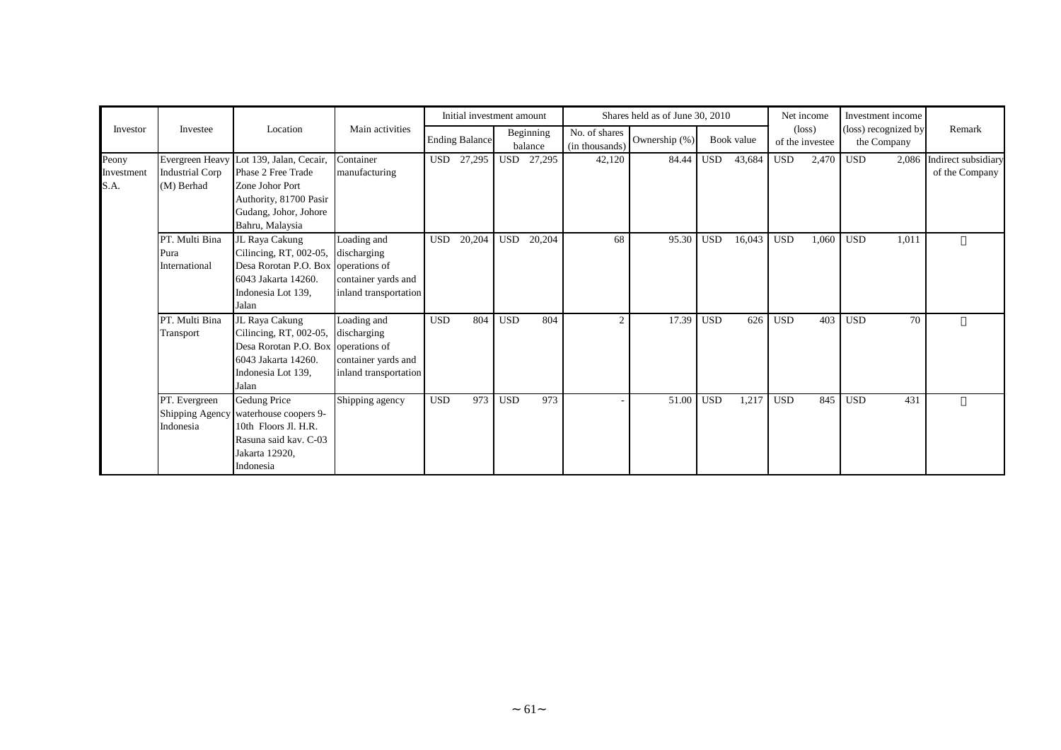|                             |                                               |                                                                                                                                                        |                                                                            |            | Initial investment amount |            |                      |                                 | Shares held as of June 30, 2010 |            |            |            | Net income                         | Investment income                   |       |                                       |
|-----------------------------|-----------------------------------------------|--------------------------------------------------------------------------------------------------------------------------------------------------------|----------------------------------------------------------------------------|------------|---------------------------|------------|----------------------|---------------------------------|---------------------------------|------------|------------|------------|------------------------------------|-------------------------------------|-------|---------------------------------------|
| Investor                    | Investee                                      | Location                                                                                                                                               | Main activities                                                            |            | <b>Ending Balance</b>     |            | Beginning<br>balance | No. of shares<br>(in thousands) | Ownership (%)                   |            | Book value |            | $(\text{loss})$<br>of the investee | (loss) recognized by<br>the Company |       | Remark                                |
| Peony<br>Investment<br>S.A. | <b>Industrial Corp</b><br>(M) Berhad          | Evergreen Heavy Lot 139, Jalan, Cecair,<br>Phase 2 Free Trade<br>Zone Johor Port<br>Authority, 81700 Pasir<br>Gudang, Johor, Johore<br>Bahru, Malaysia | Container<br>manufacturing                                                 | <b>USD</b> | 27,295                    |            | USD 27,295           | 42,120                          | 84.44                           | <b>USD</b> | 43,684     | <b>USD</b> | 2,470                              | <b>USD</b>                          | 2,086 | Indirect subsidiary<br>of the Company |
|                             | PT. Multi Bina<br>Pura<br>International       | JL Raya Cakung<br>Cilincing, RT, 002-05,<br>Desa Rorotan P.O. Box operations of<br>6043 Jakarta 14260.<br>Indonesia Lot 139,<br>Jalan                  | Loading and<br>discharging<br>container yards and<br>inland transportation | <b>USD</b> | 20,204                    | <b>USD</b> | 20,204               | 68                              | 95.30                           | <b>USD</b> | 16,043     | <b>USD</b> | 1,060                              | <b>USD</b>                          | 1,011 |                                       |
|                             | PT. Multi Bina<br>Transport                   | JL Raya Cakung<br>Cilincing, RT, 002-05,<br>Desa Rorotan P.O. Box operations of<br>6043 Jakarta 14260.<br>Indonesia Lot 139,<br>Jalan                  | Loading and<br>discharging<br>container yards and<br>inland transportation | <b>USD</b> | 804                       | <b>USD</b> | 804                  | $\mathcal{D}$                   | 17.39                           | <b>USD</b> | 626        | <b>USD</b> | 403                                | <b>USD</b>                          | 70    |                                       |
|                             | PT. Evergreen<br>Shipping Agency<br>Indonesia | <b>Gedung Price</b><br>waterhouse coopers 9-<br>10th Floors Jl. H.R.<br>Rasuna said kav. C-03<br>Jakarta 12920,<br>Indonesia                           | Shipping agency                                                            | <b>USD</b> | 973                       | <b>USD</b> | 973                  |                                 | 51.00                           | <b>USD</b> | 1,217      | <b>USD</b> | 845                                | <b>USD</b>                          | 431   |                                       |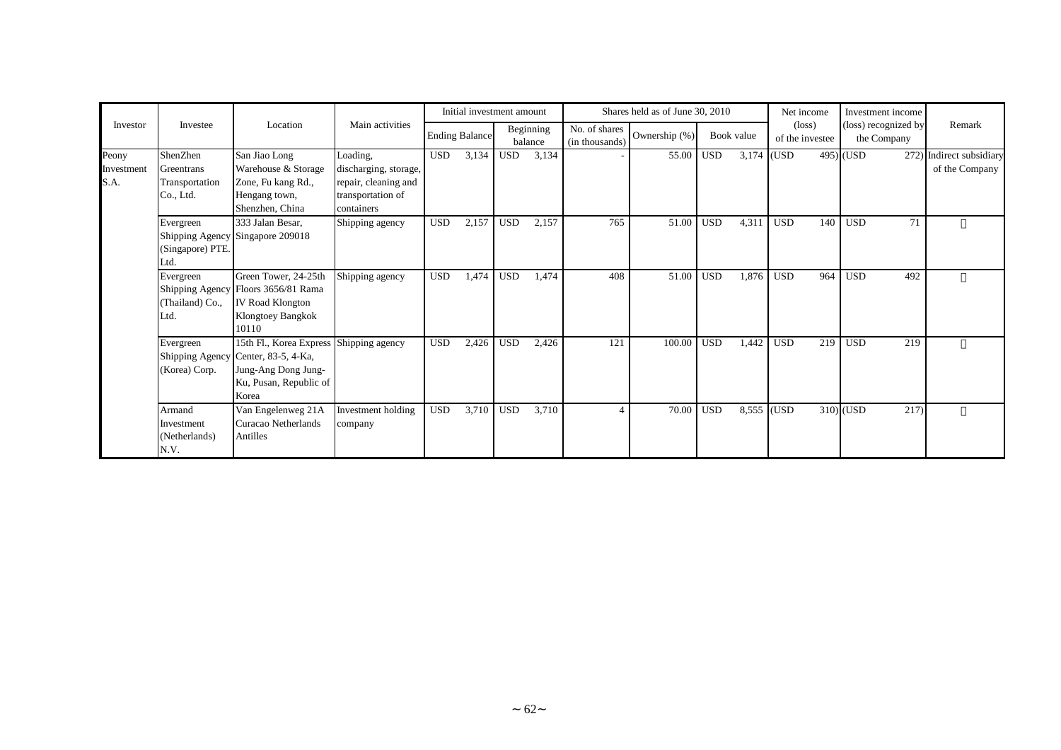| Investor                    |                                                       |                                                                                                                                          |                                                                                              |            | Initial investment amount |            |                      |                                 | Shares held as of June 30, 2010 |            |            |            | Net income                         | Investment income                   |                                            |
|-----------------------------|-------------------------------------------------------|------------------------------------------------------------------------------------------------------------------------------------------|----------------------------------------------------------------------------------------------|------------|---------------------------|------------|----------------------|---------------------------------|---------------------------------|------------|------------|------------|------------------------------------|-------------------------------------|--------------------------------------------|
|                             | Investee                                              | Location                                                                                                                                 | Main activities                                                                              |            | <b>Ending Balance</b>     |            | Beginning<br>balance | No. of shares<br>(in thousands) | Ownership (%)                   |            | Book value |            | $(\text{loss})$<br>of the investee | (loss) recognized by<br>the Company | Remark                                     |
| Peony<br>Investment<br>S.A. | ShenZhen<br>Greentrans<br>Transportation<br>Co., Ltd. | San Jiao Long<br>Warehouse & Storage<br>Zone, Fu kang Rd.,<br>Hengang town,<br>Shenzhen, China                                           | Loading,<br>discharging, storage,<br>repair, cleaning and<br>transportation of<br>containers | <b>USD</b> | 3,134                     | <b>USD</b> | 3,134                |                                 | 55.00                           | <b>USD</b> | 3,174 (USD |            |                                    | $495)$ (USD                         | 272) Indirect subsidiary<br>of the Company |
|                             | Evergreen<br>(Singapore) PTE.<br>Ltd.                 | 333 Jalan Besar,<br>Shipping Agency Singapore 209018                                                                                     | Shipping agency                                                                              | <b>USD</b> | 2,157                     | <b>USD</b> | 2,157                | 765                             | 51.00                           | <b>USD</b> | 4,311      | <b>USD</b> | 140                                | <b>USD</b><br>71                    |                                            |
|                             | Evergreen<br>(Thailand) Co.,<br>Ltd.                  | Green Tower, 24-25th<br>Shipping Agency Floors 3656/81 Rama<br><b>IV Road Klongton</b><br>Klongtoey Bangkok<br>10110                     | Shipping agency                                                                              | <b>USD</b> | 1,474                     | <b>USD</b> | 1,474                | 408                             | 51.00                           | <b>USD</b> | 1,876      | <b>USD</b> | 964                                | <b>USD</b><br>492                   |                                            |
|                             | Evergreen<br>(Korea) Corp.                            | 15th Fl., Korea Express Shipping agency<br>Shipping Agency Center, 83-5, 4-Ka,<br>Jung-Ang Dong Jung-<br>Ku, Pusan, Republic of<br>Korea |                                                                                              | <b>USD</b> | 2,426                     | <b>USD</b> | 2,426                | 121                             | 100.00                          | <b>USD</b> | 1,442      | <b>USD</b> | 219                                | <b>USD</b><br>219                   |                                            |
|                             | Armand<br>Investment<br>(Netherlands)<br>N.V.         | Van Engelenweg 21A<br>Curacao Netherlands<br>Antilles                                                                                    | Investment holding<br>company                                                                | <b>USD</b> | 3,710                     | <b>USD</b> | 3,710                | $\lambda$                       | 70.00                           | <b>USD</b> | 8,555 (USD |            |                                    | $310)$ (USD<br>217)                 |                                            |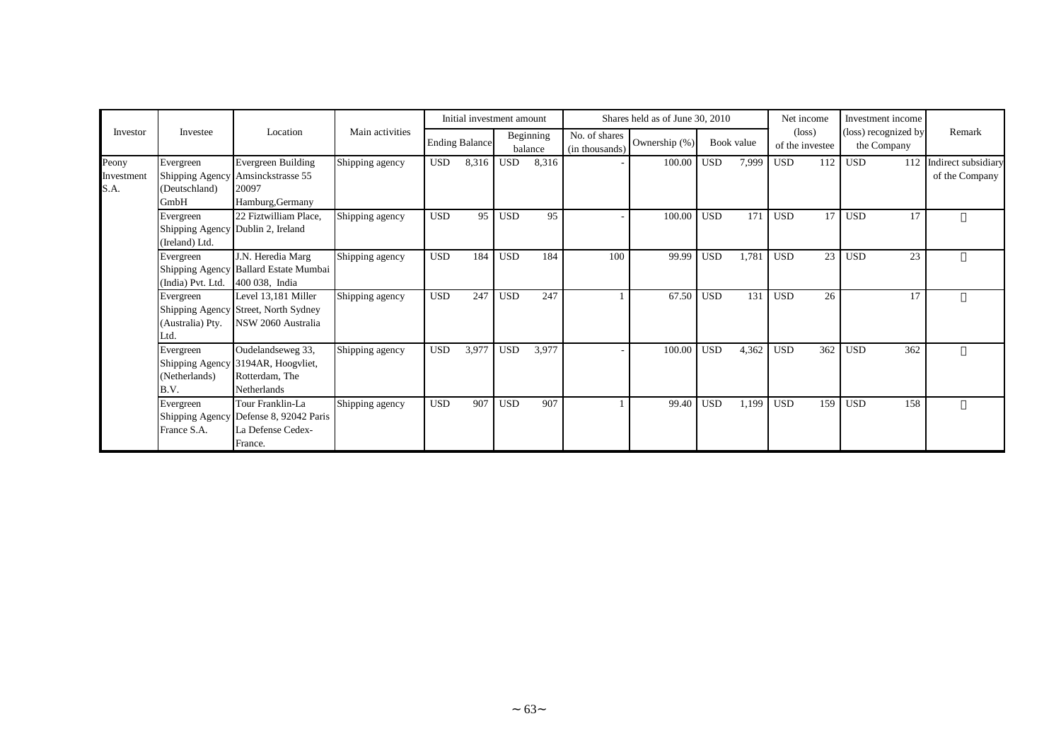|                             |                                                                  |                                                                              |                 |            | Initial investment amount |            |                      |                                 | Shares held as of June 30, 2010 |            |            | Net income |                                    | Investment income                   |                                       |
|-----------------------------|------------------------------------------------------------------|------------------------------------------------------------------------------|-----------------|------------|---------------------------|------------|----------------------|---------------------------------|---------------------------------|------------|------------|------------|------------------------------------|-------------------------------------|---------------------------------------|
| Investor                    | Investee                                                         | Location                                                                     | Main activities |            | <b>Ending Balance</b>     |            | Beginning<br>balance | No. of shares<br>(in thousands) | Ownership (%)                   |            | Book value |            | $(\text{loss})$<br>of the investee | (loss) recognized by<br>the Company | Remark                                |
| Peony<br>Investment<br>S.A. | Evergreen<br>Shipping Agency<br>(Deutschland)<br>GmbH            | Evergreen Building<br>Amsinckstrasse 55<br>20097<br>Hamburg, Germany         | Shipping agency | <b>USD</b> | 8,316                     | <b>USD</b> | 8,316                |                                 | 100.00                          | <b>USD</b> | 7,999      | <b>USD</b> | 112                                | <b>USD</b><br>112                   | Indirect subsidiary<br>of the Company |
|                             | Evergreen<br>Shipping Agency Dublin 2, Ireland<br>(Ireland) Ltd. | 22 Fiztwilliam Place,                                                        | Shipping agency | <b>USD</b> | 95                        | <b>USD</b> | 95                   |                                 | 100.00                          | <b>USD</b> | 171        | <b>USD</b> | 17                                 | <b>USD</b><br>17                    |                                       |
|                             | Evergreen<br>(India) Pvt. Ltd.                                   | J.N. Heredia Marg<br>Shipping Agency Ballard Estate Mumbai<br>400 038, India | Shipping agency | <b>USD</b> | 184                       | <b>USD</b> | 184                  | 100                             | 99.99                           | <b>USD</b> | 1,781      | <b>USD</b> | 23                                 | <b>USD</b><br>23                    |                                       |
|                             | Evergreen<br>Shipping Agency<br>(Australia) Pty.<br>Ltd.         | Level 13,181 Miller<br>Street, North Sydney<br>NSW 2060 Australia            | Shipping agency | <b>USD</b> | 247                       | <b>USD</b> | 247                  |                                 | 67.50                           | <b>USD</b> | 131        | <b>USD</b> | 26                                 | 17                                  |                                       |
|                             | Evergreen<br>Shipping Agency<br>(Netherlands)<br>B.V.            | Oudelandseweg 33,<br>3194AR, Hoogyliet,<br>Rotterdam, The<br>Netherlands     | Shipping agency | <b>USD</b> | 3,977                     | <b>USD</b> | 3,977                |                                 | 100.00                          | <b>USD</b> | 4,362      | <b>USD</b> | 362                                | 362<br><b>USD</b>                   |                                       |
|                             | Evergreen<br>Shipping Agency<br>France S.A.                      | Tour Franklin-La<br>Defense 8, 92042 Paris<br>La Defense Cedex-<br>France.   | Shipping agency | <b>USD</b> | 907                       | <b>USD</b> | 907                  |                                 | 99.40                           | <b>USD</b> | 1,199      | <b>USD</b> | 159                                | 158<br><b>USD</b>                   |                                       |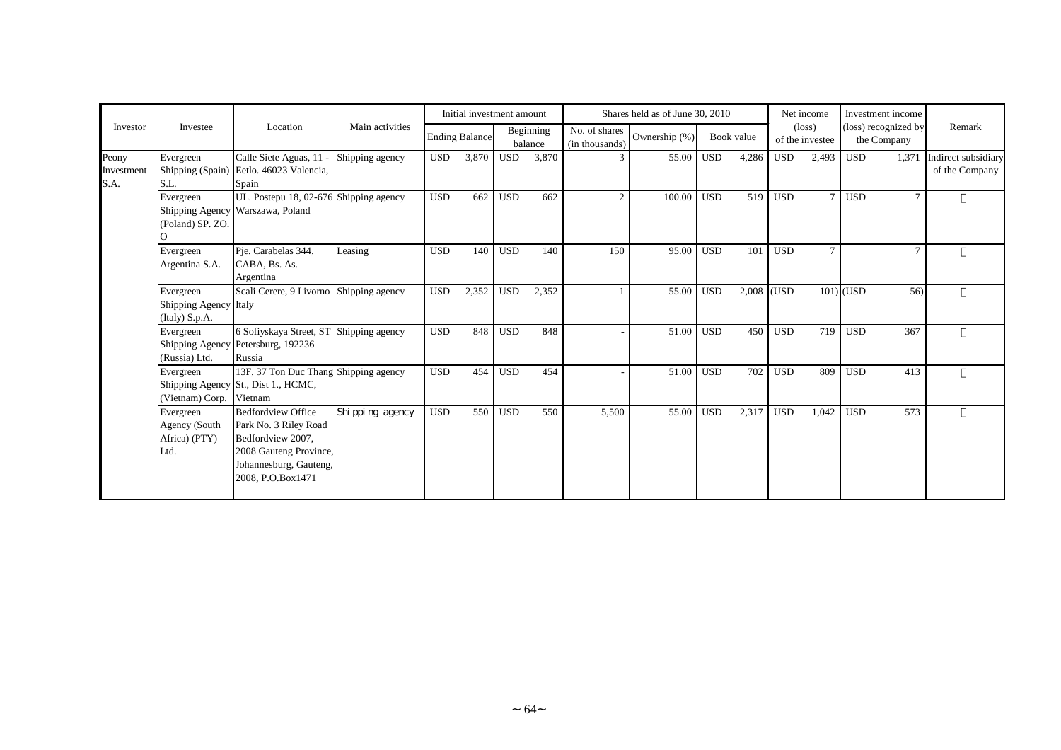|                             |                                                      |                                                                                                                                                  |                   | Initial investment amount |                       |            | Shares held as of June 30, 2010 |                                 |               |            |            | Net income | Investment income                  |                                     |                                       |
|-----------------------------|------------------------------------------------------|--------------------------------------------------------------------------------------------------------------------------------------------------|-------------------|---------------------------|-----------------------|------------|---------------------------------|---------------------------------|---------------|------------|------------|------------|------------------------------------|-------------------------------------|---------------------------------------|
| Investor                    | Investee                                             | Location                                                                                                                                         | Main activities   |                           | <b>Ending Balance</b> |            | Beginning<br>balance            | No. of shares<br>(in thousands) | Ownership (%) |            | Book value |            | $(\text{loss})$<br>of the investee | (loss) recognized by<br>the Company | Remark                                |
| Peony<br>Investment<br>S.A. | Evergreen<br>S.L.                                    | Calle Siete Aguas, 11<br>Shipping (Spain) Eetlo. 46023 Valencia,<br>Spain                                                                        | Shipping agency   | <b>USD</b>                | 3,870                 | <b>USD</b> | 3,870                           |                                 | 55.00         | <b>USD</b> | 4,286      | <b>USD</b> | 2,493                              | <b>USD</b><br>1,371                 | Indirect subsidiary<br>of the Company |
|                             | Evergreen<br>(Poland) SP. ZO.                        | UL. Postepu 18, 02-676 Shipping agency<br>Shipping Agency Warszawa, Poland                                                                       |                   | <b>USD</b>                | 662                   | <b>USD</b> | 662                             | $\mathcal{D}$                   | 100.00        | <b>USD</b> | 519        | <b>USD</b> | $\tau$                             | <b>USD</b><br>$\overline{7}$        |                                       |
|                             | Evergreen<br>Argentina S.A.                          | Pje. Carabelas 344,<br>CABA, Bs. As.<br>Argentina                                                                                                | Leasing           | <b>USD</b>                | 140                   | <b>USD</b> | 140                             | 150                             | 95.00         | <b>USD</b> | 101        | <b>USD</b> | $\overline{7}$                     | $\mathcal{I}$                       |                                       |
|                             | Evergreen<br>Shipping Agency Italy<br>(Italy) S.p.A. | Scali Cerere, 9 Livorno Shipping agency                                                                                                          |                   | <b>USD</b>                | 2,352                 | <b>USD</b> | 2,352                           |                                 | 55.00         | <b>USD</b> | 2,008 (USD |            |                                    | $101$ USD<br>56)                    |                                       |
|                             | Evergreen<br>(Russia) Ltd.                           | 6 Sofiyskaya Street, ST Shipping agency<br>Shipping Agency Petersburg, 192236<br>Russia                                                          |                   | <b>USD</b>                | 848                   | <b>USD</b> | 848                             |                                 | 51.00         | <b>USD</b> | 450        | <b>USD</b> | 719                                | <b>USD</b><br>367                   |                                       |
|                             | Evergreen<br>(Vietnam) Corp.                         | 13F, 37 Ton Duc Thang Shipping agency<br>Shipping Agency St., Dist 1., HCMC,<br>Vietnam                                                          |                   | <b>USD</b>                | 454                   | <b>USD</b> | 454                             |                                 | 51.00         | <b>USD</b> | 702        | <b>USD</b> | 809                                | <b>USD</b><br>413                   |                                       |
|                             | Evergreen<br>Agency (South<br>Africa) (PTY)<br>Ltd.  | <b>Bedfordview Office</b><br>Park No. 3 Riley Road<br>Bedfordview 2007,<br>2008 Gauteng Province,<br>Johannesburg, Gauteng,<br>2008, P.O.Box1471 | Shi ppi ng agency | <b>USD</b>                | 550                   | <b>USD</b> | 550                             | 5,500                           | 55.00         | <b>USD</b> | 2,317      | <b>USD</b> | 1,042                              | 573<br><b>USD</b>                   |                                       |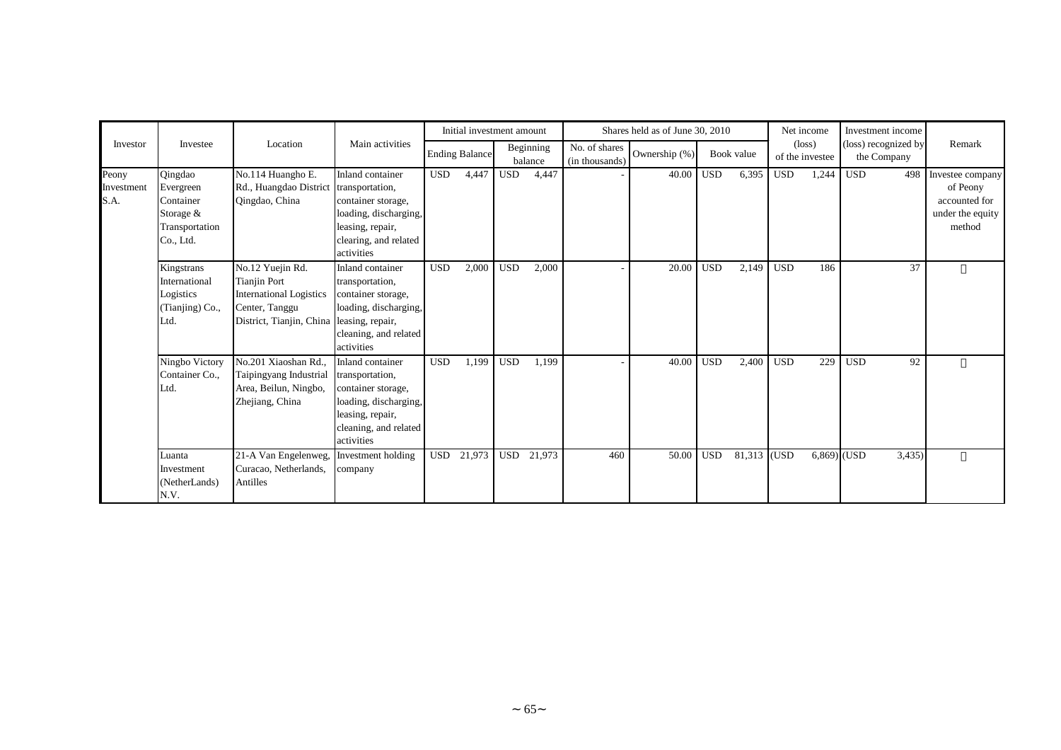|                             |                                                                               |                                                                                                                         |                                                                                                                                               |            | Initial investment amount |            |                      |                                 | Shares held as of June 30, 2010 |            |             | Net income |                                    | Investment income                   |                                                                             |
|-----------------------------|-------------------------------------------------------------------------------|-------------------------------------------------------------------------------------------------------------------------|-----------------------------------------------------------------------------------------------------------------------------------------------|------------|---------------------------|------------|----------------------|---------------------------------|---------------------------------|------------|-------------|------------|------------------------------------|-------------------------------------|-----------------------------------------------------------------------------|
| Investor                    | Investee                                                                      | Location                                                                                                                | Main activities                                                                                                                               |            | <b>Ending Balance</b>     |            | Beginning<br>balance | No. of shares<br>(in thousands) | Ownership (%)                   |            | Book value  |            | $(\text{loss})$<br>of the investee | (loss) recognized by<br>the Company | Remark                                                                      |
| Peony<br>Investment<br>S.A. | Qingdao<br>Evergreen<br>Container<br>Storage &<br>Transportation<br>Co., Ltd. | No.114 Huangho E.<br>Rd., Huangdao District<br>Qingdao, China                                                           | Inland container<br>transportation,<br>container storage,<br>loading, discharging,<br>leasing, repair,<br>clearing, and related<br>activities | <b>USD</b> | 4,447                     | <b>USD</b> | 4,447                |                                 | 40.00                           | <b>USD</b> | 6,395       | <b>USD</b> | 1,244                              | <b>USD</b><br>498                   | Investee company<br>of Peony<br>accounted for<br>under the equity<br>method |
|                             | Kingstrans<br>International<br>Logistics<br>(Tianjing) Co.,<br>Ltd.           | No.12 Yuejin Rd.<br><b>Tianjin Port</b><br><b>International Logistics</b><br>Center, Tanggu<br>District, Tianjin, China | Inland container<br>transportation,<br>container storage,<br>loading, discharging,<br>leasing, repair,<br>cleaning, and related<br>activities | <b>USD</b> | 2,000                     | <b>USD</b> | 2,000                |                                 | 20.00                           | <b>USD</b> | 2,149       | <b>USD</b> | 186                                | 37                                  |                                                                             |
|                             | Ningbo Victory<br>Container Co.,<br>Ltd.                                      | No.201 Xiaoshan Rd.,<br>Taipingyang Industrial<br>Area, Beilun, Ningbo,<br>Zhejiang, China                              | Inland container<br>transportation,<br>container storage,<br>loading, discharging,<br>leasing, repair,<br>cleaning, and related<br>activities | <b>USD</b> | 1,199                     | <b>USD</b> | 1,199                |                                 | 40.00                           | <b>USD</b> | 2,400       | <b>USD</b> | 229                                | <b>USD</b><br>92                    |                                                                             |
|                             | Luanta<br>Investment<br>(NetherLands)<br>N.V.                                 | 21-A Van Engelenweg,<br>Curacao, Netherlands,<br>Antilles                                                               | Investment holding<br>company                                                                                                                 | <b>USD</b> | 21,973                    | <b>USD</b> | 21,973               | 460                             | 50.00                           | <b>USD</b> | 81,313 (USD |            | $6,869$ (USD                       | 3,435)                              |                                                                             |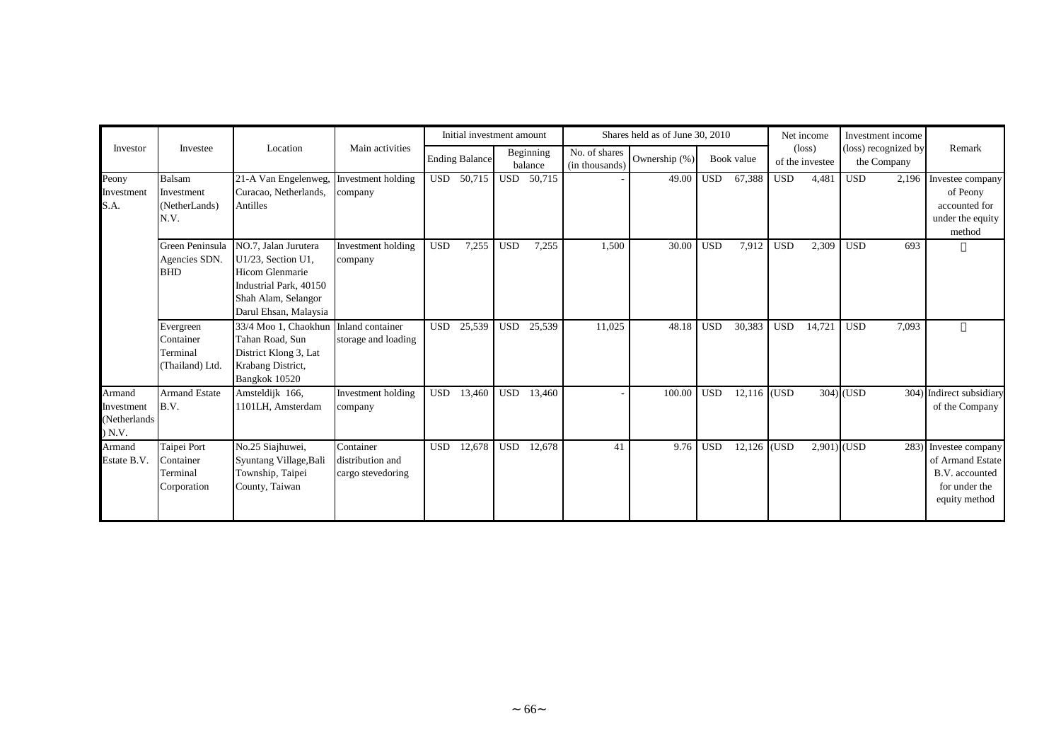|                                                |                                                       |                                                                                                                                         |                                                    |            | Initial investment amount |            |                      |                                 | Shares held as of June 30, 2010 |            |               | Net income |                                    | Investment income                   |                                                                                               |
|------------------------------------------------|-------------------------------------------------------|-----------------------------------------------------------------------------------------------------------------------------------------|----------------------------------------------------|------------|---------------------------|------------|----------------------|---------------------------------|---------------------------------|------------|---------------|------------|------------------------------------|-------------------------------------|-----------------------------------------------------------------------------------------------|
| Investor                                       | Investee                                              | Location                                                                                                                                | Main activities                                    |            | <b>Ending Balance</b>     |            | Beginning<br>balance | No. of shares<br>(in thousands) | Ownership (%)                   |            | Book value    |            | $(\text{loss})$<br>of the investee | (loss) recognized by<br>the Company | Remark                                                                                        |
| Peony<br>Investment<br>S.A.                    | <b>Balsam</b><br>Investment<br>(NetherLands)<br>N.V.  | 21-A Van Engelenweg,<br>Curacao, Netherlands,<br>Antilles                                                                               | Investment holding<br>company                      |            | USD 50,715                | USD        | 50,715               |                                 | 49.00                           | <b>USD</b> | 67,388        | <b>USD</b> | 4,481                              | <b>USD</b><br>2,196                 | Investee company<br>of Peony<br>accounted for<br>under the equity<br>method                   |
|                                                | Green Peninsula<br>Agencies SDN.<br><b>BHD</b>        | NO.7, Jalan Jurutera<br>U1/23, Section U1,<br>Hicom Glenmarie<br>Industrial Park, 40150<br>Shah Alam, Selangor<br>Darul Ehsan, Malaysia | Investment holding<br>company                      | <b>USD</b> | 7,255                     | <b>USD</b> | 7,255                | 1,500                           | 30.00                           | <b>USD</b> | 7,912         | <b>USD</b> | 2,309                              | <b>USD</b><br>693                   |                                                                                               |
|                                                | Evergreen<br>Container<br>Terminal<br>(Thailand) Ltd. | 33/4 Moo 1, Chaokhun<br>Tahan Road, Sun<br>District Klong 3, Lat<br>Krabang District,<br>Bangkok 10520                                  | Inland container<br>storage and loading            | <b>USD</b> | 25,539                    | <b>USD</b> | 25,539               | 11,025                          | 48.18                           | <b>USD</b> | 30,383        | <b>USD</b> | 14,721                             | <b>USD</b><br>7,093                 |                                                                                               |
| Armand<br>Investment<br>(Netherlands<br>) N.V. | <b>Armand Estate</b><br>B.V.                          | Amsteldijk 166,<br>1101LH, Amsterdam                                                                                                    | Investment holding<br>company                      | <b>USD</b> | 13,460                    | <b>USD</b> | 13,460               |                                 | 100.00                          | <b>USD</b> | $12,116$ (USD |            |                                    | $304$ $\sim$ USD                    | 304) Indirect subsidiary<br>of the Company                                                    |
| Armand<br>Estate B.V.                          | Taipei Port<br>Container<br>Terminal<br>Corporation   | No.25 Siajhuwei,<br>Syuntang Village, Bali<br>Township, Taipei<br>County, Taiwan                                                        | Container<br>distribution and<br>cargo stevedoring | <b>USD</b> | 12,678                    | <b>USD</b> | 12,678               | 41                              | 9.76                            | <b>USD</b> | 12,126 (USD   |            | $2,901)$ (USD                      |                                     | 283) Investee company<br>of Armand Estate<br>B.V. accounted<br>for under the<br>equity method |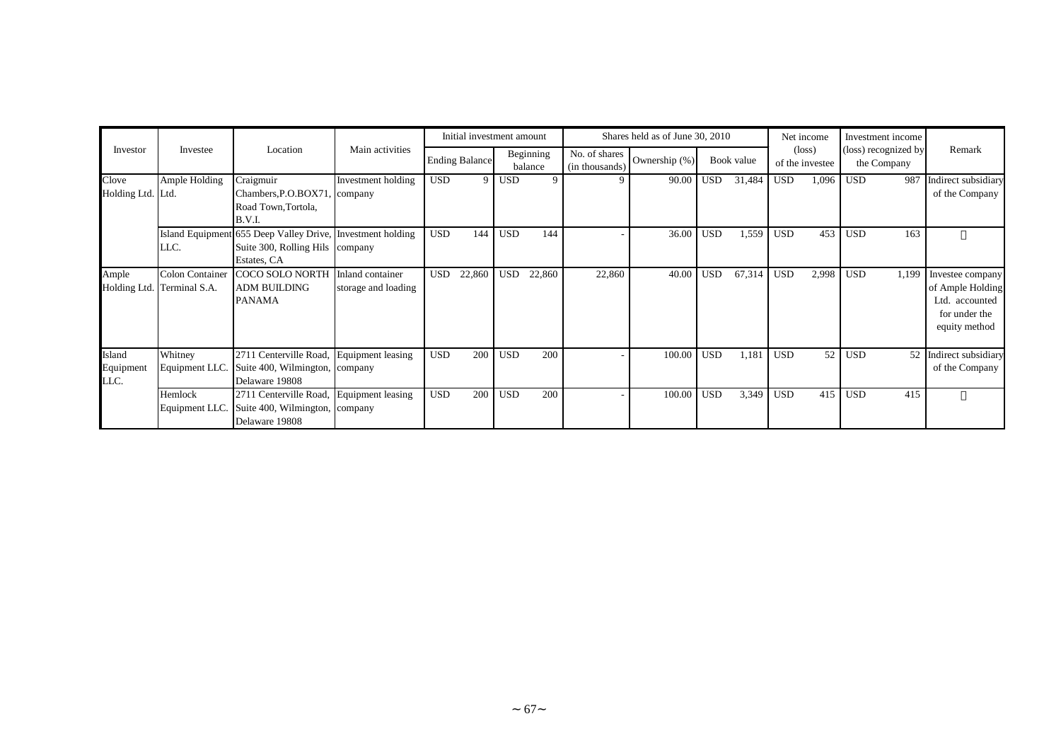|                             |                                                      |                                                                                                              |                                         |            | Initial investment amount |            |                      |                                 | Shares held as of June 30, 2010 |            |            | Net income |                                    | Investment income                   |                                                                                          |
|-----------------------------|------------------------------------------------------|--------------------------------------------------------------------------------------------------------------|-----------------------------------------|------------|---------------------------|------------|----------------------|---------------------------------|---------------------------------|------------|------------|------------|------------------------------------|-------------------------------------|------------------------------------------------------------------------------------------|
| Investor                    | Investee                                             | Location                                                                                                     | Main activities                         |            | <b>Ending Balance</b>     |            | Beginning<br>balance | No. of shares<br>(in thousands) | Ownership (%)                   |            | Book value |            | $(\text{loss})$<br>of the investee | (loss) recognized by<br>the Company | Remark                                                                                   |
| Clove<br>Holding Ltd. Ltd.  | Ample Holding                                        | Craigmuir<br>Chambers, P.O.BOX71, company<br>Road Town, Tortola,<br><b>B.V.I.</b>                            | Investment holding                      | <b>USD</b> | 9                         | <b>USD</b> |                      |                                 | 90.00                           | <b>USD</b> | 31,484     | <b>USD</b> | 1,096                              | <b>USD</b><br>987                   | Indirect subsidiary<br>of the Company                                                    |
|                             | LLC.                                                 | Island Equipment 655 Deep Valley Drive, Investment holding<br>Suite 300, Rolling Hils company<br>Estates, CA |                                         | <b>USD</b> | 144                       | <b>USD</b> | 144                  |                                 | 36.00                           | <b>USD</b> | 1,559      | <b>USD</b> | 453                                | 163<br><b>USD</b>                   |                                                                                          |
| Ample                       | <b>Colon Container</b><br>Holding Ltd. Terminal S.A. | COCO SOLO NORTH<br><b>ADM BUILDING</b><br><b>PANAMA</b>                                                      | Inland container<br>storage and loading | <b>USD</b> | 22,860                    | <b>USD</b> | 22,860               | 22,860                          | 40.00                           | <b>USD</b> | 67,314     | <b>USD</b> | 2,998                              | <b>USD</b><br>1,199                 | Investee company<br>of Ample Holding<br>Ltd. accounted<br>for under the<br>equity method |
| Island<br>Equipment<br>LLC. | Whitney<br>Equipment LLC.                            | 2711 Centerville Road, Equipment leasing<br>Suite 400, Wilmington, company<br>Delaware 19808                 |                                         | <b>USD</b> | 200                       | <b>USD</b> | 200                  |                                 | 100.00                          | <b>USD</b> | 1,181      | <b>USD</b> | 52                                 | <b>USD</b><br>52                    | Indirect subsidiary<br>of the Company                                                    |
|                             | Hemlock<br>Equipment LLC.                            | 2711 Centerville Road, Equipment leasing<br>Suite 400, Wilmington, company<br>Delaware 19808                 |                                         | <b>USD</b> | 200                       | <b>USD</b> | 200                  |                                 | 100.00                          | <b>USD</b> | 3,349      | <b>USD</b> | 415                                | <b>USD</b><br>415                   |                                                                                          |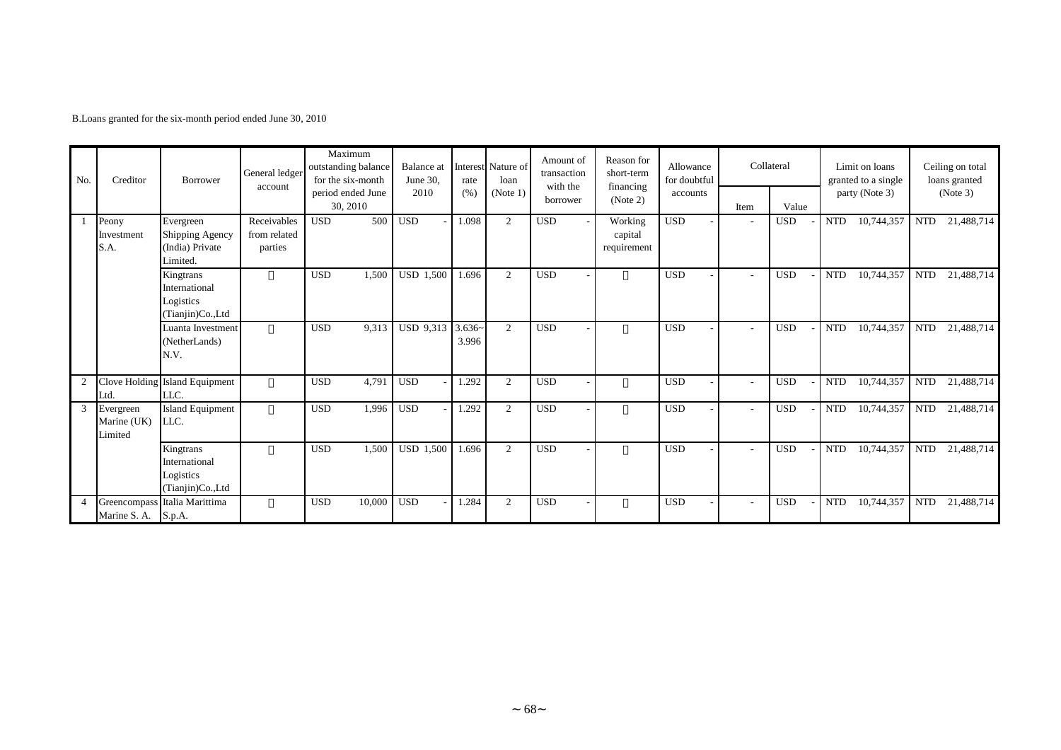B.Loans granted for the six-month period ended June 30, 2010

| No.<br>Creditor |                                     | Borrower                                                    | General ledger<br>account              | Maximum<br>outstanding balance<br>for the six-month | Balance at<br>June 30. | rate              | Interest Nature of<br>loan | Amount of<br>transaction<br>with the | Reason for<br>short-term<br>financing | Allowance<br>for doubtful |      | Collateral | Limit on loans<br>granted to a single | Ceiling on total<br>loans granted |  |
|-----------------|-------------------------------------|-------------------------------------------------------------|----------------------------------------|-----------------------------------------------------|------------------------|-------------------|----------------------------|--------------------------------------|---------------------------------------|---------------------------|------|------------|---------------------------------------|-----------------------------------|--|
|                 |                                     |                                                             |                                        | period ended June<br>30, 2010                       | 2010                   | (% )              | (Note 1)                   | borrower                             | (Note 2)                              | accounts                  | Item | Value      | party (Note 3)                        | (Note 3)                          |  |
|                 | Peony<br>Investment<br>S.A.         | Evergreen<br>Shipping Agency<br>(India) Private<br>Limited. | Receivables<br>from related<br>parties | 500<br><b>USD</b>                                   | <b>USD</b>             | 1.098             | 2                          | <b>USD</b>                           | Working<br>capital<br>requirement     | <b>USD</b>                |      | <b>USD</b> | <b>NTD</b><br>10,744,357              | <b>NTD</b><br>21,488,714          |  |
|                 |                                     | Kingtrans<br>International<br>Logistics<br>(Tianjin)Co.,Ltd |                                        | <b>USD</b><br>1,500                                 | <b>USD 1,500</b>       | 1.696             | 2                          | <b>USD</b>                           |                                       | <b>USD</b>                |      | <b>USD</b> | <b>NTD</b><br>10,744,357              | <b>NTD</b><br>21,488,714          |  |
|                 |                                     | Luanta Investment<br>(NetherLands)<br>N.V.                  |                                        | <b>USD</b><br>9,313                                 | USD 9,313              | $3.636-$<br>3.996 | 2                          | <b>USD</b>                           |                                       | <b>USD</b>                |      | <b>USD</b> | <b>NTD</b><br>10,744,357              | 21,488,714<br><b>NTD</b>          |  |
| $\overline{2}$  | Ltd.                                | Clove Holding Island Equipment<br>LLC.                      |                                        | <b>USD</b><br>4,791                                 | <b>USD</b>             | 1.292             | 2                          | <b>USD</b>                           |                                       | <b>USD</b>                |      | <b>USD</b> | <b>NTD</b><br>10,744,357              | <b>NTD</b><br>21,488,714          |  |
| $\mathbf{3}$    | Evergreen<br>Marine (UK)<br>Limited | Island Equipment<br>LLC.                                    |                                        | <b>USD</b><br>1,996                                 | <b>USD</b>             | 1.292             | 2                          | <b>USD</b>                           |                                       | <b>USD</b>                |      | <b>USD</b> | 10,744,357<br><b>NTD</b>              | 21,488,714<br><b>NTD</b>          |  |
|                 |                                     | Kingtrans<br>International<br>Logistics<br>(Tianjin)Co.,Ltd |                                        | <b>USD</b><br>1,500                                 | <b>USD 1,500</b>       | 1.696             | 2                          | <b>USD</b>                           |                                       | <b>USD</b>                |      | <b>USD</b> | <b>NTD</b><br>10,744,357              | <b>NTD</b><br>21,488,714          |  |
|                 | Marine S. A. S.p.A.                 | Greencompass Italia Marittima                               |                                        | <b>USD</b><br>10,000                                | <b>USD</b>             | 1.284             | 2                          | <b>USD</b>                           |                                       | <b>USD</b>                |      | <b>USD</b> | <b>NTD</b><br>10,744,357              | 21,488,714<br><b>NTD</b>          |  |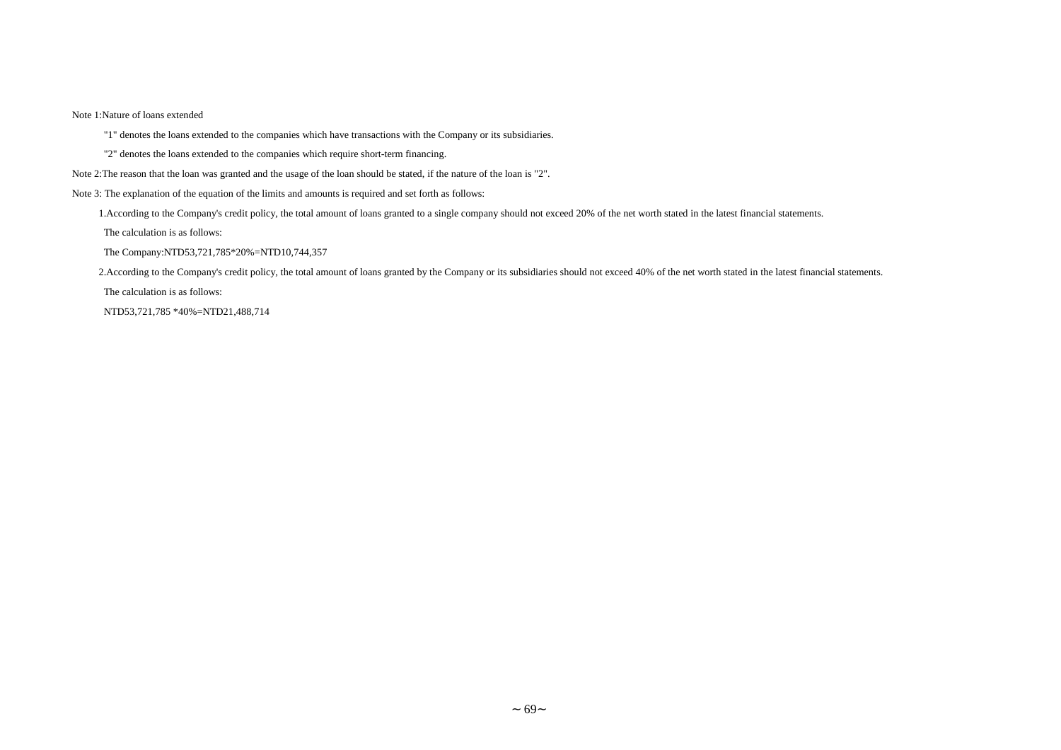#### Note 1:Nature of loans extended

"1" denotes the loans extended to the companies which have transactions with the Company or its subsidiaries.

- "2" denotes the loans extended to the companies which require short-term financing.
- Note 2:The reason that the loan was granted and the usage of the loan should be stated, if the nature of the loan is "2".
- Note 3: The explanation of the equation of the limits and amounts is required and set forth as follows:

1.According to the Company's credit policy, the total amount of loans granted to a single company should not exceed 20% of the net worth stated in the latest financial statements.

The calculation is as follows:

The Company:NTD53,721,785\*20%=NTD10,744,357

2.According to the Company's credit policy, the total amount of loans granted by the Company or its subsidiaries should not exceed 40% of the net worth stated in the latest financial statements.

The calculation is as follows:

NTD53,721,785 \*40%=NTD21,488,714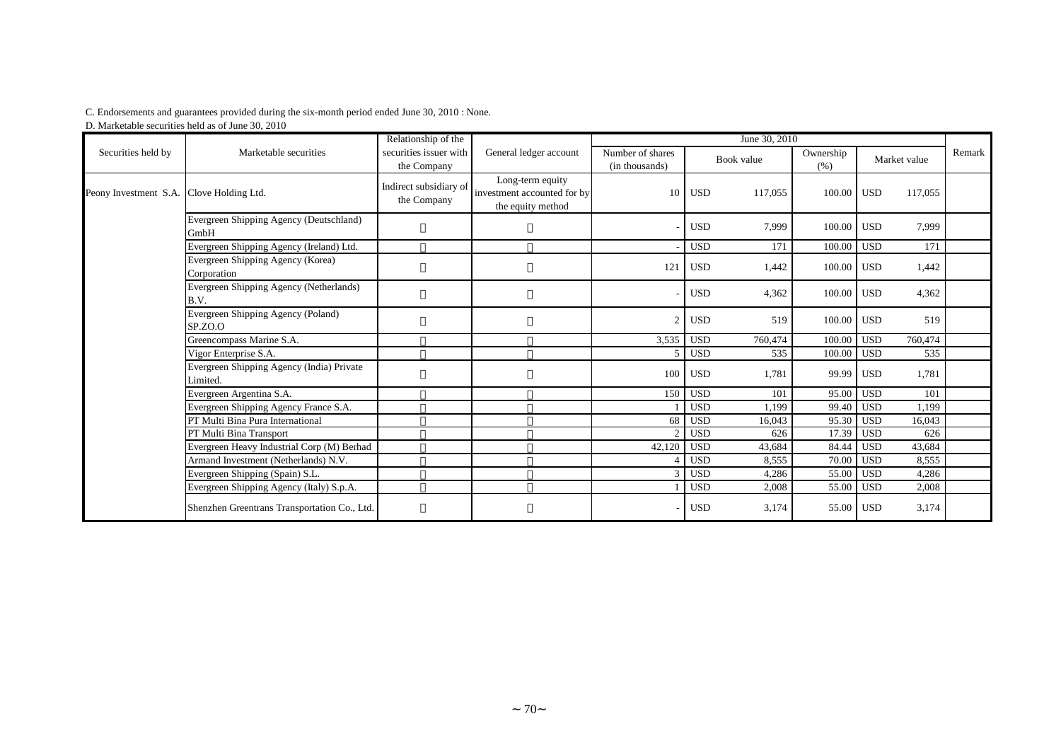#### C. Endorsements and guarantees provided during the six-month period ended June 30, 2010 : None.

D. Marketable securities held as of June 30, 2010

|                                          |                                                       | Relationship of the                   |                                                                      | June 30, 2010                      |            |         |                   |              |         |        |  |  |
|------------------------------------------|-------------------------------------------------------|---------------------------------------|----------------------------------------------------------------------|------------------------------------|------------|---------|-------------------|--------------|---------|--------|--|--|
| Securities held by                       | Marketable securities                                 | securities issuer with<br>the Company | General ledger account                                               | Number of shares<br>(in thousands) | Book value |         | Ownership<br>(% ) | Market value |         | Remark |  |  |
| Peony Investment S.A. Clove Holding Ltd. |                                                       | Indirect subsidiary of<br>the Company | Long-term equity<br>investment accounted for by<br>the equity method | 10                                 | <b>USD</b> | 117,055 | 100.00            | <b>USD</b>   | 117,055 |        |  |  |
|                                          | Evergreen Shipping Agency (Deutschland)<br>GmbH       |                                       |                                                                      |                                    | <b>USD</b> | 7,999   | 100.00            | <b>USD</b>   | 7,999   |        |  |  |
|                                          | Evergreen Shipping Agency (Ireland) Ltd.              |                                       |                                                                      |                                    | <b>USD</b> | 171     | 100.00            | <b>USD</b>   | 171     |        |  |  |
|                                          | Evergreen Shipping Agency (Korea)<br>Corporation      |                                       |                                                                      | 121                                | <b>USD</b> | 1,442   | 100.00            | <b>USD</b>   | 1,442   |        |  |  |
|                                          | Evergreen Shipping Agency (Netherlands)<br>B.V.       |                                       |                                                                      |                                    | <b>USD</b> | 4,362   | 100.00            | USD          | 4,362   |        |  |  |
|                                          | Evergreen Shipping Agency (Poland)<br>SP.ZO.O         |                                       |                                                                      |                                    | <b>USD</b> | 519     | 100.00            | <b>USD</b>   | 519     |        |  |  |
|                                          | Greencompass Marine S.A.                              |                                       |                                                                      | 3,535                              | <b>USD</b> | 760,474 | 100.00            | <b>USD</b>   | 760,474 |        |  |  |
|                                          | Vigor Enterprise S.A.                                 |                                       |                                                                      |                                    | <b>USD</b> | 535     | 100.00            | <b>USD</b>   | 535     |        |  |  |
|                                          | Evergreen Shipping Agency (India) Private<br>Limited. |                                       |                                                                      | 100                                | <b>USD</b> | 1,781   | 99.99             | <b>USD</b>   | 1,781   |        |  |  |
|                                          | Evergreen Argentina S.A.                              |                                       |                                                                      | 150                                | <b>USD</b> | 101     | 95.00             | <b>USD</b>   | 101     |        |  |  |
|                                          | Evergreen Shipping Agency France S.A.                 |                                       |                                                                      |                                    | <b>USD</b> | 1.199   | 99.40             | <b>USD</b>   | 1.199   |        |  |  |
|                                          | PT Multi Bina Pura International                      |                                       |                                                                      | 68                                 | <b>USD</b> | 16,043  | 95.30             | <b>USD</b>   | 16,043  |        |  |  |
|                                          | PT Multi Bina Transport                               |                                       |                                                                      |                                    | <b>USD</b> | 626     | 17.39             | <b>USD</b>   | 626     |        |  |  |
|                                          | Evergreen Heavy Industrial Corp (M) Berhad            |                                       |                                                                      | 42,120                             | <b>USD</b> | 43,684  | 84.44             | <b>USD</b>   | 43,684  |        |  |  |
|                                          | Armand Investment (Netherlands) N.V.                  |                                       |                                                                      |                                    | <b>USD</b> | 8,555   | 70.00             | <b>USD</b>   | 8,555   |        |  |  |
|                                          | Evergreen Shipping (Spain) S.L.                       |                                       |                                                                      |                                    | <b>USD</b> | 4,286   | 55.00             | <b>USD</b>   | 4,286   |        |  |  |
|                                          | Evergreen Shipping Agency (Italy) S.p.A.              |                                       |                                                                      |                                    | <b>USD</b> | 2,008   | 55.00             | <b>USD</b>   | 2,008   |        |  |  |
|                                          | Shenzhen Greentrans Transportation Co., Ltd.          |                                       |                                                                      |                                    | <b>USD</b> | 3,174   | 55.00             | <b>USD</b>   | 3,174   |        |  |  |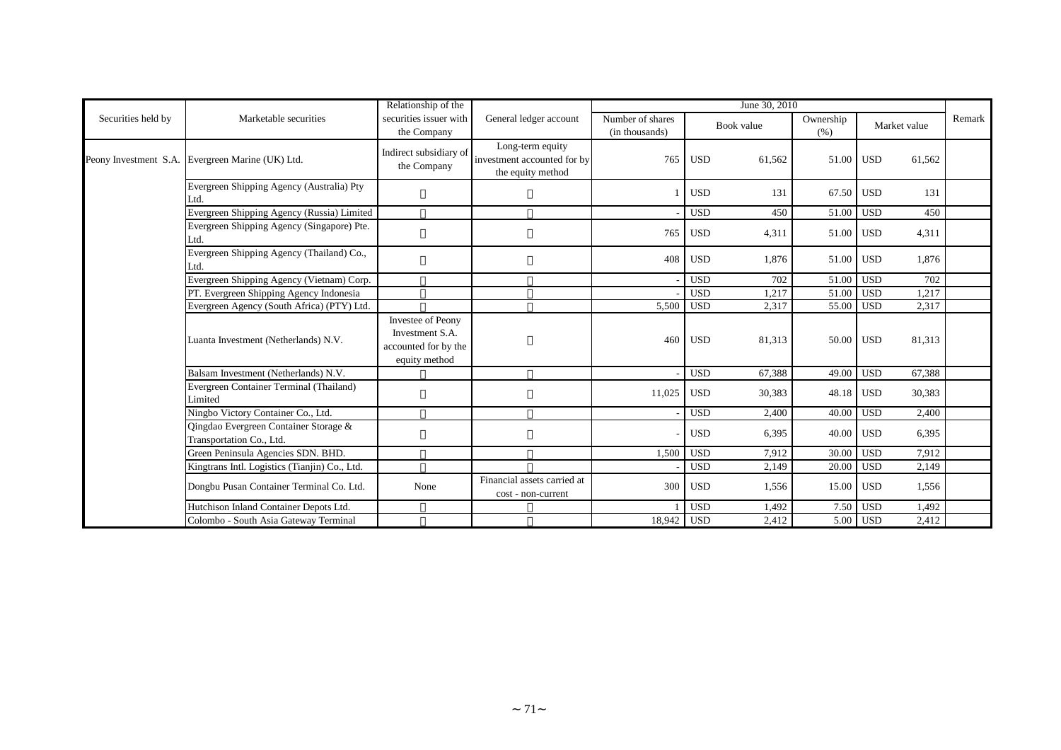|                    |                                                                   | Relationship of the                                                           |                                                                      | June 30, 2010                      |            |            |                   |                  |        |        |  |  |
|--------------------|-------------------------------------------------------------------|-------------------------------------------------------------------------------|----------------------------------------------------------------------|------------------------------------|------------|------------|-------------------|------------------|--------|--------|--|--|
| Securities held by | Marketable securities                                             | securities issuer with<br>the Company                                         | General ledger account                                               | Number of shares<br>(in thousands) |            | Book value | Ownership<br>(% ) | Market value     |        | Remark |  |  |
|                    | Peony Investment S.A. Evergreen Marine (UK) Ltd.                  | Indirect subsidiary of<br>the Company                                         | Long-term equity<br>investment accounted for by<br>the equity method | 765                                | <b>USD</b> | 61,562     | 51.00             | USD <sub>1</sub> | 61,562 |        |  |  |
|                    | Evergreen Shipping Agency (Australia) Pty<br>Ltd.                 |                                                                               |                                                                      |                                    | <b>USD</b> | 131        | 67.50             | <b>USD</b>       | 131    |        |  |  |
|                    | Evergreen Shipping Agency (Russia) Limited                        |                                                                               |                                                                      |                                    | <b>USD</b> | 450        | 51.00             | <b>USD</b>       | 450    |        |  |  |
|                    | Evergreen Shipping Agency (Singapore) Pte.<br>Ltd.                |                                                                               |                                                                      | 765                                | <b>USD</b> | 4,311      | 51.00             | <b>USD</b>       | 4,311  |        |  |  |
|                    | Evergreen Shipping Agency (Thailand) Co.,<br>Ltd.                 |                                                                               |                                                                      | 408                                | <b>USD</b> | 1,876      | 51.00 USD         |                  | 1,876  |        |  |  |
|                    | Evergreen Shipping Agency (Vietnam) Corp.                         |                                                                               |                                                                      |                                    | <b>USD</b> | 702        | 51.00             | <b>USD</b>       | 702    |        |  |  |
|                    | PT. Evergreen Shipping Agency Indonesia                           |                                                                               |                                                                      |                                    | <b>USD</b> | 1,217      | 51.00             | <b>USD</b>       | 1,217  |        |  |  |
|                    | Evergreen Agency (South Africa) (PTY) Ltd.                        |                                                                               |                                                                      | 5,500                              | <b>USD</b> | 2,317      | 55.00             | <b>USD</b>       | 2,317  |        |  |  |
|                    | Luanta Investment (Netherlands) N.V.                              | Investee of Peony<br>Investment S.A.<br>accounted for by the<br>equity method |                                                                      | 460                                | <b>USD</b> | 81,313     | 50.00 USD         |                  | 81,313 |        |  |  |
|                    | Balsam Investment (Netherlands) N.V.                              |                                                                               |                                                                      |                                    | <b>USD</b> | 67.388     | 49.00             | <b>USD</b>       | 67,388 |        |  |  |
|                    | Evergreen Container Terminal (Thailand)<br>Limited                |                                                                               |                                                                      | 11,025                             | <b>USD</b> | 30,383     | 48.18 USD         |                  | 30,383 |        |  |  |
|                    | Ningbo Victory Container Co., Ltd.                                |                                                                               |                                                                      |                                    | <b>USD</b> | 2,400      | 40.00             | <b>USD</b>       | 2,400  |        |  |  |
|                    | Qingdao Evergreen Container Storage &<br>Transportation Co., Ltd. |                                                                               |                                                                      |                                    | <b>USD</b> | 6,395      | 40.00 USD         |                  | 6,395  |        |  |  |
|                    | Green Peninsula Agencies SDN. BHD.                                |                                                                               |                                                                      | 1,500                              | <b>USD</b> | 7,912      | 30.00             | <b>USD</b>       | 7,912  |        |  |  |
|                    | Kingtrans Intl. Logistics (Tianjin) Co., Ltd.                     |                                                                               |                                                                      |                                    | <b>USD</b> | 2,149      | 20.00             | <b>USD</b>       | 2,149  |        |  |  |
|                    | Dongbu Pusan Container Terminal Co. Ltd.                          | None                                                                          | Financial assets carried at<br>cost - non-current                    | 300                                | <b>USD</b> | 1,556      | 15.00             | <b>USD</b>       | 1,556  |        |  |  |
|                    | Hutchison Inland Container Depots Ltd.                            |                                                                               |                                                                      |                                    | <b>USD</b> | 1,492      | 7.50              | <b>USD</b>       | 1,492  |        |  |  |
|                    | Colombo - South Asia Gateway Terminal                             |                                                                               |                                                                      | 18,942 USD                         |            | 2,412      |                   | 5.00 USD         | 2,412  |        |  |  |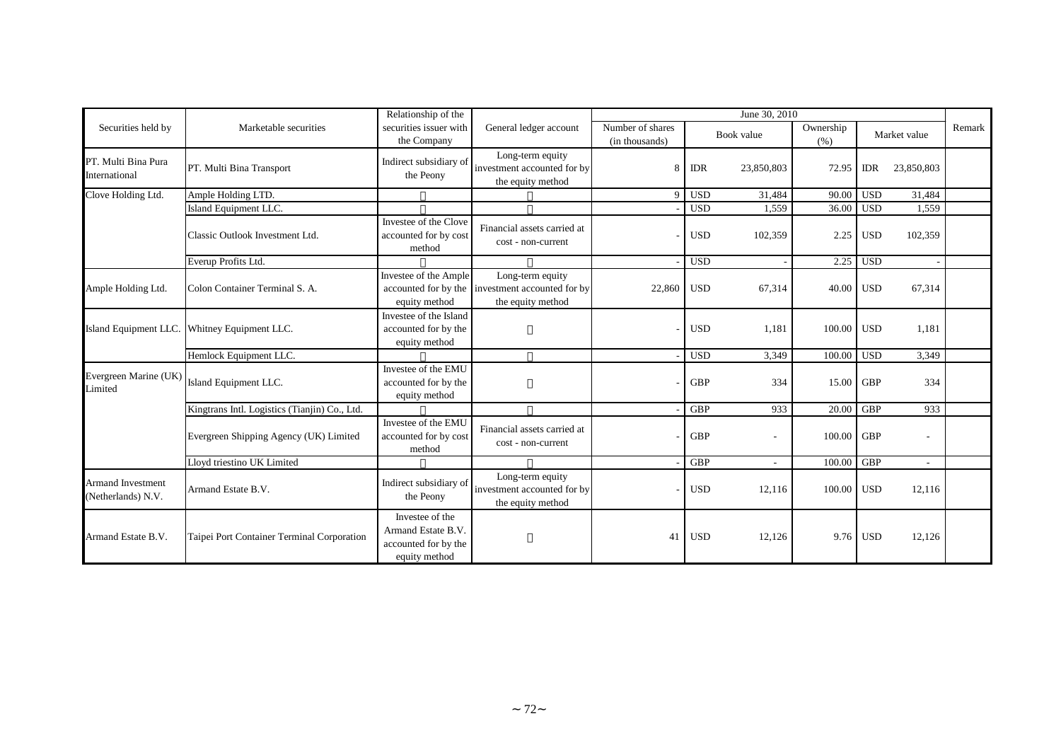|                                         |                                               |                                                                                | Relationship of the                                                                       |                                    |            | June 30, 2010            |                   |            |                          |        |  |  |
|-----------------------------------------|-----------------------------------------------|--------------------------------------------------------------------------------|-------------------------------------------------------------------------------------------|------------------------------------|------------|--------------------------|-------------------|------------|--------------------------|--------|--|--|
| Securities held by                      | Marketable securities                         | securities issuer with<br>the Company                                          | General ledger account                                                                    | Number of shares<br>(in thousands) | Book value |                          | Ownership<br>(% ) |            | Market value             | Remark |  |  |
| PT. Multi Bina Pura<br>International    | PT. Multi Bina Transport                      | Indirect subsidiary of<br>the Peony                                            | Long-term equity<br>investment accounted for by<br>the equity method                      |                                    | <b>IDR</b> | 23,850,803               | 72.95             | <b>IDR</b> | 23,850,803               |        |  |  |
| Clove Holding Ltd.                      | Ample Holding LTD.                            |                                                                                |                                                                                           | $\Omega$                           | <b>USD</b> | 31,484                   | 90.00             | <b>USD</b> | 31,484                   |        |  |  |
|                                         | Island Equipment LLC.                         |                                                                                |                                                                                           |                                    | <b>USD</b> | 1,559                    | 36.00             | <b>USD</b> | 1,559                    |        |  |  |
|                                         | Classic Outlook Investment Ltd.               | Investee of the Clove<br>accounted for by cost<br>method                       | Financial assets carried at<br>cost - non-current                                         |                                    | <b>USD</b> | 102,359                  | 2.25              | <b>USD</b> | 102,359                  |        |  |  |
|                                         | Everup Profits Ltd.                           |                                                                                |                                                                                           |                                    | <b>USD</b> |                          | 2.25              | <b>USD</b> |                          |        |  |  |
| Ample Holding Ltd.                      | Colon Container Terminal S. A.                | Investee of the Ample<br>equity method                                         | Long-term equity<br>accounted for by the investment accounted for by<br>the equity method | 22,860                             | <b>USD</b> | 67,314                   | 40.00             | <b>USD</b> | 67,314                   |        |  |  |
| Island Equipment LLC.                   | Whitney Equipment LLC.                        | Investee of the Island<br>accounted for by the<br>equity method                |                                                                                           |                                    | <b>USD</b> | 1,181                    | 100.00            | <b>USD</b> | 1,181                    |        |  |  |
|                                         | Hemlock Equipment LLC.                        |                                                                                |                                                                                           |                                    | <b>USD</b> | 3,349                    | 100.00            | <b>USD</b> | 3.349                    |        |  |  |
| Evergreen Marine (UK)<br>Limited        | Island Equipment LLC.                         | Investee of the EMU<br>accounted for by the<br>equity method                   |                                                                                           |                                    | <b>GBP</b> | 334                      | 15.00             | <b>GBP</b> | 334                      |        |  |  |
|                                         | Kingtrans Intl. Logistics (Tianjin) Co., Ltd. |                                                                                |                                                                                           |                                    | <b>GBP</b> | 933                      | 20.00             | <b>GBP</b> | 933                      |        |  |  |
|                                         | Evergreen Shipping Agency (UK) Limited        | Investee of the EMU<br>accounted for by cost<br>method                         | Financial assets carried at<br>cost - non-current                                         |                                    | <b>GBP</b> | $\overline{\phantom{a}}$ | 100.00            | <b>GBP</b> | $\overline{\phantom{a}}$ |        |  |  |
|                                         | Lloyd triestino UK Limited                    |                                                                                |                                                                                           |                                    | <b>GBP</b> |                          | 100.00            | <b>GBP</b> |                          |        |  |  |
| Armand Investment<br>(Netherlands) N.V. | Armand Estate B.V.                            | Indirect subsidiary of<br>the Peony                                            | Long-term equity<br>investment accounted for by<br>the equity method                      |                                    | <b>USD</b> | 12,116                   | 100.00            | <b>USD</b> | 12,116                   |        |  |  |
| Armand Estate B.V.                      | Taipei Port Container Terminal Corporation    | Investee of the<br>Armand Estate B.V.<br>accounted for by the<br>equity method |                                                                                           | 41                                 | <b>USD</b> | 12,126                   | 9.76              | <b>USD</b> | 12,126                   |        |  |  |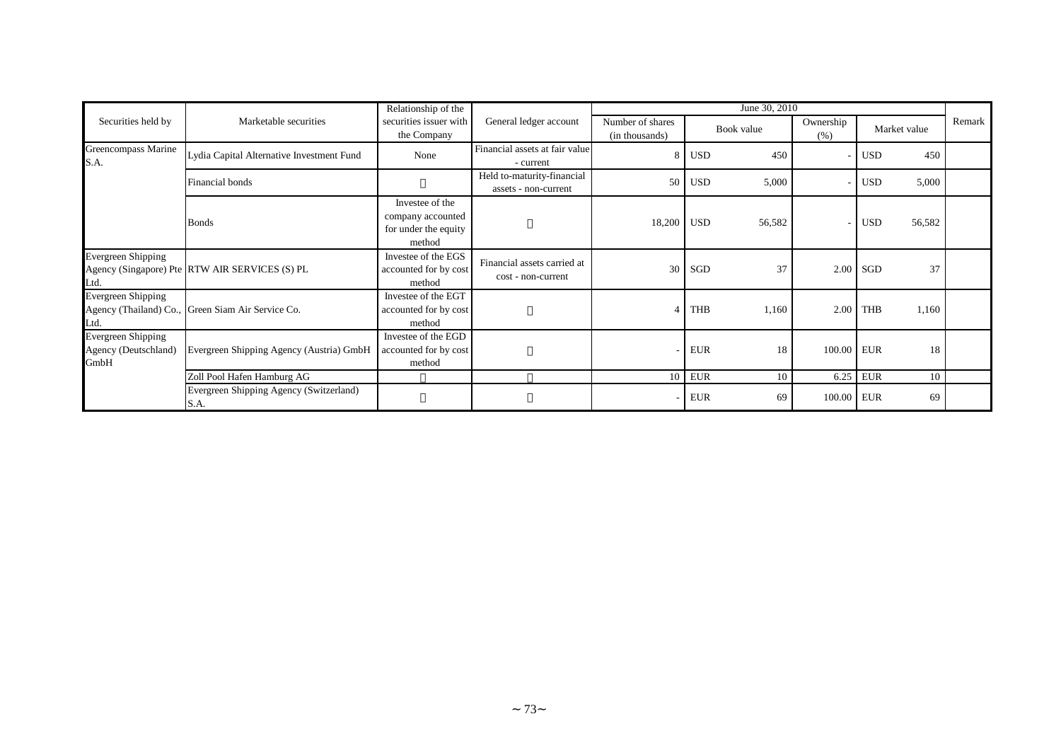|                                                           |                                                   | Relationship of the                                                    |                                                    |                                    | June 30, 2010 |        |                   |              |        |        |
|-----------------------------------------------------------|---------------------------------------------------|------------------------------------------------------------------------|----------------------------------------------------|------------------------------------|---------------|--------|-------------------|--------------|--------|--------|
| Securities held by                                        | Marketable securities                             | securities issuer with<br>General ledger account<br>the Company        |                                                    | Number of shares<br>(in thousands) | Book value    |        | Ownership<br>(% ) | Market value |        | Remark |
| Greencompass Marine<br>S.A.                               | Lydia Capital Alternative Investment Fund         | None                                                                   | Financial assets at fair value<br>- current        |                                    | <b>USD</b>    | 450    |                   | <b>USD</b>   | 450    |        |
|                                                           | Financial bonds                                   |                                                                        | Held to-maturity-financial<br>assets - non-current | 50                                 | <b>USD</b>    | 5,000  |                   | USD          | 5,000  |        |
|                                                           | <b>Bonds</b>                                      | Investee of the<br>company accounted<br>for under the equity<br>method |                                                    | 18,200                             | <b>USD</b>    | 56,582 |                   | <b>USD</b>   | 56,582 |        |
| <b>Evergreen Shipping</b><br>Ltd.                         | Agency (Singapore) Pte RTW AIR SERVICES (S) PL    | Investee of the EGS<br>accounted for by cost<br>method                 | Financial assets carried at<br>cost - non-current  | 30                                 | SGD           | 37     | 2.00              | <b>SGD</b>   | 37     |        |
| <b>Evergreen Shipping</b><br>Ltd.                         | Agency (Thailand) Co., Green Siam Air Service Co. | Investee of the EGT<br>accounted for by cost<br>method                 |                                                    |                                    | <b>THB</b>    | 1,160  | 2.00              | <b>THB</b>   | 1,160  |        |
| <b>Evergreen Shipping</b><br>Agency (Deutschland)<br>GmbH | Evergreen Shipping Agency (Austria) GmbH          | Investee of the EGD<br>accounted for by cost<br>method                 |                                                    |                                    | <b>EUR</b>    | 18     | 100.00 EUR        |              | 18     |        |
|                                                           | Zoll Pool Hafen Hamburg AG                        |                                                                        |                                                    | 10                                 | <b>EUR</b>    | 10     | 6.25              | <b>EUR</b>   | 10     |        |
|                                                           | Evergreen Shipping Agency (Switzerland)<br>S.A.   |                                                                        |                                                    |                                    | <b>EUR</b>    | 69     | 100.00 EUR        |              | 69     |        |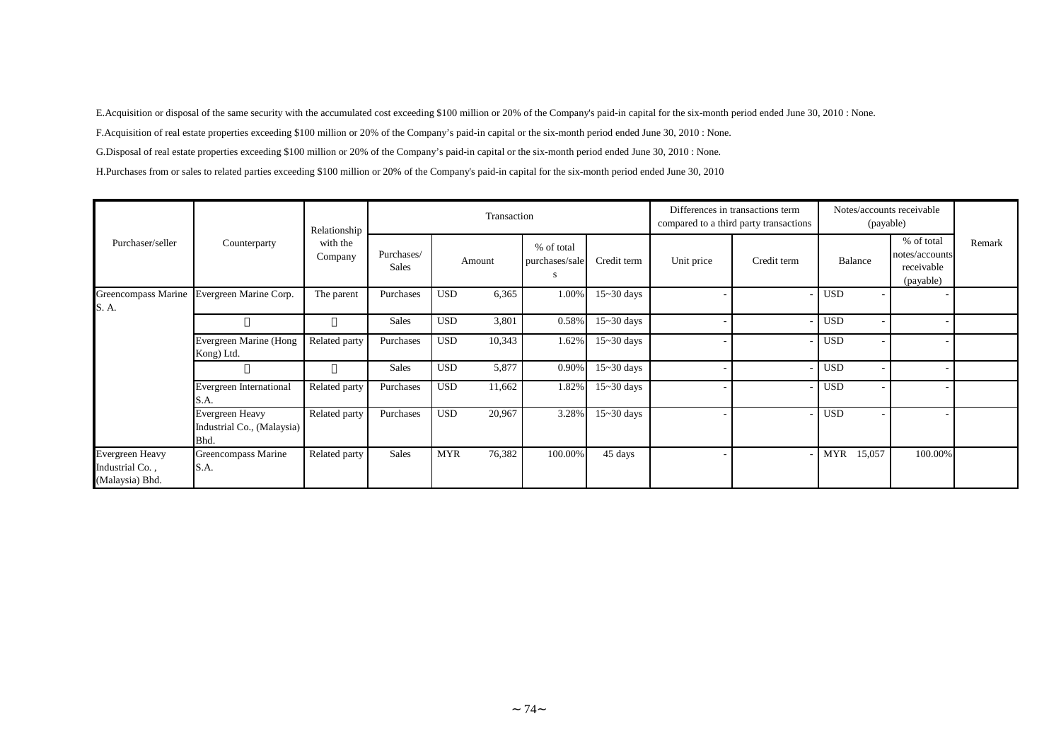E.Acquisition or disposal of the same security with the accumulated cost exceeding \$100 million or 20% of the Company's paid-in capital for the six-month period ended June 30, 2010 : None.

F.Acquisition of real estate properties exceeding \$100 million or 20% of the Company's paid-in capital or the six-month period ended June 30, 2010 : None.

G.Disposal of real estate properties exceeding \$100 million or 20% of the Company's paid-in capital or the six-month period ended June 30, 2010 : None.

H.Purchases from or sales to related parties exceeding \$100 million or 20% of the Company's paid-in capital for the six-month period ended June 30, 2010

|                                                       |                                                       |                                     | Transaction         |                      |                                    |                | Differences in transactions term<br>compared to a third party transactions | Notes/accounts receivable<br>(payable) |                      |                                                         |        |
|-------------------------------------------------------|-------------------------------------------------------|-------------------------------------|---------------------|----------------------|------------------------------------|----------------|----------------------------------------------------------------------------|----------------------------------------|----------------------|---------------------------------------------------------|--------|
| Purchaser/seller                                      | Counterparty                                          | Relationship<br>with the<br>Company | Purchases/<br>Sales | Amount               | % of total<br>purchases/sale<br>-S | Credit term    | Unit price                                                                 | Credit term                            | Balance              | % of total<br>notes/accounts<br>receivable<br>(payable) | Remark |
| S. A.                                                 | Greencompass Marine Evergreen Marine Corp.            | The parent                          | Purchases           | <b>USD</b><br>6,365  | 1.00%                              | $15 - 30$ days |                                                                            |                                        | <b>USD</b>           |                                                         |        |
|                                                       |                                                       |                                     | Sales               | <b>USD</b><br>3,801  | 0.58%                              | $15 - 30$ days |                                                                            |                                        | <b>USD</b>           |                                                         |        |
|                                                       | Evergreen Marine (Hong<br>Kong) Ltd.                  | Related party                       | Purchases           | <b>USD</b><br>10,343 | 1.62%                              | $15 - 30$ days |                                                                            |                                        | <b>USD</b>           |                                                         |        |
|                                                       |                                                       |                                     | Sales               | 5,877<br><b>USD</b>  | $0.90\%$                           | $15 - 30$ days |                                                                            |                                        | <b>USD</b>           |                                                         |        |
|                                                       | Evergreen International<br>S.A.                       | Related party                       | Purchases           | <b>USD</b><br>11,662 | 1.82%                              | $15 - 30$ days |                                                                            |                                        | <b>USD</b>           |                                                         |        |
|                                                       | Evergreen Heavy<br>Industrial Co., (Malaysia)<br>Bhd. | Related party                       | Purchases           | 20,967<br><b>USD</b> | 3.28%                              | $15 - 30$ days |                                                                            |                                        | <b>USD</b>           |                                                         |        |
| Evergreen Heavy<br>Industrial Co.,<br>(Malaysia) Bhd. | Greencompass Marine<br>S.A.                           | Related party                       | Sales               | <b>MYR</b><br>76,382 | 100.00%                            | 45 days        |                                                                            |                                        | <b>MYR</b><br>15,057 | 100.00%                                                 |        |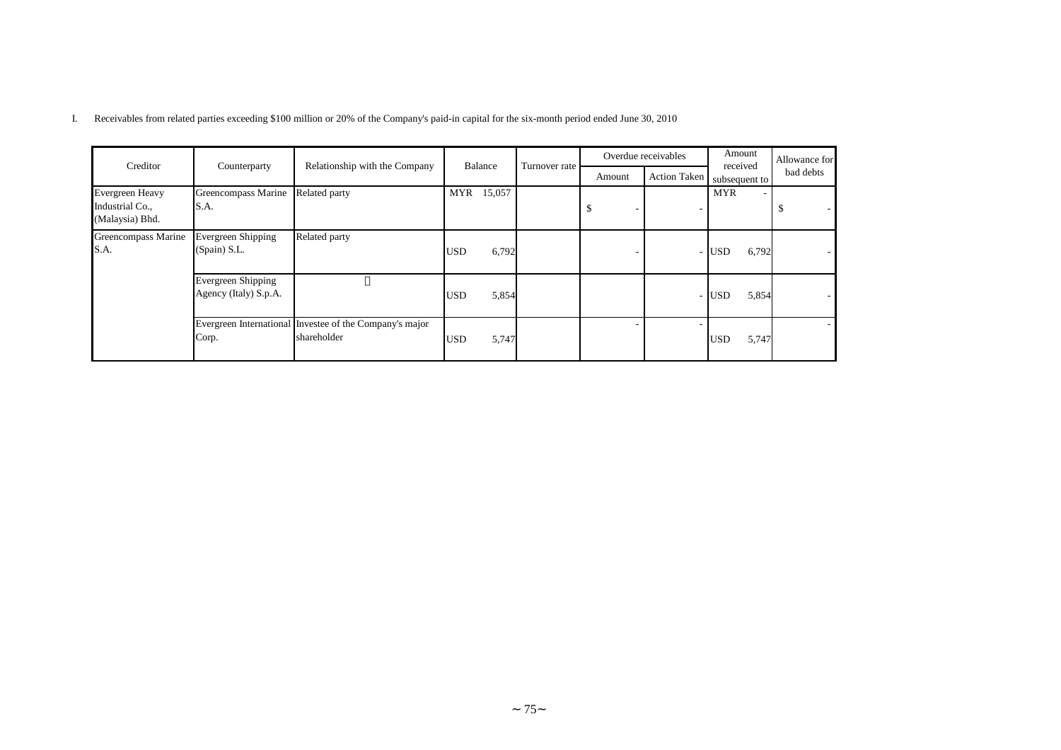| Creditor                                                     | Counterparty                                       | Relationship with the Company                                          |            | Balance |               |        | Overdue receivables | Amount<br>received  | Allowance for |  |
|--------------------------------------------------------------|----------------------------------------------------|------------------------------------------------------------------------|------------|---------|---------------|--------|---------------------|---------------------|---------------|--|
|                                                              |                                                    |                                                                        |            |         | Turnover rate | Amount | <b>Action Taken</b> | subsequent to       | bad debts     |  |
| <b>Evergreen Heavy</b><br>Industrial Co.,<br>(Malaysia) Bhd. | Greencompass Marine<br>S.A.                        | Related party                                                          | <b>MYR</b> | 15,057  |               |        |                     | <b>MYR</b>          | D             |  |
| Greencompass Marine<br>S.A.                                  | <b>Evergreen Shipping</b><br>(Spain) S.L.          | Related party                                                          | <b>USD</b> | 6,792   |               |        |                     | 6,792<br>USD        |               |  |
|                                                              | <b>Evergreen Shipping</b><br>Agency (Italy) S.p.A. |                                                                        | <b>USD</b> | 5,854   |               |        |                     | 5,854<br><b>USD</b> |               |  |
|                                                              | Corp.                                              | Evergreen International Investee of the Company's major<br>shareholder | <b>USD</b> | 5,747   |               |        |                     | 5,747<br><b>USD</b> |               |  |

I. Receivables from related parties exceeding \$100 million or 20% of the Company's paid-in capital for the six-month period ended June 30, 2010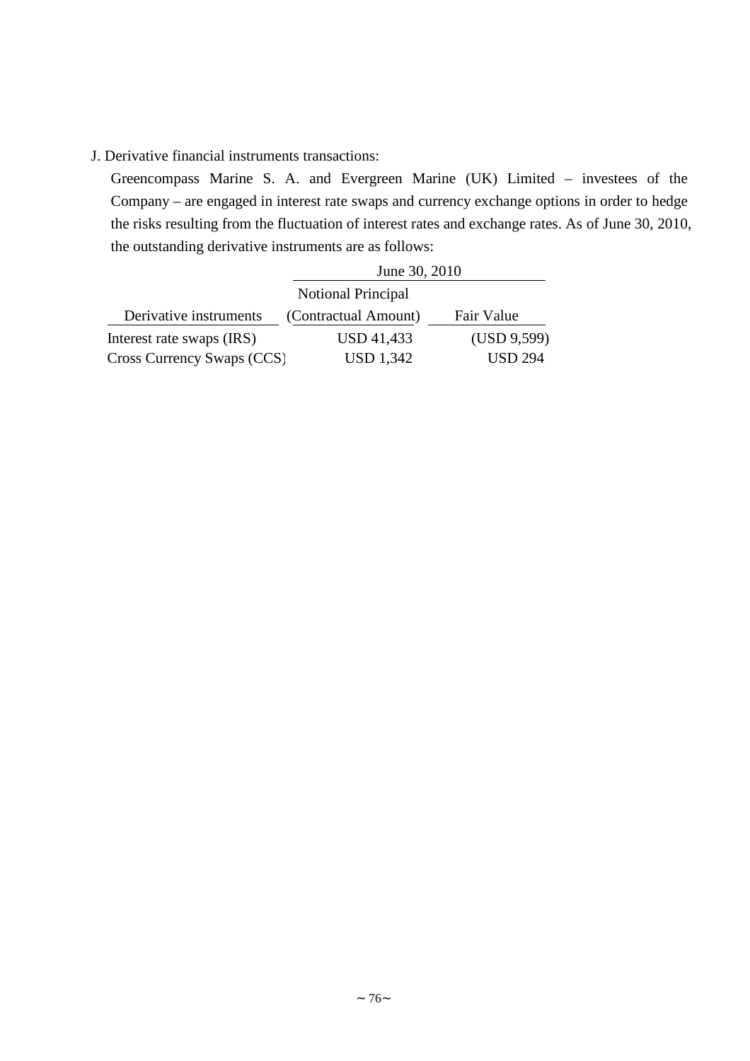## J. Derivative financial instruments transactions:

Greencompass Marine S. A. and Evergreen Marine (UK) Limited – investees of the Company – are engaged in interest rate swaps and currency exchange options in order to hedge the risks resulting from the fluctuation of interest rates and exchange rates. As of June 30, 2010, the outstanding derivative instruments are as follows:

|                            | June 30, 2010        |                |
|----------------------------|----------------------|----------------|
|                            |                      |                |
| Derivative instruments     | (Contractual Amount) | Fair Value     |
| Interest rate swaps (IRS)  | USD 41,433           | (USD 9,599)    |
| Cross Currency Swaps (CCS) | <b>USD 1,342</b>     | <b>USD 294</b> |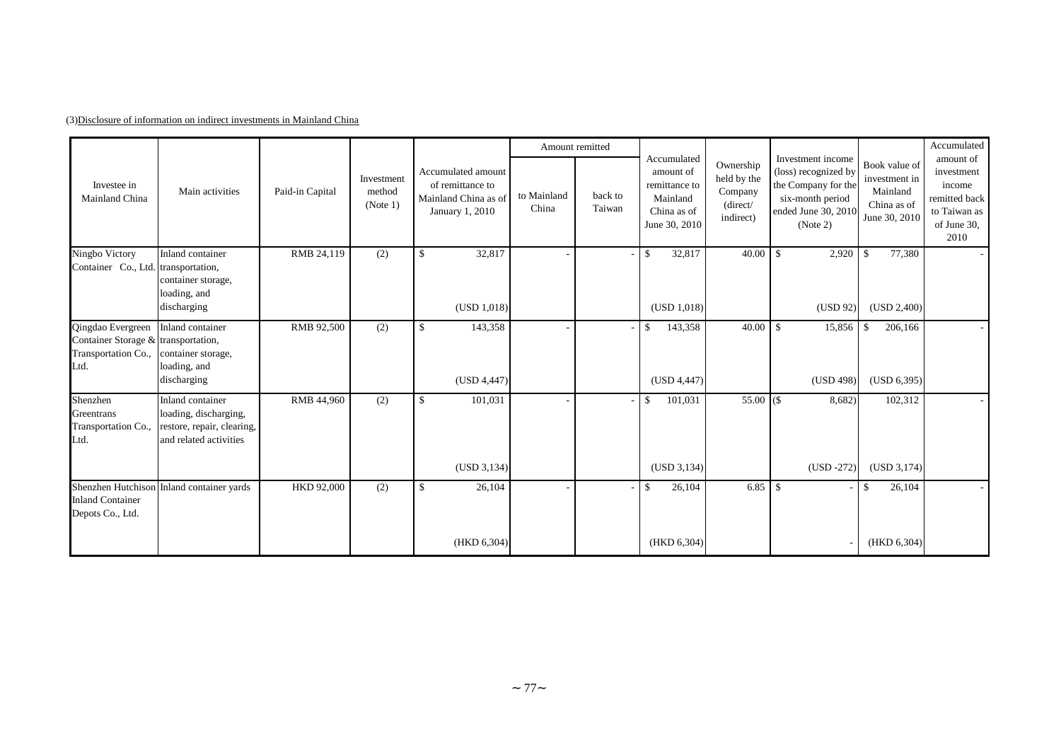|                                                                                                                             |                                                                                                   |                 |                                  |                                                                                   | Amount remitted      |                   |                                                                                       |                                                              |                                                                                                                         |                                                                            | Accumulated                                                                               |
|-----------------------------------------------------------------------------------------------------------------------------|---------------------------------------------------------------------------------------------------|-----------------|----------------------------------|-----------------------------------------------------------------------------------|----------------------|-------------------|---------------------------------------------------------------------------------------|--------------------------------------------------------------|-------------------------------------------------------------------------------------------------------------------------|----------------------------------------------------------------------------|-------------------------------------------------------------------------------------------|
| Investee in<br>Mainland China                                                                                               | Main activities                                                                                   | Paid-in Capital | Investment<br>method<br>(Note 1) | Accumulated amount<br>of remittance to<br>Mainland China as of<br>January 1, 2010 | to Mainland<br>China | back to<br>Taiwan | Accumulated<br>amount of<br>remittance to<br>Mainland<br>China as of<br>June 30, 2010 | Ownership<br>held by the<br>Company<br>(direct/<br>indirect) | Investment income<br>(loss) recognized by<br>the Company for the<br>six-month period<br>ended June 30, 2010<br>(Note 2) | Book value of<br>investment in<br>Mainland<br>China as of<br>June 30, 2010 | amount of<br>investment<br>income<br>remitted back<br>to Taiwan as<br>of June 30,<br>2010 |
| Ningbo Victory<br>Container Co., Ltd. transportation,                                                                       | Inland container<br>container storage,                                                            | RMB 24,119      | (2)                              | 32,817<br>-\$                                                                     |                      |                   | 32,817<br>\$                                                                          | 40.00                                                        | $\mathbf{\hat{S}}$<br>2,920                                                                                             | $\mathbf{s}$<br>77,380                                                     |                                                                                           |
|                                                                                                                             | loading, and<br>discharging                                                                       |                 |                                  | (USD 1,018)                                                                       |                      |                   | (USD 1,018)                                                                           |                                                              | (USD 92)                                                                                                                | (USD 2,400)                                                                |                                                                                           |
| Qingdao Evergreen Inland container<br>Container Storage & transportation,<br>Transportation Co., container storage,<br>Ltd. | loading, and                                                                                      | RMB 92,500      | (2)                              | 143,358<br>-\$                                                                    |                      |                   | \$<br>143,358                                                                         | 40.00                                                        | <sup>\$</sup><br>15,856                                                                                                 | $\mathbf{\hat{S}}$<br>206,166                                              |                                                                                           |
|                                                                                                                             | discharging                                                                                       |                 |                                  | (USD 4,447)                                                                       |                      |                   | (USD 4, 447)                                                                          |                                                              | (USD 498)                                                                                                               | (USD 6, 395)                                                               |                                                                                           |
| Shenzhen<br>Greentrans<br>Transportation Co.,<br>Ltd.                                                                       | Inland container<br>loading, discharging,<br>restore, repair, clearing,<br>and related activities | RMB 44,960      | (2)                              | $\mathbb{S}$<br>101,031                                                           |                      |                   | 101,031<br>\$                                                                         | $55.00$ $($                                                  | 8,682)                                                                                                                  | 102,312                                                                    |                                                                                           |
|                                                                                                                             |                                                                                                   |                 |                                  | (USD 3, 134)                                                                      |                      |                   | (USD 3, 134)                                                                          |                                                              | $(USD -272)$                                                                                                            | (USD 3,174)                                                                |                                                                                           |
| <b>Inland Container</b><br>Depots Co., Ltd.                                                                                 | Shenzhen Hutchison Inland container yards                                                         | HKD 92,000      | (2)                              | \$<br>26,104                                                                      |                      |                   | \$<br>26,104                                                                          | 6.85                                                         | - \$                                                                                                                    | \$<br>26,104                                                               |                                                                                           |
|                                                                                                                             |                                                                                                   |                 |                                  | (HKD 6,304)                                                                       |                      |                   | (HKD 6,304)                                                                           |                                                              |                                                                                                                         | (HKD 6, 304)                                                               |                                                                                           |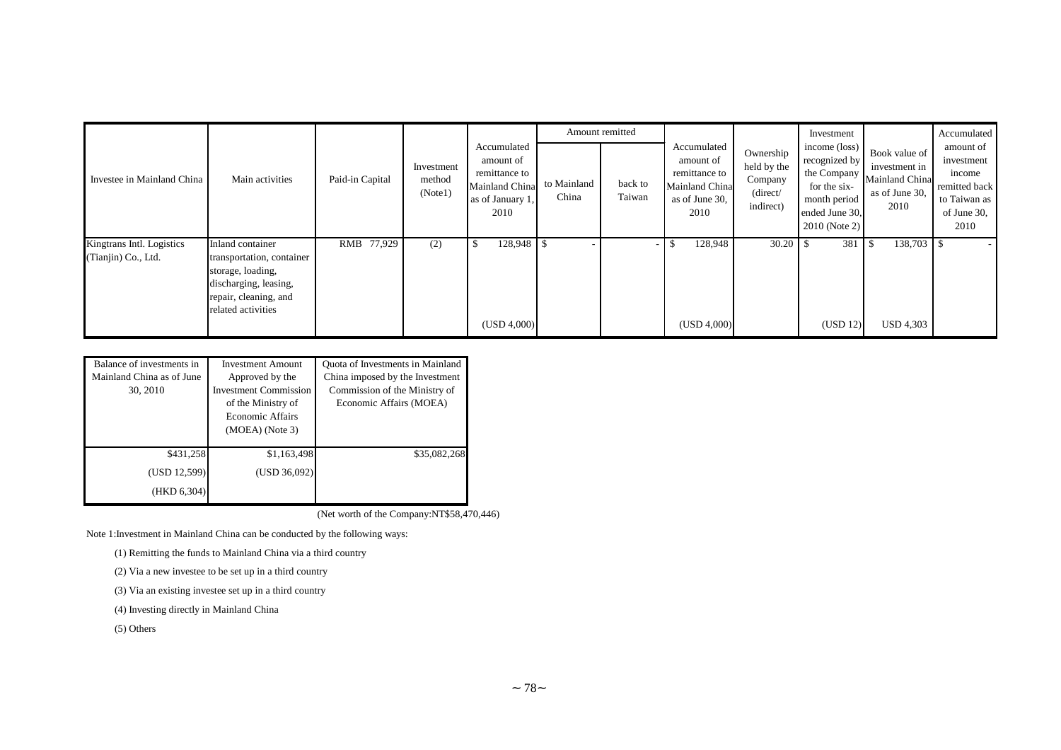|                                                  |                                                                                                                                            |                 |                                 |                                                                                         |                      | Amount remitted          |                                                                                       |                                                              | Investment                                                                                                         |                                                                            | Accumulated                                                                               |
|--------------------------------------------------|--------------------------------------------------------------------------------------------------------------------------------------------|-----------------|---------------------------------|-----------------------------------------------------------------------------------------|----------------------|--------------------------|---------------------------------------------------------------------------------------|--------------------------------------------------------------|--------------------------------------------------------------------------------------------------------------------|----------------------------------------------------------------------------|-------------------------------------------------------------------------------------------|
| Investee in Mainland China                       | Main activities                                                                                                                            | Paid-in Capital | Investment<br>method<br>(Note1) | Accumulated<br>amount of<br>remittance to<br>Mainland China<br>as of January 1.<br>2010 | to Mainland<br>China | back to<br>Taiwan        | Accumulated<br>amount of<br>remittance to<br>Mainland China<br>as of June 30,<br>2010 | Ownership<br>held by the<br>Company<br>(direct/<br>indirect) | income (loss)<br>recognized by<br>the Company<br>for the six-<br>month period<br>ended June 30,<br>$2010$ (Note 2) | Book value of<br>investment in<br>Mainland China<br>as of June 30,<br>2010 | amount of<br>investment<br>income<br>remitted back<br>to Taiwan as<br>of June 30,<br>2010 |
| Kingtrans Intl. Logistics<br>(Tianjin) Co., Ltd. | Inland container<br>transportation, container<br>storage, loading,<br>discharging, leasing,<br>repair, cleaning, and<br>related activities | RMB 77,929      | (2)                             | 128,948 \$<br>(USD 4,000)                                                               |                      | $\overline{\phantom{a}}$ | 128,948<br>(USD 4,000)                                                                |                                                              | 381<br>(USD 12)                                                                                                    | 138,703<br><b>USD 4,303</b>                                                |                                                                                           |

| Balance of investments in | <b>Investment Amount</b>     | Quota of Investments in Mainland |  |  |  |
|---------------------------|------------------------------|----------------------------------|--|--|--|
| Mainland China as of June | Approved by the              | China imposed by the Investment  |  |  |  |
| 30, 2010                  | <b>Investment Commission</b> | Commission of the Ministry of    |  |  |  |
|                           | of the Ministry of           | Economic Affairs (MOEA)          |  |  |  |
|                           | Economic Affairs             |                                  |  |  |  |
|                           | $(MOEA)$ (Note 3)            |                                  |  |  |  |
|                           |                              |                                  |  |  |  |
| \$431,258                 | \$1,163,498                  | \$35,082,268                     |  |  |  |
| (USD 12,599)              | (USD 36,092)                 |                                  |  |  |  |
| (HKD 6,304)               |                              |                                  |  |  |  |

(Net worth of the Company:NT\$58,470,446)

Note 1:Investment in Mainland China can be conducted by the following ways:

(1) Remitting the funds to Mainland China via a third country

(2) Via a new investee to be set up in a third country

(3) Via an existing investee set up in a third country

(4) Investing directly in Mainland China

(5) Others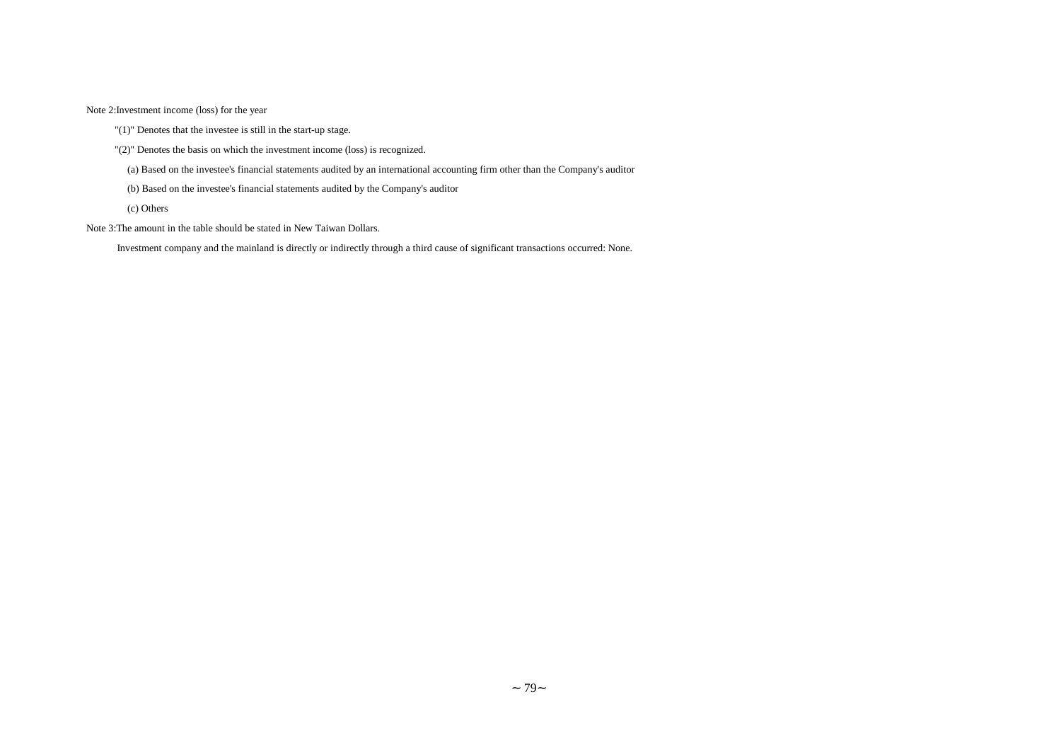Note 2:Investment income (loss) for the year

"(1)" Denotes that the investee is still in the start-up stage.

"(2)" Denotes the basis on which the investment income (loss) is recognized.

(a) Based on the investee's financial statements audited by an international accounting firm other than the Company's auditor

(b) Based on the investee's financial statements audited by the Company's auditor

(c) Others

Note 3:The amount in the table should be stated in New Taiwan Dollars.

Investment company and the mainland is directly or indirectly through a third cause of significant transactions occurred: None.